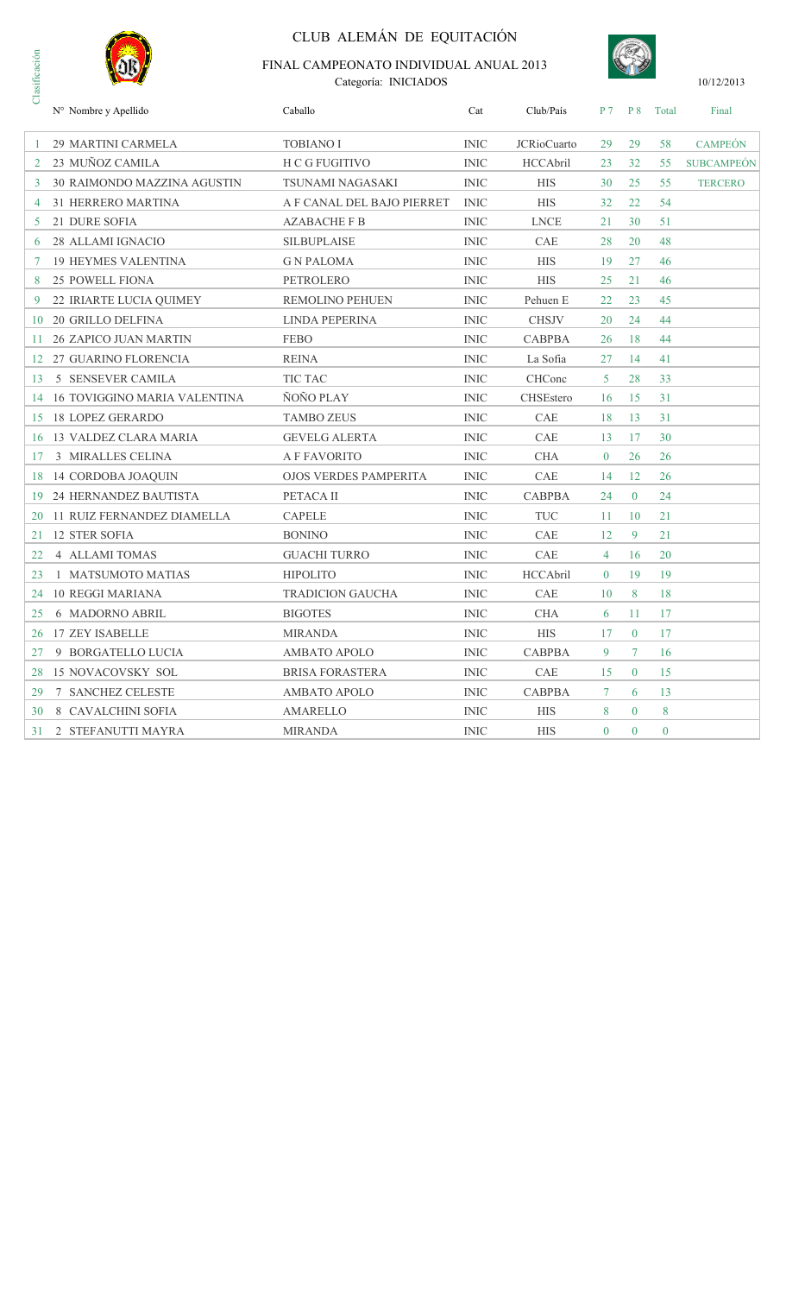

# CLUB ALEMÁN DE EQUITACIÓN



| Clasificación | FINAL CAMPEONATO INDIVIDUAL ANUAL 2013<br>Categoría: INICIADOS |                              |             |                    |                |                |          | 10/12/2013        |
|---------------|----------------------------------------------------------------|------------------------------|-------------|--------------------|----------------|----------------|----------|-------------------|
|               | N° Nombre y Apellido                                           | Caballo                      | Cat         | Club/País          | P <sub>7</sub> | <b>P</b> 8     | Total    | Final             |
|               | 29 MARTINI CARMELA                                             | <b>TOBIANO I</b>             | <b>INIC</b> | <b>JCRioCuarto</b> | 29             | 29             | 58       | <b>CAMPEÓN</b>    |
| 2             | 23 MUÑOZ CAMILA                                                | H C G FUGITIVO               | <b>INIC</b> | HCCAbril           |                | 32             | 55       | <b>SUBCAMPEÓN</b> |
| 3             | 30 RAIMONDO MAZZINA AGUSTIN                                    | TSUNAMI NAGASAKI             | <b>INIC</b> | <b>HIS</b>         | 30             | 25             | 55       | <b>TERCERO</b>    |
| 4             | 31 HERRERO MARTINA                                             | A F CANAL DEL BAJO PIERRET   | <b>INIC</b> | <b>HIS</b>         | 32             | 22             | 54       |                   |
| 5             | 21 DURE SOFIA                                                  | <b>AZABACHE F B</b>          | <b>INIC</b> | <b>LNCE</b>        | 21             | 30             | 51       |                   |
| 6             | 28 ALLAMI IGNACIO                                              | <b>SILBUPLAISE</b>           | <b>INIC</b> | CAE                | 28             | 20             | 48       |                   |
| 7             | <b>19 HEYMES VALENTINA</b>                                     | <b>GN PALOMA</b>             | <b>INIC</b> | <b>HIS</b>         | 19             | 27             | 46       |                   |
| 8             | 25 POWELL FIONA                                                | PETROLERO                    | <b>INIC</b> | <b>HIS</b>         | 25             | 21             | 46       |                   |
|               | 22 IRIARTE LUCIA QUIMEY                                        | <b>REMOLINO PEHUEN</b>       | <b>INIC</b> | Pehuen E           | 22             | 23             | 45       |                   |
| 10            | 20 GRILLO DELFINA                                              | LINDA PEPERINA               | <b>INIC</b> | <b>CHSJV</b>       | 20             | 24             | 44       |                   |
| 11            | <b>26 ZAPICO JUAN MARTIN</b>                                   | <b>FEBO</b>                  | <b>INIC</b> | <b>CABPBA</b>      | 26             | 18             | 44       |                   |
| 12            | 27 GUARINO FLORENCIA                                           | <b>REINA</b>                 | <b>INIC</b> | La Sofia           | 27             | 14             | 41       |                   |
| 13            | 5 SENSEVER CAMILA                                              | TIC TAC                      | <b>INIC</b> | CHConc             | 5              | 28             | 33       |                   |
| 14            | <b>16 TOVIGGINO MARIA VALENTINA</b>                            | ÑOÑO PLAY                    | <b>INIC</b> | CHSEstero          | 16             | 15             | 31       |                   |
| 15            | <b>18 LOPEZ GERARDO</b>                                        | <b>TAMBO ZEUS</b>            | <b>INIC</b> | CAE                | 18             | 13             | 31       |                   |
| 16            | 13 VALDEZ CLARA MARIA                                          | <b>GEVELG ALERTA</b>         | <b>INIC</b> | <b>CAE</b>         | 13             | 17             | 30       |                   |
| 17            | 3 MIRALLES CELINA                                              | <b>A F FAVORITO</b>          | <b>INIC</b> | <b>CHA</b>         | $\overline{0}$ | 26             | 26       |                   |
| 18            | 14 CORDOBA JOAQUIN                                             | <b>OJOS VERDES PAMPERITA</b> | <b>INIC</b> | CAE                | 14             | 12             | 26       |                   |
| 19            | 24 HERNANDEZ BAUTISTA                                          | PETACA II                    | <b>INIC</b> | <b>CABPBA</b>      | 24             | $\overline{0}$ | 24       |                   |
| 20            | 11 RUIZ FERNANDEZ DIAMELLA                                     | <b>CAPELE</b>                | <b>INIC</b> | <b>TUC</b>         | 11             | 10             | 21       |                   |
| 21            | <b>12 STER SOFIA</b>                                           | <b>BONINO</b>                | <b>INIC</b> | CAE                | 12             | 9              | 21       |                   |
| 22            | <b>4 ALLAMI TOMAS</b>                                          | <b>GUACHI TURRO</b>          | <b>INIC</b> | CAE                | 4              | 16             | 20       |                   |
| 23            | 1 MATSUMOTO MATIAS                                             | <b>HIPOLITO</b>              | <b>INIC</b> | HCCAbril           | $\theta$       | 19             | 19       |                   |
| 24            | <b>10 REGGI MARIANA</b>                                        | <b>TRADICION GAUCHA</b>      | <b>INIC</b> | CAE                | 10             | 8              | 18       |                   |
| 25            | <b>6 MADORNO ABRIL</b>                                         | <b>BIGOTES</b>               | <b>INIC</b> | <b>CHA</b>         | 6              | 11             | 17       |                   |
|               | 26 17 ZEY ISABELLE                                             | <b>MIRANDA</b>               | <b>INIC</b> | <b>HIS</b>         | 17             | $\overline{0}$ | 17       |                   |
| 27            | 9 BORGATELLO LUCIA                                             | <b>AMBATO APOLO</b>          | <b>INIC</b> | <b>CABPBA</b>      | 9              | 7              | 16       |                   |
| 28            | 15 NOVACOVSKY SOL                                              | <b>BRISA FORASTERA</b>       | <b>INIC</b> | CAE                | 15             | $\overline{0}$ | 15       |                   |
| 29            | 7 SANCHEZ CELESTE                                              | <b>AMBATO APOLO</b>          | <b>INIC</b> | <b>CABPBA</b>      | $\tau$         | 6              | 13       |                   |
| 30            | 8 CAVALCHINI SOFIA                                             | AMARELLO                     | <b>INIC</b> | <b>HIS</b>         | 8              | $\overline{0}$ | 8        |                   |
| 31            | 2 STEFANUTTI MAYRA                                             | <b>MIRANDA</b>               | <b>INIC</b> | <b>HIS</b>         | $\overline{0}$ | $\bf{0}$       | $\bf{0}$ |                   |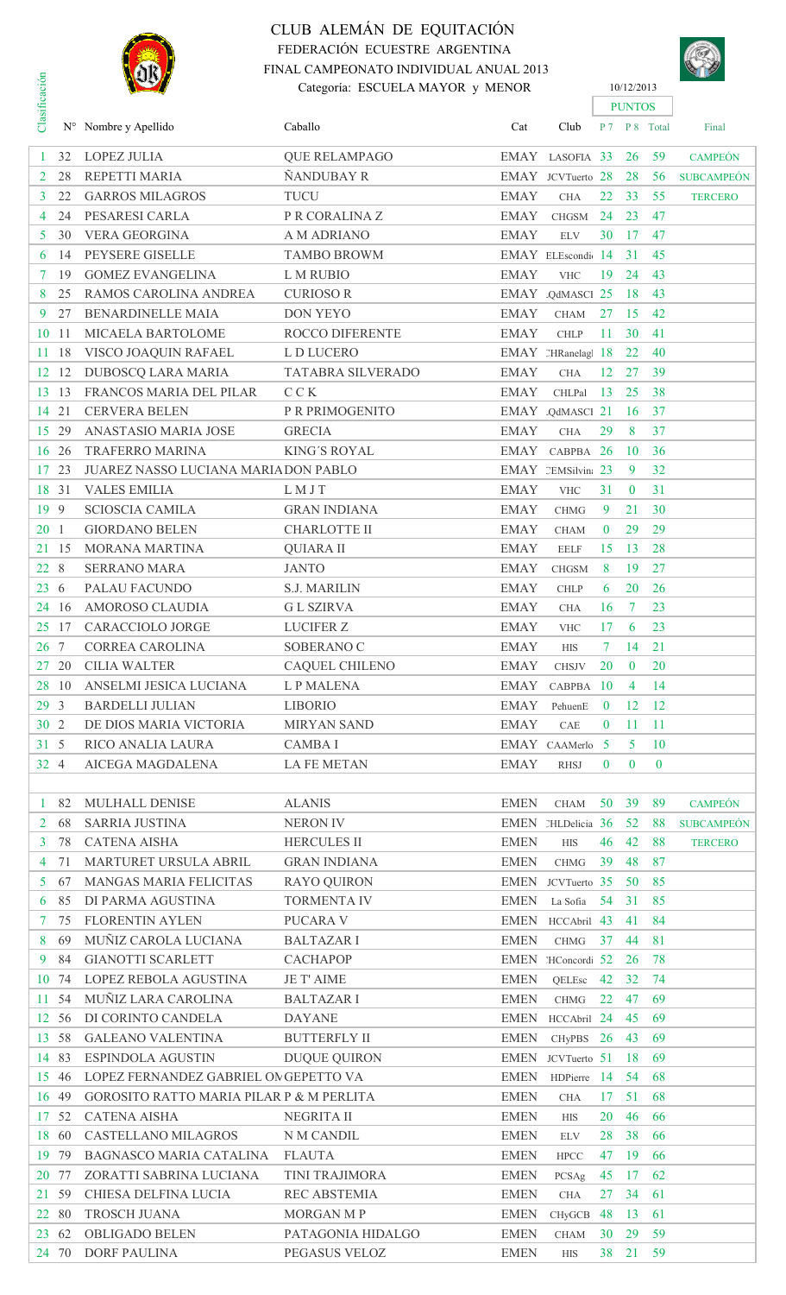

# CLUB ALEMÁN DE EQUITACIÓN FEDERACIÓN ECUESTRE ARGENTINA FINAL CAMPEONATO INDIVIDUAL ANUAL 2013 Categoría: ESCUELA MAYOR y MENOR 10/12/2013



|                      |       | <b>NOR)</b>                              | FINAL CAMPEONATO INDIVIDUAL ANUAL 2013 |             |                    |                 |                |               | SIM               |
|----------------------|-------|------------------------------------------|----------------------------------------|-------------|--------------------|-----------------|----------------|---------------|-------------------|
|                      |       |                                          | Categoría: ESCUELA MAYOR y MENOR       |             |                    |                 | 10/12/2013     |               |                   |
| Clasificación        |       |                                          |                                        |             |                    |                 | <b>PUNTOS</b>  |               |                   |
|                      |       | $N^{\circ}$ Nombre y Apellido            | Caballo                                | Cat         | Club               |                 |                | P 7 P 8 Total | Final             |
|                      |       |                                          |                                        |             |                    |                 |                |               |                   |
| 1                    | 32    | <b>LOPEZ JULIA</b>                       | <b>QUE RELAMPAGO</b>                   |             | EMAY LASOFIA 33    |                 | 26             | 59            | <b>CAMPEÓN</b>    |
| $\mathbf{2}^{\circ}$ | 28    | REPETTI MARIA                            | ÑANDUBAY R                             |             | EMAY JCVTuerto 28  |                 | 28             | 56            | <b>SUBCAMPEÓN</b> |
| $\mathbf{3}$         | 22    | <b>GARROS MILAGROS</b>                   | <b>TUCU</b>                            | <b>EMAY</b> | <b>CHA</b>         | 22              | 33             | 55            | <b>TERCERO</b>    |
| $\overline{4}$       | 24    | PESARESI CARLA                           | P R CORALINA Z                         | <b>EMAY</b> | <b>CHGSM</b>       | 24              | 23             | 47            |                   |
| 5 <sup>5</sup>       | 30    | <b>VERA GEORGINA</b>                     | A M ADRIANO                            | <b>EMAY</b> | <b>ELV</b>         | 30              | -17            | 47            |                   |
| 6                    | 14    | PEYSERE GISELLE                          | <b>TAMBO BROWM</b>                     |             | EMAY ELEscondi 14  |                 | 31             | 45            |                   |
| 7                    | 19    | <b>GOMEZ EVANGELINA</b>                  | L M RUBIO                              | <b>EMAY</b> | <b>VHC</b>         | 19              | 24             | 43            |                   |
| 8                    | 25    | RAMOS CAROLINA ANDREA                    | <b>CURIOSOR</b>                        |             | EMAY QdMASCI 25    |                 | 18             | 43            |                   |
| 9                    | 27    | BENARDINELLE MAIA                        | <b>DON YEYO</b>                        | <b>EMAY</b> | <b>CHAM</b>        | 27              | -15            | 42            |                   |
| 10                   | 11    | MICAELA BARTOLOME                        | <b>ROCCO DIFERENTE</b>                 | <b>EMAY</b> | <b>CHLP</b>        | 11              | 30             | 41            |                   |
| 11.                  | 18    | VISCO JOAQUIN RAFAEL                     | L D LUCERO                             |             | EMAY 2HRanelag 18  |                 | 22             | 40            |                   |
| 12                   | 12    | <b>DUBOSCQ LARA MARIA</b>                | TATABRA SILVERADO                      | <b>EMAY</b> | CHA                | 12              | 27             | 39            |                   |
|                      |       | FRANCOS MARIA DEL PILAR                  |                                        |             |                    |                 |                |               |                   |
| 13 13                |       |                                          | C C K                                  | <b>EMAY</b> | CHLPal             | 13              | 25             | 38            |                   |
| 14                   | 21    | <b>CERVERA BELEN</b>                     | P R PRIMOGENITO                        |             | EMAY QdMASCI 21    |                 | 16             | 37            |                   |
| 15 29                |       | ANASTASIO MARIA JOSE                     | <b>GRECIA</b>                          | <b>EMAY</b> | <b>CHA</b>         | 29              | 8              | 37            |                   |
| 16 26                |       | TRAFERRO MARINA                          | <b>KING'S ROYAL</b>                    | EMAY        | CABPBA 26          |                 | <b>10</b>      | 36            |                   |
| 17 23                |       | JUAREZ NASSO LUCIANA MARIA DON PABLO     |                                        |             | EMAY CEMSilvin: 23 |                 | 9              | 32            |                   |
| 18 31                |       | <b>VALES EMILIA</b>                      | LMJT                                   | <b>EMAY</b> | <b>VHC</b>         | 31              | $\mathbf{0}$   | 31            |                   |
| 19 9                 |       | <b>SCIOSCIA CAMILA</b>                   | <b>GRAN INDIANA</b>                    | <b>EMAY</b> | <b>CHMG</b>        | 9               | 21             | 30            |                   |
| 20 <sub>1</sub>      |       | <b>GIORDANO BELEN</b>                    | <b>CHARLOTTE II</b>                    | <b>EMAY</b> | <b>CHAM</b>        | $\bf{0}$        | 29             | 29            |                   |
| 21 15                |       | MORANA MARTINA                           | <b>QUIARA II</b>                       | <b>EMAY</b> | <b>EELF</b>        | 15              | 13             | 28            |                   |
| 22 8                 |       | <b>SERRANO MARA</b>                      | <b>JANTO</b>                           | <b>EMAY</b> | <b>CHGSM</b>       | 8               | 19             | 27            |                   |
| 236                  |       | PALAU FACUNDO                            | <b>S.J. MARILIN</b>                    | <b>EMAY</b> | <b>CHLP</b>        | 6               | 20             | 26            |                   |
| 24 16                |       | AMOROSO CLAUDIA                          | <b>GL SZIRVA</b>                       | <b>EMAY</b> | <b>CHA</b>         | 16              | $\tau$         | 23            |                   |
| 25 17                |       | CARACCIOLO JORGE                         | <b>LUCIFER Z</b>                       | <b>EMAY</b> | <b>VHC</b>         | 17              | 6              | 23            |                   |
| 26                   | 7     | CORREA CAROLINA                          | SOBERANO C                             | <b>EMAY</b> |                    |                 | 14             | 21            |                   |
|                      |       |                                          |                                        |             | <b>HIS</b>         |                 |                |               |                   |
| 27 20                |       | <b>CILIA WALTER</b>                      | CAQUEL CHILENO                         | <b>EMAY</b> | <b>CHSJV</b>       | 20              | $\mathbf{0}$   | 20            |                   |
| 28 10                |       | ANSELMI JESICA LUCIANA                   | L P MALENA                             |             | EMAY CABPBA        | $\overline{10}$ | $\overline{4}$ | 14            |                   |
| 29 <sub>3</sub>      |       | <b>BARDELLI JULIAN</b>                   | <b>LIBORIO</b>                         | EMAY        | PehuenE            | $\bf{0}$        | 12             | <sup>12</sup> |                   |
| 30 2                 |       | DE DIOS MARIA VICTORIA                   | <b>MIRYAN SAND</b>                     | <b>EMAY</b> | CAE                | $\bf{0}$        | 11             | 11            |                   |
| 31 5                 |       | RICO ANALIA LAURA                        | <b>CAMBAI</b>                          |             | EMAY CAAMerlo      | -5              | $5^{\circ}$    | 10            |                   |
| 32 4                 |       | AICEGA MAGDALENA                         | <b>LA FE METAN</b>                     | <b>EMAY</b> | <b>RHSJ</b>        | $\theta$        | $\bf{0}$       | $\bf{0}$      |                   |
|                      |       |                                          |                                        |             |                    |                 |                |               |                   |
| $\mathbf{1}$         | 82    | MULHALL DENISE                           | <b>ALANIS</b>                          | <b>EMEN</b> | <b>CHAM</b>        | 50              | 39             | 89            | <b>CAMPEÓN</b>    |
| $\overline{2}$       | 68    | <b>SARRIA JUSTINA</b>                    | <b>NERON IV</b>                        |             | EMEN MLDelicia 36  |                 | 52             | 88            | <b>SUBCAMPEÓN</b> |
| $\mathbf{3}$         | 78    | <b>CATENA AISHA</b>                      | <b>HERCULES II</b>                     | <b>EMEN</b> | <b>HIS</b>         | 46              | 42             | 88            | <b>TERCERO</b>    |
| $\overline{4}$       | 71    | MARTURET URSULA ABRIL                    | <b>GRAN INDIANA</b>                    | <b>EMEN</b> | <b>CHMG</b>        | 39              | 48             | 87            |                   |
| 5 <sup>5</sup>       | 67    | <b>MANGAS MARIA FELICITAS</b>            | <b>RAYO QUIRON</b>                     |             | EMEN JCVTuerto 35  |                 | 50             | 85            |                   |
| 6                    | 85    | DI PARMA AGUSTINA                        | <b>TORMENTA IV</b>                     | <b>EMEN</b> | La Sofia           | 54              | 31             | 85            |                   |
| $7^{\circ}$          | 75    | <b>FLORENTIN AYLEN</b>                   | PUCARA V                               |             | EMEN HCCAbril 43   |                 | 41             | 84            |                   |
| 8                    | 69    | MUÑIZ CAROLA LUCIANA                     | <b>BALTAZAR I</b>                      | <b>EMEN</b> | <b>CHMG</b>        | 37              | 44             | 81            |                   |
| 9                    | 84    | <b>GIANOTTI SCARLETT</b>                 | <b>CACHAPOP</b>                        |             | EMEN HConcordi 52  |                 | 26             | 78            |                   |
|                      | 74    | LOPEZ REBOLA AGUSTINA                    | <b>JE T' AIME</b>                      | <b>EMEN</b> |                    |                 |                | 74            |                   |
| 10                   |       |                                          |                                        |             | QELEsc             | 42              | 32             |               |                   |
| 11                   | 54    | MUÑIZ LARA CAROLINA                      | <b>BALTAZAR I</b>                      | <b>EMEN</b> | <b>CHMG</b>        | 22              | 47             | 69            |                   |
| 12                   | 56    | DI CORINTO CANDELA                       | <b>DAYANE</b>                          | <b>EMEN</b> | HCCAbril 24        |                 | 45             | 69            |                   |
| 13                   | 58    | <b>GALEANO VALENTINA</b>                 | <b>BUTTERFLY II</b>                    | <b>EMEN</b> | <b>CHyPBS</b>      | 26              | 43             | 69            |                   |
| 14 83                |       | <b>ESPINDOLA AGUSTIN</b>                 | <b>DUQUE QUIRON</b>                    |             | EMEN JCVTuerto 51  |                 | 18             | 69            |                   |
| 15 46                |       | LOPEZ FERNANDEZ GABRIEL ON GEPETTO VA    |                                        | <b>EMEN</b> | HDPierre           | - 14            | 54             | 68            |                   |
| 16 49                |       | GOROSITO RATTO MARIA PILAR P & M PERLITA |                                        | <b>EMEN</b> | <b>CHA</b>         | 17              | 51             | 68            |                   |
| 17                   | 52    | <b>CATENA AISHA</b>                      | NEGRITA II                             | <b>EMEN</b> | <b>HIS</b>         | 20              | 46             | 66            |                   |
| 18 60                |       | CASTELLANO MILAGROS                      | N M CANDIL                             | <b>EMEN</b> | <b>ELV</b>         | 28              | 38             | 66            |                   |
| 19 79                |       | <b>BAGNASCO MARIA CATALINA</b>           | <b>FLAUTA</b>                          | <b>EMEN</b> | <b>HPCC</b>        | 47              | - 19           | 66            |                   |
| 20 77                |       | ZORATTI SABRINA LUCIANA                  | TINI TRAJIMORA                         | <b>EMEN</b> | PCSAg              | 45              | - 17           | 62            |                   |
| 21 59                |       | CHIESA DELFINA LUCIA                     | <b>REC ABSTEMIA</b>                    | <b>EMEN</b> | <b>CHA</b>         | 27              | 34             | 61            |                   |
|                      | 22 80 | TROSCH JUANA                             | MORGAN M P                             | <b>EMEN</b> | CHyGCB 48          |                 | -13            | 61            |                   |
| 23 62                |       | <b>OBLIGADO BELEN</b>                    | PATAGONIA HIDALGO                      | <b>EMEN</b> | <b>CHAM</b>        | 30              | 29             | 59            |                   |
| 24 70                |       | <b>DORF PAULINA</b>                      | PEGASUS VELOZ                          | <b>EMEN</b> | ${\rm HIS}$        | 38              | 21             | 59            |                   |
|                      |       |                                          |                                        |             |                    |                 |                |               |                   |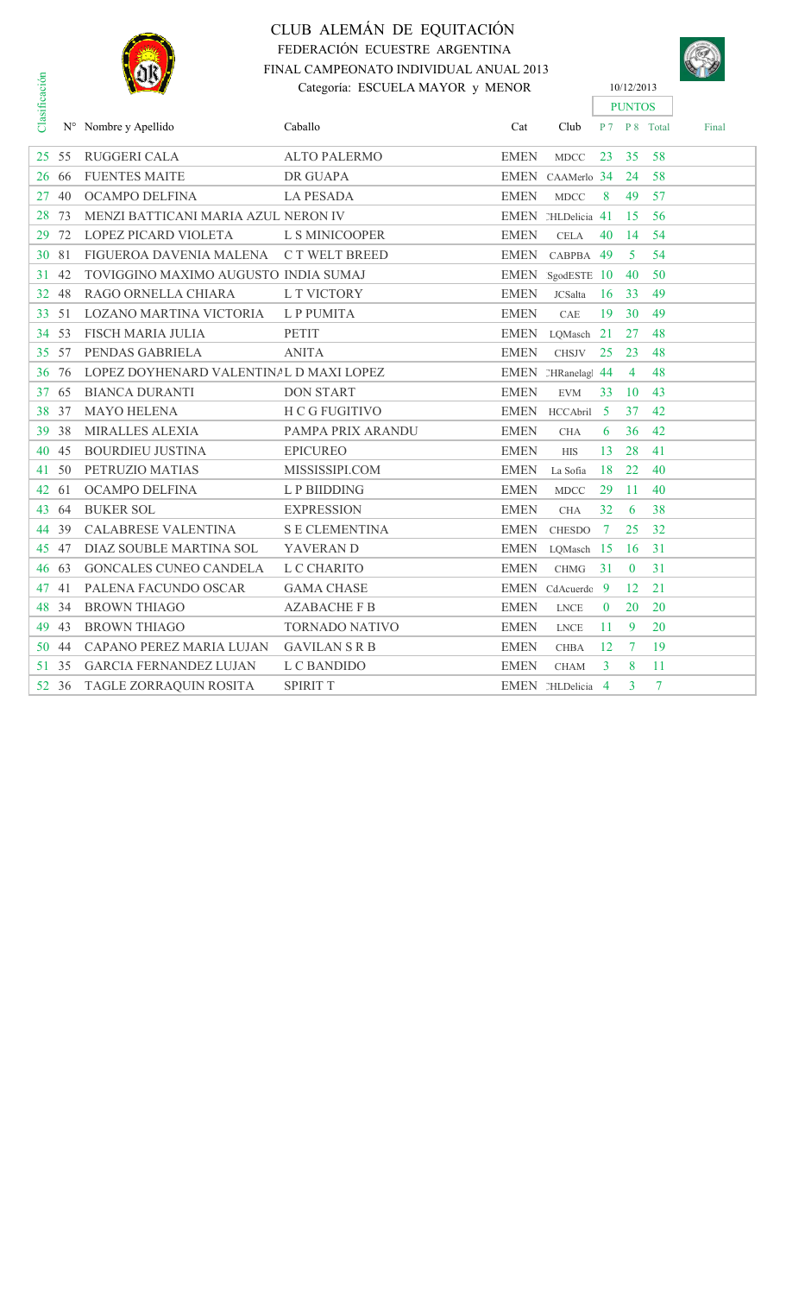

# CLUB ALEMÁN DE EQUITACIÓN FEDERACIÓN ECUESTRE ARGENTINA FINAL CAMPEONATO INDIVIDUAL ANUAL 2013 Categoría: ESCUELA MAYOR y MENOR 10/12/2013



|               | FINAL CAMPEONATO INDIVIDUAL ANUAL 2013<br><b>NORZ</b> |                                         |                       |             |                   |                |                  |                | SIL   |
|---------------|-------------------------------------------------------|-----------------------------------------|-----------------------|-------------|-------------------|----------------|------------------|----------------|-------|
| Clasificación | Categoría: ESCUELA MAYOR y MENOR                      |                                         |                       |             |                   |                | 10/12/2013       |                |       |
|               |                                                       |                                         |                       |             |                   |                | <b>PUNTOS</b>    |                |       |
|               |                                                       | N° Nombre y Apellido                    | Caballo               | Cat         | Club              |                |                  | P 7 P 8 Total  | Final |
| 25            | 55                                                    | <b>RUGGERI CALA</b>                     | <b>ALTO PALERMO</b>   | <b>EMEN</b> | <b>MDCC</b>       | 23             | 35               | 58             |       |
| 26            | 66                                                    | <b>FUENTES MAITE</b>                    | <b>DR GUAPA</b>       | <b>EMEN</b> | CAAMerlo 34       |                | 24               | 58             |       |
| 27            | 40                                                    | OCAMPO DELFINA                          | <b>LA PESADA</b>      | <b>EMEN</b> | <b>MDCC</b>       | 8              | 49               | 57             |       |
| 28            | 73                                                    | MENZI BATTICANI MARIA AZUL NERON IV     |                       |             | EMEN MLDelicia 41 |                | 15               | 56             |       |
| 29            | 72                                                    | <b>LOPEZ PICARD VIOLETA</b>             | L S MINICOOPER        | <b>EMEN</b> | <b>CELA</b>       | 40             | 14               | 54             |       |
| 30            | 81                                                    | FIGUEROA DAVENIA MALENA                 | C T WELT BREED        | <b>EMEN</b> | CABPBA            | -49            | 5                | 54             |       |
| 31            | 42                                                    | TOVIGGINO MAXIMO AUGUSTO INDIA SUMAJ    |                       | EMEN        | SgodESTE 10       |                | 40               | 50             |       |
| 32            | 48                                                    | RAGO ORNELLA CHIARA                     | L T VICTORY           | <b>EMEN</b> | <b>JCSalta</b>    | 16             | 33               | 49             |       |
| 33            | 51                                                    | LOZANO MARTINA VICTORIA                 | L P PUMITA            | <b>EMEN</b> | CAE               | 19             | 30               | 49             |       |
| 34            | 53                                                    | <b>FISCH MARIA JULIA</b>                | <b>PETIT</b>          | <b>EMEN</b> | LQMasch           | 21             | 27               | 48             |       |
| 35            | 57                                                    | PENDAS GABRIELA                         | <b>ANITA</b>          | <b>EMEN</b> | <b>CHSJV</b>      | 25             | 23               | 48             |       |
| 36            | 76                                                    | LOPEZ DOYHENARD VALENTINAL D MAXI LOPEZ |                       |             | EMEN 2HRanelag    | -44            | $\overline{4}$   | 48             |       |
| 37            | 65                                                    | <b>BIANCA DURANTI</b>                   | <b>DON START</b>      | <b>EMEN</b> | <b>EVM</b>        | 33             | 10               | 43             |       |
| 38            | 37                                                    | <b>MAYO HELENA</b>                      | <b>H C G FUGITIVO</b> | <b>EMEN</b> | HCCAbril          | -5             | 37               | 42             |       |
| 39            | 38                                                    | <b>MIRALLES ALEXIA</b>                  | PAMPA PRIX ARANDU     | <b>EMEN</b> | <b>CHA</b>        | 6              | 36               | 42             |       |
| 40            | 45                                                    | <b>BOURDIEU JUSTINA</b>                 | <b>EPICUREO</b>       | <b>EMEN</b> | <b>HIS</b>        | 13             | 28               | 41             |       |
| 41            | 50                                                    | PETRUZIO MATIAS                         | MISSISSIPI.COM        | <b>EMEN</b> | La Sofia          | 18             | 22               | 40             |       |
| 42            | 61                                                    | OCAMPO DELFINA                          | L P BIIDDING          | <b>EMEN</b> | <b>MDCC</b>       | 29             | 11               | 40             |       |
| 43            | 64                                                    | <b>BUKER SOL</b>                        | <b>EXPRESSION</b>     | <b>EMEN</b> | <b>CHA</b>        | 32             | 6                | 38             |       |
| 44            | 39                                                    | <b>CALABRESE VALENTINA</b>              | <b>S E CLEMENTINA</b> | <b>EMEN</b> | <b>CHESDO</b>     | -7             | 25               | 32             |       |
| 45            | 47                                                    | DIAZ SOUBLE MARTINA SOL                 | YAVERAN D             | <b>EMEN</b> | LQMasch           | -15            | 16               | 31             |       |
| 46            | 63                                                    | <b>GONCALES CUNEO CANDELA</b>           | L C CHARITO           | <b>EMEN</b> | <b>CHMG</b>       | 31             | $\boldsymbol{0}$ | 31             |       |
| 47            | 41                                                    | PALENA FACUNDO OSCAR                    | <b>GAMA CHASE</b>     | <b>EMEN</b> | CdAcuerdc         | -9             | 12               | 21             |       |
| 48            | 34                                                    | <b>BROWN THIAGO</b>                     | <b>AZABACHE F B</b>   | <b>EMEN</b> | <b>LNCE</b>       | $\mathbf{0}$   | 20               | 20             |       |
| 49            | 43                                                    | <b>BROWN THIAGO</b>                     | <b>TORNADO NATIVO</b> | <b>EMEN</b> | <b>LNCE</b>       | 11             | 9                | 20             |       |
| 50            | 44                                                    | CAPANO PEREZ MARIA LUJAN                | <b>GAVILANSRB</b>     | <b>EMEN</b> | <b>CHBA</b>       | 12             | $\overline{7}$   | 19             |       |
| 51.           | 35                                                    | <b>GARCIA FERNANDEZ LUJAN</b>           | L C BANDIDO           | <b>EMEN</b> | <b>CHAM</b>       | 3              | 8                | 11             |       |
| 52            | 36                                                    | TAGLE ZORRAQUIN ROSITA                  | <b>SPIRIT T</b>       |             | EMEN MLDelicia    | $\overline{4}$ | 3                | $\overline{7}$ |       |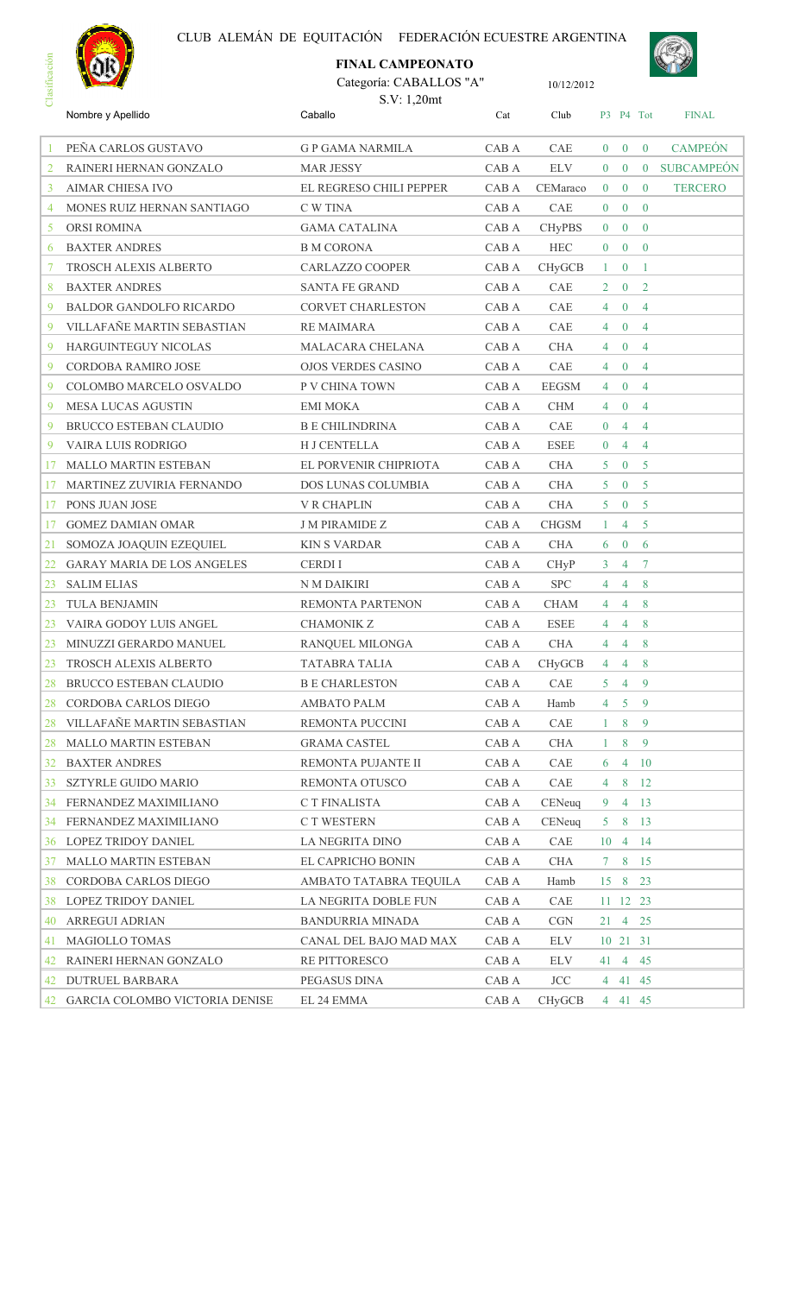



|                |                                   | <b>FINAL CAMPEONATO</b>                |       |               |                |                |                |                   |
|----------------|-----------------------------------|----------------------------------------|-------|---------------|----------------|----------------|----------------|-------------------|
| Clasificación  |                                   | Categoría: CABALLOS "A"<br>S.V: 1,20mt |       | 10/12/2012    |                |                |                |                   |
|                | Nombre y Apellido                 | Caballo                                | Cat   | Club          |                |                | P3 P4 Tot      | <b>FINAL</b>      |
|                | PEÑA CARLOS GUSTAVO               | <b>G P GAMA NARMILA</b>                | CAB A | CAE           | $\theta$       | $\mathbf{0}$   | $\overline{0}$ | <b>CAMPEÓN</b>    |
| $\overline{2}$ | RAINERI HERNAN GONZALO            | <b>MAR JESSY</b>                       | CAB A | <b>ELV</b>    | $\overline{0}$ | $\overline{0}$ | $\overline{0}$ | <b>SUBCAMPEÓN</b> |
| 3              | <b>AIMAR CHIESA IVO</b>           | EL REGRESO CHILI PEPPER                | CAB A | CEMaraco      | $\overline{0}$ | $\bf{0}$       | $\mathbf{0}$   | <b>TERCERO</b>    |
| 4              | MONES RUIZ HERNAN SANTIAGO        | C W TINA                               | CAB A | CAE           | $\overline{0}$ | $\overline{0}$ | $\theta$       |                   |
| 5              | <b>ORSI ROMINA</b>                | <b>GAMA CATALINA</b>                   | CAB A | <b>CHyPBS</b> | $\overline{0}$ | $\overline{0}$ | $\theta$       |                   |
| 6              | <b>BAXTER ANDRES</b>              | <b>B M CORONA</b>                      | CAB A | <b>HEC</b>    | $\overline{0}$ | $\bf{0}$       | $\theta$       |                   |
| 7              | <b>TROSCH ALEXIS ALBERTO</b>      | <b>CARLAZZO COOPER</b>                 | CAB A | CHyGCB        | $1 -$          | $\mathbf{0}$   | -1             |                   |
| 8              | <b>BAXTER ANDRES</b>              | <b>SANTA FE GRAND</b>                  | CAB A | CAE           | $\overline{2}$ | $\mathbf{0}$   | 2              |                   |
| 9              | <b>BALDOR GANDOLFO RICARDO</b>    | <b>CORVET CHARLESTON</b>               | CAB A | CAE           | $\overline{4}$ | $\mathbf{0}$   | $\overline{4}$ |                   |
| 9              | VILLAFAÑE MARTIN SEBASTIAN        | <b>RE MAIMARA</b>                      | CAB A | CAE           | $\overline{4}$ | $\bf{0}$       | $\overline{4}$ |                   |
| 9              | HARGUINTEGUY NICOLAS              | MALACARA CHELANA                       | CAB A | <b>CHA</b>    | 4              | $\bf{0}$       | $\overline{4}$ |                   |
| 9              | <b>CORDOBA RAMIRO JOSE</b>        | <b>OJOS VERDES CASINO</b>              | CAB A | CAE           | $\overline{4}$ | $\overline{0}$ | $\overline{4}$ |                   |
| 9              | COLOMBO MARCELO OSVALDO           | P V CHINA TOWN                         | CAB A | <b>EEGSM</b>  | 4              | $\mathbf{0}$   | $\overline{4}$ |                   |
| 9              | <b>MESA LUCAS AGUSTIN</b>         | <b>EMI MOKA</b>                        | CAB A | <b>CHM</b>    | 4              | $\overline{0}$ | $\overline{4}$ |                   |
| 9              | BRUCCO ESTEBAN CLAUDIO            | <b>B E CHILINDRINA</b>                 | CAB A | CAE           | $\overline{0}$ | $\overline{4}$ | $\overline{4}$ |                   |
| 9              | VAIRA LUIS RODRIGO                | <b>H J CENTELLA</b>                    | CAB A | <b>ESEE</b>   | $\overline{0}$ | 4              | $\overline{4}$ |                   |
| 17             | <b>MALLO MARTIN ESTEBAN</b>       | EL PORVENIR CHIPRIOTA                  | CAB A | <b>CHA</b>    | 5              | $\mathbf{0}$   | 5              |                   |
| 17             | MARTINEZ ZUVIRIA FERNANDO         | DOS LUNAS COLUMBIA                     | CAB A | <b>CHA</b>    | 5              | $\mathbf{0}$   | 5              |                   |
| 17             | PONS JUAN JOSE                    | <b>V R CHAPLIN</b>                     | CAB A | <b>CHA</b>    | 5 <sup>1</sup> | $\mathbf{0}$   | -5             |                   |
| 17             | <b>GOMEZ DAMIAN OMAR</b>          | <b>J M PIRAMIDE Z</b>                  | CAB A | <b>CHGSM</b>  | $\mathbf{1}$   | $\overline{4}$ | 5              |                   |
| 21             | SOMOZA JOAQUIN EZEQUIEL           | <b>KIN S VARDAR</b>                    | CAB A | <b>CHA</b>    | 6              | $\mathbf{0}$   | 6              |                   |
| 22             | <b>GARAY MARIA DE LOS ANGELES</b> | <b>CERDII</b>                          | CAB A | <b>CHyP</b>   | 3              | $\overline{4}$ | $\tau$         |                   |
| 23             | <b>SALIM ELIAS</b>                | N M DAIKIRI                            | CAB A | <b>SPC</b>    | 4              | $\overline{4}$ | 8              |                   |
| 23             | TULA BENJAMIN                     | <b>REMONTA PARTENON</b>                | CAB A | <b>CHAM</b>   | $\overline{4}$ | $\overline{4}$ | 8              |                   |
|                | 23 VAIRA GODOY LUIS ANGEL         | <b>CHAMONIK Z</b>                      | CAB A | ESEE          |                | 4 4 8          |                |                   |
| 23             | MINUZZI GERARDO MANUEL            | RANQUEL MILONGA                        | CAB A | <b>CHA</b>    | 4              | 4              | 8              |                   |
| 23             | TROSCH ALEXIS ALBERTO             | TATABRA TALIA                          | CAB A | CHyGCB        | 4              | $\overline{4}$ | 8              |                   |
| 28             | BRUCCO ESTEBAN CLAUDIO            | <b>B E CHARLESTON</b>                  | CAB A | CAE           | 5              | $\overline{4}$ | 9              |                   |
| 28             | CORDOBA CARLOS DIEGO              | AMBATO PALM                            | CAB A | Hamb          | 4              | 5 <sub>5</sub> | 9              |                   |
| 28             | VILLAFAÑE MARTIN SEBASTIAN        | REMONTA PUCCINI                        | CAB A | CAE           | $1 -$          | 8              | 9              |                   |
| 28             | MALLO MARTIN ESTEBAN              | <b>GRAMA CASTEL</b>                    | CAB A | <b>CHA</b>    | $\mathbf{1}$   | 8              | 9              |                   |
| 32             | <b>BAXTER ANDRES</b>              | REMONTA PUJANTE II                     | CAB A | CAE           | 6              | $\overline{4}$ | -10            |                   |
| 33             | <b>SZTYRLE GUIDO MARIO</b>        | REMONTA OTUSCO                         | CAB A | CAE           | 4              | 8              | 12             |                   |
| 34             | FERNANDEZ MAXIMILIANO             | C T FINALISTA                          | CAB A | CENeug        | 9              |                | $4 \t13$       |                   |
| 34             | FERNANDEZ MAXIMILIANO             | C T WESTERN                            | CAB A | CENeuq        | 5              |                | 8 13           |                   |
| 36             | LOPEZ TRIDOY DANIEL               | LA NEGRITA DINO                        | CAB A | CAE           |                | 10 4 14        |                |                   |
| 37             | MALLO MARTIN ESTEBAN              | EL CAPRICHO BONIN                      | CAB A | CHA           |                | 7 8 15         |                |                   |
| 38             | CORDOBA CARLOS DIEGO              | AMBATO TATABRA TEQUILA                 | CAB A | Hamb          |                | 15 8 23        |                |                   |
| 38             | LOPEZ TRIDOY DANIEL               | LA NEGRITA DOBLE FUN                   | CAB A | CAE           |                | 11 12 23       |                |                   |
| 40             | <b>ARREGUI ADRIAN</b>             | <b>BANDURRIA MINADA</b>                | CAB A | <b>CGN</b>    |                | 21 4 25        |                |                   |
| 41             | MAGIOLLO TOMAS                    | CANAL DEL BAJO MAD MAX                 | CAB A | ELV           |                | 10 21 31       |                |                   |
| 42             | RAINERI HERNAN GONZALO            | RE PITTORESCO                          | CAB A | ELV           |                | 41 4 45        |                |                   |
| 42             | <b>DUTRUEL BARBARA</b>            | PEGASUS DINA                           | CAB A | <b>JCC</b>    |                | 4 41 45        |                |                   |
| 42             | GARCIA COLOMBO VICTORIA DENISE    | EL 24 EMMA                             | CAB A | CHyGCB        |                | 4 41 45        |                |                   |
|                |                                   |                                        |       |               |                |                |                |                   |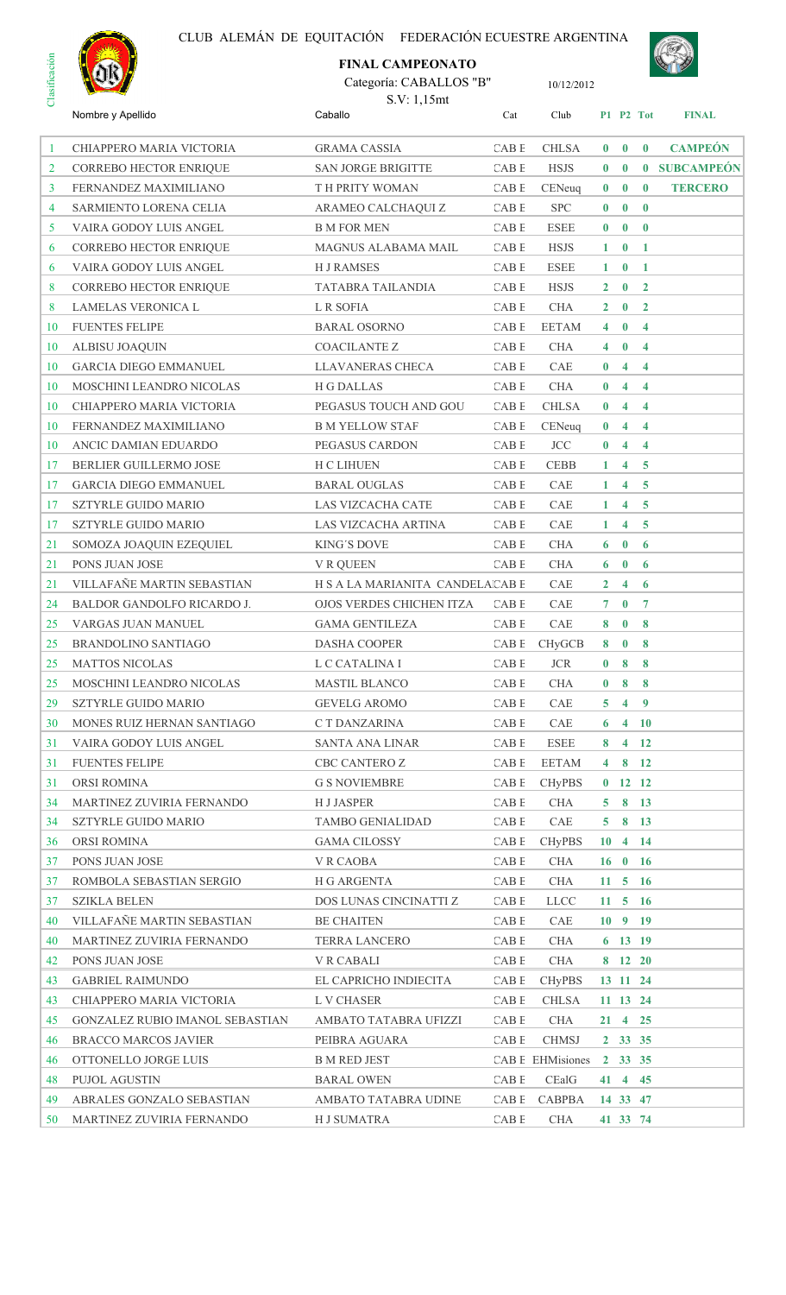

# Categoría: CABALLOS "B" **FINAL CAMPEONATO**



| Caballo<br>Nombre y Apellido<br>Cat<br>Club<br><b>FINAL</b><br>P1 P2 Tot<br><b>CAMPEÓN</b><br>CAB E<br><b>CHLSA</b><br>$0 \quad 0 \quad 0$<br>CHIAPPERO MARIA VICTORIA<br><b>GRAMA CASSIA</b><br>-1<br>0 SUBCAMPEÓN<br>CORREBO HECTOR ENRIQUE<br><b>SAN JORGE BRIGITTE</b><br>CAB E<br><b>HSJS</b><br>$\mathbf{0}$ 0<br>2<br>$0 \quad 0$<br>3<br>FERNANDEZ MAXIMILIANO<br>T H PRITY WOMAN<br>CAB E<br>CENeuq<br>$\bf{0}$<br><b>TERCERO</b><br><b>SPC</b><br>$\mathbf{0}$ 0<br>SARMIENTO LORENA CELIA<br>ARAMEO CALCHAQUI Z<br>CAB E<br>$\mathbf{0}$<br>4<br>$0 \quad 0$<br>5<br>VAIRA GODOY LUIS ANGEL<br><b>B M FOR MEN</b><br>CAB E<br><b>ESEE</b><br>$\bf{0}$<br>CAB <sub>E</sub><br>CORREBO HECTOR ENRIQUE<br>MAGNUS ALABAMA MAIL<br><b>HSJS</b><br>$1 \quad 0$<br>6<br>$\mathbf{1}$<br>VAIRA GODOY LUIS ANGEL<br><b>HJRAMSES</b><br>CAB E<br>ESEE<br>$1 \quad 0 \quad 1$<br>6<br>CORREBO HECTOR ENRIQUE<br>TATABRA TAILANDIA<br>CAB E<br><b>HSJS</b><br>$2 \quad 0$<br>$\overline{2}$<br>8<br><b>LAMELAS VERONICA L</b><br>L R SOFIA<br>CAB E<br><b>CHA</b><br>$2 \quad 0 \quad 2$<br>8<br><b>FUENTES FELIPE</b><br><b>BARAL OSORNO</b><br>CAB E<br><b>EETAM</b><br>$4\quad 0$<br>$\overline{4}$<br>10<br>$4 \quad 0$<br>ALBISU JOAQUIN<br>COACILANTE Z<br>CAB E<br><b>CHA</b><br>$\overline{4}$<br>10<br>$4 \quad 4$<br><b>GARCIA DIEGO EMMANUEL</b><br><b>LLAVANERAS CHECA</b><br>CAB E<br>CAE<br>$\mathbf{0}$<br>10<br>CAB E<br>MOSCHINI LEANDRO NICOLAS<br><b>H G DALLAS</b><br><b>CHA</b><br>$0 \quad 4 \quad 4$<br>10<br>CHIAPPERO MARIA VICTORIA<br>PEGASUS TOUCH AND GOU<br>CAB E<br>CHLSA<br>$0 \quad 4 \quad 4$<br>10<br>CABE<br>$0 \quad 4 \quad 4$<br>FERNANDEZ MAXIMILIANO<br><b>B M YELLOW STAF</b><br>CENeuq<br>10<br>ANCIC DAMIAN EDUARDO<br>PEGASUS CARDON<br>CAB E<br><b>JCC</b><br>$0 \quad 4 \quad 4$<br>10<br>BERLIER GUILLERMO JOSE<br>H C LIHUEN<br>CAB E<br><b>CEBB</b><br>$4\quad 5$<br>17<br>$1 -$<br>GARCIA DIEGO EMMANUEL<br><b>BARAL OUGLAS</b><br>CAB E<br>CAE<br>$4\quad 5$<br>17<br>$\mathbf{1}$<br>CABE<br><b>SZTYRLE GUIDO MARIO</b><br>LAS VIZCACHA CATE<br>CAE<br>$4\quad 5$<br>17<br>1<br>CAB E<br>CAE<br>SZTYRLE GUIDO MARIO<br>LAS VIZCACHA ARTINA<br>4 <sup>1</sup><br>$\overline{5}$<br>17<br>$\mathbf{1}$<br>SOMOZA JOAQUIN EZEQUIEL<br><b>KING'S DOVE</b><br>CAB E<br><b>CHA</b><br>$6\quad 0$<br>6<br>21<br>$6 \quad 0$<br>PONS JUAN JOSE<br>V R QUEEN<br>CAB E<br><b>CHA</b><br>6<br>21<br>VILLAFAÑE MARTIN SEBASTIAN<br>H S A LA MARIANITA CANDELAICAB E<br>21<br>CAE<br>$2 \quad 4$<br>6<br>BALDOR GANDOLFO RICARDO J.<br>OJOS VERDES CHICHEN ITZA<br>CAB E<br>CAE<br>$7\quad 0$<br>24<br>$\overline{7}$<br>CAE<br>VARGAS JUAN MANUEL<br><b>GAMA GENTILEZA</b><br>CAB E<br>8<br>$\bf{0}$<br>8<br>25<br>$8 \t 0$<br>8<br>25<br><b>BRANDOLINO SANTIAGO</b><br>DASHA COOPER<br>CABE<br>CHyGCB<br>CABE JCR 0 8 8<br>25 MATTOS NICOLAS<br>L C CATALINA I<br>MOSCHINI LEANDRO NICOLAS<br><b>MASTIL BLANCO</b><br>CAB E<br>$0 \t8$<br>25<br><b>CHA</b><br>-8<br>CAB E<br>29<br><b>SZTYRLE GUIDO MARIO</b><br><b>GEVELG AROMO</b><br>CAE<br>$\overline{4}$<br>$\overline{9}$<br>5 <sup>1</sup><br>MONES RUIZ HERNAN SANTIAGO<br>CABE<br>CAE<br>C T DANZARINA<br>$6 \t 4 \t 10$<br>30<br>CABE<br>ESEE<br>$4$ 12<br>VAIRA GODOY LUIS ANGEL<br>SANTA ANA LINAR<br>8<br>31<br><b>FUENTES FELIPE</b><br>CBC CANTERO Z<br>CABE<br>4812<br>31<br>EETAM<br>ORSI ROMINA<br><b>G S NOVIEMBRE</b><br>CABE<br>$0$ 12 12<br>31<br>CHyPBS<br>5813<br>MARTINEZ ZUVIRIA FERNANDO<br>H J JASPER<br>CABE<br>CHA<br>34<br>SZTYRLE GUIDO MARIO<br><b>TAMBO GENIALIDAD</b><br>CAB E<br>CAE<br>$5 \t 8 \t 13$<br>34<br>ORSI ROMINA<br><b>GAMA CILOSSY</b><br>CAB E<br>36<br><b>CHyPBS</b><br>$10 \quad 4 \quad 14$<br>PONS JUAN JOSE<br>V R CAOBA<br>CABE<br>CHA<br>$16 \t0 \t16$<br>37<br>ROMBOLA SEBASTIAN SERGIO<br>CABE<br>CHA<br>$11 \quad 5 \quad 16$<br>H G ARGENTA<br>37<br><b>SZIKLA BELEN</b><br>DOS LUNAS CINCINATTI Z<br>CABE<br><b>LLCC</b><br>$11 \quad 5 \quad 16$<br>37<br>VILLAFAÑE MARTIN SEBASTIAN<br><b>BE CHAITEN</b><br>CABE<br>CAE<br>$10 \t 9 \t 19$<br>40<br>CAB E<br>MARTINEZ ZUVIRIA FERNANDO<br>TERRA LANCERO<br>CHA<br>$6$ 13 19<br>40<br>PONS JUAN JOSE<br><b>V R CABALI</b><br>CAB E<br>CHA<br>8 12 20<br>42<br>CAB E<br><b>GABRIEL RAIMUNDO</b><br>EL CAPRICHO INDIECITA<br><b>CHyPBS</b><br>13 11 24<br>43<br>CHIAPPERO MARIA VICTORIA<br>CAB E<br>CHLSA<br>43<br>L V CHASER<br>11 13 24<br>CABE<br>CHA<br>21 4 25<br>45<br>GONZALEZ RUBIO IMANOL SEBASTIAN<br>AMBATO TATABRA UFIZZI<br><b>BRACCO MARCOS JAVIER</b><br>PEIBRA AGUARA<br>CABE<br>CHMSJ<br>2 33 35<br>46<br>OTTONELLO JORGE LUIS<br><b>B M RED JEST</b><br>CAB E EHMisiones 2 33 35<br>46<br><b>BARAL OWEN</b><br>CAB E<br>CEalG<br>41 4 45<br>48<br>PUJOL AGUSTIN<br>ABRALES GONZALO SEBASTIAN<br>AMBATO TATABRA UDINE<br>CABE<br>CABPBA<br>14 33 47<br>49<br>CAB E<br>MARTINEZ ZUVIRIA FERNANDO<br>H J SUMATRA<br>CHA<br>41 33 74<br>50 | Clas | $\sim$ | S.V: 1,15mt |  |  |  |
|----------------------------------------------------------------------------------------------------------------------------------------------------------------------------------------------------------------------------------------------------------------------------------------------------------------------------------------------------------------------------------------------------------------------------------------------------------------------------------------------------------------------------------------------------------------------------------------------------------------------------------------------------------------------------------------------------------------------------------------------------------------------------------------------------------------------------------------------------------------------------------------------------------------------------------------------------------------------------------------------------------------------------------------------------------------------------------------------------------------------------------------------------------------------------------------------------------------------------------------------------------------------------------------------------------------------------------------------------------------------------------------------------------------------------------------------------------------------------------------------------------------------------------------------------------------------------------------------------------------------------------------------------------------------------------------------------------------------------------------------------------------------------------------------------------------------------------------------------------------------------------------------------------------------------------------------------------------------------------------------------------------------------------------------------------------------------------------------------------------------------------------------------------------------------------------------------------------------------------------------------------------------------------------------------------------------------------------------------------------------------------------------------------------------------------------------------------------------------------------------------------------------------------------------------------------------------------------------------------------------------------------------------------------------------------------------------------------------------------------------------------------------------------------------------------------------------------------------------------------------------------------------------------------------------------------------------------------------------------------------------------------------------------------------------------------------------------------------------------------------------------------------------------------------------------------------------------------------------------------------------------------------------------------------------------------------------------------------------------------------------------------------------------------------------------------------------------------------------------------------------------------------------------------------------------------------------------------------------------------------------------------------------------------------------------------------------------------------------------------------------------------------------------------------------------------------------------------------------------------------------------------------------------------------------------------------------------------------------------------------------------------------------------------------------------------------------------------------------------------------------------------------------------------------------------------------------------------------------------------------------------------------------------------------------------------------------------------------------------------------------------------------------------------------------------------------------------------------------------------------------------------------------------------------------------------------------------------------------------------------------------------------------------------------------------------------------------------------------------------------------------------------------------------------------------------------------------------------------------------------------------------------------------------------------------------------------------------|------|--------|-------------|--|--|--|
|                                                                                                                                                                                                                                                                                                                                                                                                                                                                                                                                                                                                                                                                                                                                                                                                                                                                                                                                                                                                                                                                                                                                                                                                                                                                                                                                                                                                                                                                                                                                                                                                                                                                                                                                                                                                                                                                                                                                                                                                                                                                                                                                                                                                                                                                                                                                                                                                                                                                                                                                                                                                                                                                                                                                                                                                                                                                                                                                                                                                                                                                                                                                                                                                                                                                                                                                                                                                                                                                                                                                                                                                                                                                                                                                                                                                                                                                                                                                                                                                                                                                                                                                                                                                                                                                                                                                                                                                                                                                                                                                                                                                                                                                                                                                                                                                                                                                                                                                                                |      |        |             |  |  |  |
|                                                                                                                                                                                                                                                                                                                                                                                                                                                                                                                                                                                                                                                                                                                                                                                                                                                                                                                                                                                                                                                                                                                                                                                                                                                                                                                                                                                                                                                                                                                                                                                                                                                                                                                                                                                                                                                                                                                                                                                                                                                                                                                                                                                                                                                                                                                                                                                                                                                                                                                                                                                                                                                                                                                                                                                                                                                                                                                                                                                                                                                                                                                                                                                                                                                                                                                                                                                                                                                                                                                                                                                                                                                                                                                                                                                                                                                                                                                                                                                                                                                                                                                                                                                                                                                                                                                                                                                                                                                                                                                                                                                                                                                                                                                                                                                                                                                                                                                                                                |      |        |             |  |  |  |
|                                                                                                                                                                                                                                                                                                                                                                                                                                                                                                                                                                                                                                                                                                                                                                                                                                                                                                                                                                                                                                                                                                                                                                                                                                                                                                                                                                                                                                                                                                                                                                                                                                                                                                                                                                                                                                                                                                                                                                                                                                                                                                                                                                                                                                                                                                                                                                                                                                                                                                                                                                                                                                                                                                                                                                                                                                                                                                                                                                                                                                                                                                                                                                                                                                                                                                                                                                                                                                                                                                                                                                                                                                                                                                                                                                                                                                                                                                                                                                                                                                                                                                                                                                                                                                                                                                                                                                                                                                                                                                                                                                                                                                                                                                                                                                                                                                                                                                                                                                |      |        |             |  |  |  |
|                                                                                                                                                                                                                                                                                                                                                                                                                                                                                                                                                                                                                                                                                                                                                                                                                                                                                                                                                                                                                                                                                                                                                                                                                                                                                                                                                                                                                                                                                                                                                                                                                                                                                                                                                                                                                                                                                                                                                                                                                                                                                                                                                                                                                                                                                                                                                                                                                                                                                                                                                                                                                                                                                                                                                                                                                                                                                                                                                                                                                                                                                                                                                                                                                                                                                                                                                                                                                                                                                                                                                                                                                                                                                                                                                                                                                                                                                                                                                                                                                                                                                                                                                                                                                                                                                                                                                                                                                                                                                                                                                                                                                                                                                                                                                                                                                                                                                                                                                                |      |        |             |  |  |  |
|                                                                                                                                                                                                                                                                                                                                                                                                                                                                                                                                                                                                                                                                                                                                                                                                                                                                                                                                                                                                                                                                                                                                                                                                                                                                                                                                                                                                                                                                                                                                                                                                                                                                                                                                                                                                                                                                                                                                                                                                                                                                                                                                                                                                                                                                                                                                                                                                                                                                                                                                                                                                                                                                                                                                                                                                                                                                                                                                                                                                                                                                                                                                                                                                                                                                                                                                                                                                                                                                                                                                                                                                                                                                                                                                                                                                                                                                                                                                                                                                                                                                                                                                                                                                                                                                                                                                                                                                                                                                                                                                                                                                                                                                                                                                                                                                                                                                                                                                                                |      |        |             |  |  |  |
|                                                                                                                                                                                                                                                                                                                                                                                                                                                                                                                                                                                                                                                                                                                                                                                                                                                                                                                                                                                                                                                                                                                                                                                                                                                                                                                                                                                                                                                                                                                                                                                                                                                                                                                                                                                                                                                                                                                                                                                                                                                                                                                                                                                                                                                                                                                                                                                                                                                                                                                                                                                                                                                                                                                                                                                                                                                                                                                                                                                                                                                                                                                                                                                                                                                                                                                                                                                                                                                                                                                                                                                                                                                                                                                                                                                                                                                                                                                                                                                                                                                                                                                                                                                                                                                                                                                                                                                                                                                                                                                                                                                                                                                                                                                                                                                                                                                                                                                                                                |      |        |             |  |  |  |
|                                                                                                                                                                                                                                                                                                                                                                                                                                                                                                                                                                                                                                                                                                                                                                                                                                                                                                                                                                                                                                                                                                                                                                                                                                                                                                                                                                                                                                                                                                                                                                                                                                                                                                                                                                                                                                                                                                                                                                                                                                                                                                                                                                                                                                                                                                                                                                                                                                                                                                                                                                                                                                                                                                                                                                                                                                                                                                                                                                                                                                                                                                                                                                                                                                                                                                                                                                                                                                                                                                                                                                                                                                                                                                                                                                                                                                                                                                                                                                                                                                                                                                                                                                                                                                                                                                                                                                                                                                                                                                                                                                                                                                                                                                                                                                                                                                                                                                                                                                |      |        |             |  |  |  |
|                                                                                                                                                                                                                                                                                                                                                                                                                                                                                                                                                                                                                                                                                                                                                                                                                                                                                                                                                                                                                                                                                                                                                                                                                                                                                                                                                                                                                                                                                                                                                                                                                                                                                                                                                                                                                                                                                                                                                                                                                                                                                                                                                                                                                                                                                                                                                                                                                                                                                                                                                                                                                                                                                                                                                                                                                                                                                                                                                                                                                                                                                                                                                                                                                                                                                                                                                                                                                                                                                                                                                                                                                                                                                                                                                                                                                                                                                                                                                                                                                                                                                                                                                                                                                                                                                                                                                                                                                                                                                                                                                                                                                                                                                                                                                                                                                                                                                                                                                                |      |        |             |  |  |  |
|                                                                                                                                                                                                                                                                                                                                                                                                                                                                                                                                                                                                                                                                                                                                                                                                                                                                                                                                                                                                                                                                                                                                                                                                                                                                                                                                                                                                                                                                                                                                                                                                                                                                                                                                                                                                                                                                                                                                                                                                                                                                                                                                                                                                                                                                                                                                                                                                                                                                                                                                                                                                                                                                                                                                                                                                                                                                                                                                                                                                                                                                                                                                                                                                                                                                                                                                                                                                                                                                                                                                                                                                                                                                                                                                                                                                                                                                                                                                                                                                                                                                                                                                                                                                                                                                                                                                                                                                                                                                                                                                                                                                                                                                                                                                                                                                                                                                                                                                                                |      |        |             |  |  |  |
|                                                                                                                                                                                                                                                                                                                                                                                                                                                                                                                                                                                                                                                                                                                                                                                                                                                                                                                                                                                                                                                                                                                                                                                                                                                                                                                                                                                                                                                                                                                                                                                                                                                                                                                                                                                                                                                                                                                                                                                                                                                                                                                                                                                                                                                                                                                                                                                                                                                                                                                                                                                                                                                                                                                                                                                                                                                                                                                                                                                                                                                                                                                                                                                                                                                                                                                                                                                                                                                                                                                                                                                                                                                                                                                                                                                                                                                                                                                                                                                                                                                                                                                                                                                                                                                                                                                                                                                                                                                                                                                                                                                                                                                                                                                                                                                                                                                                                                                                                                |      |        |             |  |  |  |
|                                                                                                                                                                                                                                                                                                                                                                                                                                                                                                                                                                                                                                                                                                                                                                                                                                                                                                                                                                                                                                                                                                                                                                                                                                                                                                                                                                                                                                                                                                                                                                                                                                                                                                                                                                                                                                                                                                                                                                                                                                                                                                                                                                                                                                                                                                                                                                                                                                                                                                                                                                                                                                                                                                                                                                                                                                                                                                                                                                                                                                                                                                                                                                                                                                                                                                                                                                                                                                                                                                                                                                                                                                                                                                                                                                                                                                                                                                                                                                                                                                                                                                                                                                                                                                                                                                                                                                                                                                                                                                                                                                                                                                                                                                                                                                                                                                                                                                                                                                |      |        |             |  |  |  |
|                                                                                                                                                                                                                                                                                                                                                                                                                                                                                                                                                                                                                                                                                                                                                                                                                                                                                                                                                                                                                                                                                                                                                                                                                                                                                                                                                                                                                                                                                                                                                                                                                                                                                                                                                                                                                                                                                                                                                                                                                                                                                                                                                                                                                                                                                                                                                                                                                                                                                                                                                                                                                                                                                                                                                                                                                                                                                                                                                                                                                                                                                                                                                                                                                                                                                                                                                                                                                                                                                                                                                                                                                                                                                                                                                                                                                                                                                                                                                                                                                                                                                                                                                                                                                                                                                                                                                                                                                                                                                                                                                                                                                                                                                                                                                                                                                                                                                                                                                                |      |        |             |  |  |  |
|                                                                                                                                                                                                                                                                                                                                                                                                                                                                                                                                                                                                                                                                                                                                                                                                                                                                                                                                                                                                                                                                                                                                                                                                                                                                                                                                                                                                                                                                                                                                                                                                                                                                                                                                                                                                                                                                                                                                                                                                                                                                                                                                                                                                                                                                                                                                                                                                                                                                                                                                                                                                                                                                                                                                                                                                                                                                                                                                                                                                                                                                                                                                                                                                                                                                                                                                                                                                                                                                                                                                                                                                                                                                                                                                                                                                                                                                                                                                                                                                                                                                                                                                                                                                                                                                                                                                                                                                                                                                                                                                                                                                                                                                                                                                                                                                                                                                                                                                                                |      |        |             |  |  |  |
|                                                                                                                                                                                                                                                                                                                                                                                                                                                                                                                                                                                                                                                                                                                                                                                                                                                                                                                                                                                                                                                                                                                                                                                                                                                                                                                                                                                                                                                                                                                                                                                                                                                                                                                                                                                                                                                                                                                                                                                                                                                                                                                                                                                                                                                                                                                                                                                                                                                                                                                                                                                                                                                                                                                                                                                                                                                                                                                                                                                                                                                                                                                                                                                                                                                                                                                                                                                                                                                                                                                                                                                                                                                                                                                                                                                                                                                                                                                                                                                                                                                                                                                                                                                                                                                                                                                                                                                                                                                                                                                                                                                                                                                                                                                                                                                                                                                                                                                                                                |      |        |             |  |  |  |
|                                                                                                                                                                                                                                                                                                                                                                                                                                                                                                                                                                                                                                                                                                                                                                                                                                                                                                                                                                                                                                                                                                                                                                                                                                                                                                                                                                                                                                                                                                                                                                                                                                                                                                                                                                                                                                                                                                                                                                                                                                                                                                                                                                                                                                                                                                                                                                                                                                                                                                                                                                                                                                                                                                                                                                                                                                                                                                                                                                                                                                                                                                                                                                                                                                                                                                                                                                                                                                                                                                                                                                                                                                                                                                                                                                                                                                                                                                                                                                                                                                                                                                                                                                                                                                                                                                                                                                                                                                                                                                                                                                                                                                                                                                                                                                                                                                                                                                                                                                |      |        |             |  |  |  |
|                                                                                                                                                                                                                                                                                                                                                                                                                                                                                                                                                                                                                                                                                                                                                                                                                                                                                                                                                                                                                                                                                                                                                                                                                                                                                                                                                                                                                                                                                                                                                                                                                                                                                                                                                                                                                                                                                                                                                                                                                                                                                                                                                                                                                                                                                                                                                                                                                                                                                                                                                                                                                                                                                                                                                                                                                                                                                                                                                                                                                                                                                                                                                                                                                                                                                                                                                                                                                                                                                                                                                                                                                                                                                                                                                                                                                                                                                                                                                                                                                                                                                                                                                                                                                                                                                                                                                                                                                                                                                                                                                                                                                                                                                                                                                                                                                                                                                                                                                                |      |        |             |  |  |  |
|                                                                                                                                                                                                                                                                                                                                                                                                                                                                                                                                                                                                                                                                                                                                                                                                                                                                                                                                                                                                                                                                                                                                                                                                                                                                                                                                                                                                                                                                                                                                                                                                                                                                                                                                                                                                                                                                                                                                                                                                                                                                                                                                                                                                                                                                                                                                                                                                                                                                                                                                                                                                                                                                                                                                                                                                                                                                                                                                                                                                                                                                                                                                                                                                                                                                                                                                                                                                                                                                                                                                                                                                                                                                                                                                                                                                                                                                                                                                                                                                                                                                                                                                                                                                                                                                                                                                                                                                                                                                                                                                                                                                                                                                                                                                                                                                                                                                                                                                                                |      |        |             |  |  |  |
|                                                                                                                                                                                                                                                                                                                                                                                                                                                                                                                                                                                                                                                                                                                                                                                                                                                                                                                                                                                                                                                                                                                                                                                                                                                                                                                                                                                                                                                                                                                                                                                                                                                                                                                                                                                                                                                                                                                                                                                                                                                                                                                                                                                                                                                                                                                                                                                                                                                                                                                                                                                                                                                                                                                                                                                                                                                                                                                                                                                                                                                                                                                                                                                                                                                                                                                                                                                                                                                                                                                                                                                                                                                                                                                                                                                                                                                                                                                                                                                                                                                                                                                                                                                                                                                                                                                                                                                                                                                                                                                                                                                                                                                                                                                                                                                                                                                                                                                                                                |      |        |             |  |  |  |
|                                                                                                                                                                                                                                                                                                                                                                                                                                                                                                                                                                                                                                                                                                                                                                                                                                                                                                                                                                                                                                                                                                                                                                                                                                                                                                                                                                                                                                                                                                                                                                                                                                                                                                                                                                                                                                                                                                                                                                                                                                                                                                                                                                                                                                                                                                                                                                                                                                                                                                                                                                                                                                                                                                                                                                                                                                                                                                                                                                                                                                                                                                                                                                                                                                                                                                                                                                                                                                                                                                                                                                                                                                                                                                                                                                                                                                                                                                                                                                                                                                                                                                                                                                                                                                                                                                                                                                                                                                                                                                                                                                                                                                                                                                                                                                                                                                                                                                                                                                |      |        |             |  |  |  |
|                                                                                                                                                                                                                                                                                                                                                                                                                                                                                                                                                                                                                                                                                                                                                                                                                                                                                                                                                                                                                                                                                                                                                                                                                                                                                                                                                                                                                                                                                                                                                                                                                                                                                                                                                                                                                                                                                                                                                                                                                                                                                                                                                                                                                                                                                                                                                                                                                                                                                                                                                                                                                                                                                                                                                                                                                                                                                                                                                                                                                                                                                                                                                                                                                                                                                                                                                                                                                                                                                                                                                                                                                                                                                                                                                                                                                                                                                                                                                                                                                                                                                                                                                                                                                                                                                                                                                                                                                                                                                                                                                                                                                                                                                                                                                                                                                                                                                                                                                                |      |        |             |  |  |  |
|                                                                                                                                                                                                                                                                                                                                                                                                                                                                                                                                                                                                                                                                                                                                                                                                                                                                                                                                                                                                                                                                                                                                                                                                                                                                                                                                                                                                                                                                                                                                                                                                                                                                                                                                                                                                                                                                                                                                                                                                                                                                                                                                                                                                                                                                                                                                                                                                                                                                                                                                                                                                                                                                                                                                                                                                                                                                                                                                                                                                                                                                                                                                                                                                                                                                                                                                                                                                                                                                                                                                                                                                                                                                                                                                                                                                                                                                                                                                                                                                                                                                                                                                                                                                                                                                                                                                                                                                                                                                                                                                                                                                                                                                                                                                                                                                                                                                                                                                                                |      |        |             |  |  |  |
|                                                                                                                                                                                                                                                                                                                                                                                                                                                                                                                                                                                                                                                                                                                                                                                                                                                                                                                                                                                                                                                                                                                                                                                                                                                                                                                                                                                                                                                                                                                                                                                                                                                                                                                                                                                                                                                                                                                                                                                                                                                                                                                                                                                                                                                                                                                                                                                                                                                                                                                                                                                                                                                                                                                                                                                                                                                                                                                                                                                                                                                                                                                                                                                                                                                                                                                                                                                                                                                                                                                                                                                                                                                                                                                                                                                                                                                                                                                                                                                                                                                                                                                                                                                                                                                                                                                                                                                                                                                                                                                                                                                                                                                                                                                                                                                                                                                                                                                                                                |      |        |             |  |  |  |
|                                                                                                                                                                                                                                                                                                                                                                                                                                                                                                                                                                                                                                                                                                                                                                                                                                                                                                                                                                                                                                                                                                                                                                                                                                                                                                                                                                                                                                                                                                                                                                                                                                                                                                                                                                                                                                                                                                                                                                                                                                                                                                                                                                                                                                                                                                                                                                                                                                                                                                                                                                                                                                                                                                                                                                                                                                                                                                                                                                                                                                                                                                                                                                                                                                                                                                                                                                                                                                                                                                                                                                                                                                                                                                                                                                                                                                                                                                                                                                                                                                                                                                                                                                                                                                                                                                                                                                                                                                                                                                                                                                                                                                                                                                                                                                                                                                                                                                                                                                |      |        |             |  |  |  |
|                                                                                                                                                                                                                                                                                                                                                                                                                                                                                                                                                                                                                                                                                                                                                                                                                                                                                                                                                                                                                                                                                                                                                                                                                                                                                                                                                                                                                                                                                                                                                                                                                                                                                                                                                                                                                                                                                                                                                                                                                                                                                                                                                                                                                                                                                                                                                                                                                                                                                                                                                                                                                                                                                                                                                                                                                                                                                                                                                                                                                                                                                                                                                                                                                                                                                                                                                                                                                                                                                                                                                                                                                                                                                                                                                                                                                                                                                                                                                                                                                                                                                                                                                                                                                                                                                                                                                                                                                                                                                                                                                                                                                                                                                                                                                                                                                                                                                                                                                                |      |        |             |  |  |  |
|                                                                                                                                                                                                                                                                                                                                                                                                                                                                                                                                                                                                                                                                                                                                                                                                                                                                                                                                                                                                                                                                                                                                                                                                                                                                                                                                                                                                                                                                                                                                                                                                                                                                                                                                                                                                                                                                                                                                                                                                                                                                                                                                                                                                                                                                                                                                                                                                                                                                                                                                                                                                                                                                                                                                                                                                                                                                                                                                                                                                                                                                                                                                                                                                                                                                                                                                                                                                                                                                                                                                                                                                                                                                                                                                                                                                                                                                                                                                                                                                                                                                                                                                                                                                                                                                                                                                                                                                                                                                                                                                                                                                                                                                                                                                                                                                                                                                                                                                                                |      |        |             |  |  |  |
|                                                                                                                                                                                                                                                                                                                                                                                                                                                                                                                                                                                                                                                                                                                                                                                                                                                                                                                                                                                                                                                                                                                                                                                                                                                                                                                                                                                                                                                                                                                                                                                                                                                                                                                                                                                                                                                                                                                                                                                                                                                                                                                                                                                                                                                                                                                                                                                                                                                                                                                                                                                                                                                                                                                                                                                                                                                                                                                                                                                                                                                                                                                                                                                                                                                                                                                                                                                                                                                                                                                                                                                                                                                                                                                                                                                                                                                                                                                                                                                                                                                                                                                                                                                                                                                                                                                                                                                                                                                                                                                                                                                                                                                                                                                                                                                                                                                                                                                                                                |      |        |             |  |  |  |
|                                                                                                                                                                                                                                                                                                                                                                                                                                                                                                                                                                                                                                                                                                                                                                                                                                                                                                                                                                                                                                                                                                                                                                                                                                                                                                                                                                                                                                                                                                                                                                                                                                                                                                                                                                                                                                                                                                                                                                                                                                                                                                                                                                                                                                                                                                                                                                                                                                                                                                                                                                                                                                                                                                                                                                                                                                                                                                                                                                                                                                                                                                                                                                                                                                                                                                                                                                                                                                                                                                                                                                                                                                                                                                                                                                                                                                                                                                                                                                                                                                                                                                                                                                                                                                                                                                                                                                                                                                                                                                                                                                                                                                                                                                                                                                                                                                                                                                                                                                |      |        |             |  |  |  |
|                                                                                                                                                                                                                                                                                                                                                                                                                                                                                                                                                                                                                                                                                                                                                                                                                                                                                                                                                                                                                                                                                                                                                                                                                                                                                                                                                                                                                                                                                                                                                                                                                                                                                                                                                                                                                                                                                                                                                                                                                                                                                                                                                                                                                                                                                                                                                                                                                                                                                                                                                                                                                                                                                                                                                                                                                                                                                                                                                                                                                                                                                                                                                                                                                                                                                                                                                                                                                                                                                                                                                                                                                                                                                                                                                                                                                                                                                                                                                                                                                                                                                                                                                                                                                                                                                                                                                                                                                                                                                                                                                                                                                                                                                                                                                                                                                                                                                                                                                                |      |        |             |  |  |  |
|                                                                                                                                                                                                                                                                                                                                                                                                                                                                                                                                                                                                                                                                                                                                                                                                                                                                                                                                                                                                                                                                                                                                                                                                                                                                                                                                                                                                                                                                                                                                                                                                                                                                                                                                                                                                                                                                                                                                                                                                                                                                                                                                                                                                                                                                                                                                                                                                                                                                                                                                                                                                                                                                                                                                                                                                                                                                                                                                                                                                                                                                                                                                                                                                                                                                                                                                                                                                                                                                                                                                                                                                                                                                                                                                                                                                                                                                                                                                                                                                                                                                                                                                                                                                                                                                                                                                                                                                                                                                                                                                                                                                                                                                                                                                                                                                                                                                                                                                                                |      |        |             |  |  |  |
|                                                                                                                                                                                                                                                                                                                                                                                                                                                                                                                                                                                                                                                                                                                                                                                                                                                                                                                                                                                                                                                                                                                                                                                                                                                                                                                                                                                                                                                                                                                                                                                                                                                                                                                                                                                                                                                                                                                                                                                                                                                                                                                                                                                                                                                                                                                                                                                                                                                                                                                                                                                                                                                                                                                                                                                                                                                                                                                                                                                                                                                                                                                                                                                                                                                                                                                                                                                                                                                                                                                                                                                                                                                                                                                                                                                                                                                                                                                                                                                                                                                                                                                                                                                                                                                                                                                                                                                                                                                                                                                                                                                                                                                                                                                                                                                                                                                                                                                                                                |      |        |             |  |  |  |
|                                                                                                                                                                                                                                                                                                                                                                                                                                                                                                                                                                                                                                                                                                                                                                                                                                                                                                                                                                                                                                                                                                                                                                                                                                                                                                                                                                                                                                                                                                                                                                                                                                                                                                                                                                                                                                                                                                                                                                                                                                                                                                                                                                                                                                                                                                                                                                                                                                                                                                                                                                                                                                                                                                                                                                                                                                                                                                                                                                                                                                                                                                                                                                                                                                                                                                                                                                                                                                                                                                                                                                                                                                                                                                                                                                                                                                                                                                                                                                                                                                                                                                                                                                                                                                                                                                                                                                                                                                                                                                                                                                                                                                                                                                                                                                                                                                                                                                                                                                |      |        |             |  |  |  |
|                                                                                                                                                                                                                                                                                                                                                                                                                                                                                                                                                                                                                                                                                                                                                                                                                                                                                                                                                                                                                                                                                                                                                                                                                                                                                                                                                                                                                                                                                                                                                                                                                                                                                                                                                                                                                                                                                                                                                                                                                                                                                                                                                                                                                                                                                                                                                                                                                                                                                                                                                                                                                                                                                                                                                                                                                                                                                                                                                                                                                                                                                                                                                                                                                                                                                                                                                                                                                                                                                                                                                                                                                                                                                                                                                                                                                                                                                                                                                                                                                                                                                                                                                                                                                                                                                                                                                                                                                                                                                                                                                                                                                                                                                                                                                                                                                                                                                                                                                                |      |        |             |  |  |  |
|                                                                                                                                                                                                                                                                                                                                                                                                                                                                                                                                                                                                                                                                                                                                                                                                                                                                                                                                                                                                                                                                                                                                                                                                                                                                                                                                                                                                                                                                                                                                                                                                                                                                                                                                                                                                                                                                                                                                                                                                                                                                                                                                                                                                                                                                                                                                                                                                                                                                                                                                                                                                                                                                                                                                                                                                                                                                                                                                                                                                                                                                                                                                                                                                                                                                                                                                                                                                                                                                                                                                                                                                                                                                                                                                                                                                                                                                                                                                                                                                                                                                                                                                                                                                                                                                                                                                                                                                                                                                                                                                                                                                                                                                                                                                                                                                                                                                                                                                                                |      |        |             |  |  |  |
|                                                                                                                                                                                                                                                                                                                                                                                                                                                                                                                                                                                                                                                                                                                                                                                                                                                                                                                                                                                                                                                                                                                                                                                                                                                                                                                                                                                                                                                                                                                                                                                                                                                                                                                                                                                                                                                                                                                                                                                                                                                                                                                                                                                                                                                                                                                                                                                                                                                                                                                                                                                                                                                                                                                                                                                                                                                                                                                                                                                                                                                                                                                                                                                                                                                                                                                                                                                                                                                                                                                                                                                                                                                                                                                                                                                                                                                                                                                                                                                                                                                                                                                                                                                                                                                                                                                                                                                                                                                                                                                                                                                                                                                                                                                                                                                                                                                                                                                                                                |      |        |             |  |  |  |
|                                                                                                                                                                                                                                                                                                                                                                                                                                                                                                                                                                                                                                                                                                                                                                                                                                                                                                                                                                                                                                                                                                                                                                                                                                                                                                                                                                                                                                                                                                                                                                                                                                                                                                                                                                                                                                                                                                                                                                                                                                                                                                                                                                                                                                                                                                                                                                                                                                                                                                                                                                                                                                                                                                                                                                                                                                                                                                                                                                                                                                                                                                                                                                                                                                                                                                                                                                                                                                                                                                                                                                                                                                                                                                                                                                                                                                                                                                                                                                                                                                                                                                                                                                                                                                                                                                                                                                                                                                                                                                                                                                                                                                                                                                                                                                                                                                                                                                                                                                |      |        |             |  |  |  |
|                                                                                                                                                                                                                                                                                                                                                                                                                                                                                                                                                                                                                                                                                                                                                                                                                                                                                                                                                                                                                                                                                                                                                                                                                                                                                                                                                                                                                                                                                                                                                                                                                                                                                                                                                                                                                                                                                                                                                                                                                                                                                                                                                                                                                                                                                                                                                                                                                                                                                                                                                                                                                                                                                                                                                                                                                                                                                                                                                                                                                                                                                                                                                                                                                                                                                                                                                                                                                                                                                                                                                                                                                                                                                                                                                                                                                                                                                                                                                                                                                                                                                                                                                                                                                                                                                                                                                                                                                                                                                                                                                                                                                                                                                                                                                                                                                                                                                                                                                                |      |        |             |  |  |  |
|                                                                                                                                                                                                                                                                                                                                                                                                                                                                                                                                                                                                                                                                                                                                                                                                                                                                                                                                                                                                                                                                                                                                                                                                                                                                                                                                                                                                                                                                                                                                                                                                                                                                                                                                                                                                                                                                                                                                                                                                                                                                                                                                                                                                                                                                                                                                                                                                                                                                                                                                                                                                                                                                                                                                                                                                                                                                                                                                                                                                                                                                                                                                                                                                                                                                                                                                                                                                                                                                                                                                                                                                                                                                                                                                                                                                                                                                                                                                                                                                                                                                                                                                                                                                                                                                                                                                                                                                                                                                                                                                                                                                                                                                                                                                                                                                                                                                                                                                                                |      |        |             |  |  |  |
|                                                                                                                                                                                                                                                                                                                                                                                                                                                                                                                                                                                                                                                                                                                                                                                                                                                                                                                                                                                                                                                                                                                                                                                                                                                                                                                                                                                                                                                                                                                                                                                                                                                                                                                                                                                                                                                                                                                                                                                                                                                                                                                                                                                                                                                                                                                                                                                                                                                                                                                                                                                                                                                                                                                                                                                                                                                                                                                                                                                                                                                                                                                                                                                                                                                                                                                                                                                                                                                                                                                                                                                                                                                                                                                                                                                                                                                                                                                                                                                                                                                                                                                                                                                                                                                                                                                                                                                                                                                                                                                                                                                                                                                                                                                                                                                                                                                                                                                                                                |      |        |             |  |  |  |
|                                                                                                                                                                                                                                                                                                                                                                                                                                                                                                                                                                                                                                                                                                                                                                                                                                                                                                                                                                                                                                                                                                                                                                                                                                                                                                                                                                                                                                                                                                                                                                                                                                                                                                                                                                                                                                                                                                                                                                                                                                                                                                                                                                                                                                                                                                                                                                                                                                                                                                                                                                                                                                                                                                                                                                                                                                                                                                                                                                                                                                                                                                                                                                                                                                                                                                                                                                                                                                                                                                                                                                                                                                                                                                                                                                                                                                                                                                                                                                                                                                                                                                                                                                                                                                                                                                                                                                                                                                                                                                                                                                                                                                                                                                                                                                                                                                                                                                                                                                |      |        |             |  |  |  |
|                                                                                                                                                                                                                                                                                                                                                                                                                                                                                                                                                                                                                                                                                                                                                                                                                                                                                                                                                                                                                                                                                                                                                                                                                                                                                                                                                                                                                                                                                                                                                                                                                                                                                                                                                                                                                                                                                                                                                                                                                                                                                                                                                                                                                                                                                                                                                                                                                                                                                                                                                                                                                                                                                                                                                                                                                                                                                                                                                                                                                                                                                                                                                                                                                                                                                                                                                                                                                                                                                                                                                                                                                                                                                                                                                                                                                                                                                                                                                                                                                                                                                                                                                                                                                                                                                                                                                                                                                                                                                                                                                                                                                                                                                                                                                                                                                                                                                                                                                                |      |        |             |  |  |  |
|                                                                                                                                                                                                                                                                                                                                                                                                                                                                                                                                                                                                                                                                                                                                                                                                                                                                                                                                                                                                                                                                                                                                                                                                                                                                                                                                                                                                                                                                                                                                                                                                                                                                                                                                                                                                                                                                                                                                                                                                                                                                                                                                                                                                                                                                                                                                                                                                                                                                                                                                                                                                                                                                                                                                                                                                                                                                                                                                                                                                                                                                                                                                                                                                                                                                                                                                                                                                                                                                                                                                                                                                                                                                                                                                                                                                                                                                                                                                                                                                                                                                                                                                                                                                                                                                                                                                                                                                                                                                                                                                                                                                                                                                                                                                                                                                                                                                                                                                                                |      |        |             |  |  |  |
|                                                                                                                                                                                                                                                                                                                                                                                                                                                                                                                                                                                                                                                                                                                                                                                                                                                                                                                                                                                                                                                                                                                                                                                                                                                                                                                                                                                                                                                                                                                                                                                                                                                                                                                                                                                                                                                                                                                                                                                                                                                                                                                                                                                                                                                                                                                                                                                                                                                                                                                                                                                                                                                                                                                                                                                                                                                                                                                                                                                                                                                                                                                                                                                                                                                                                                                                                                                                                                                                                                                                                                                                                                                                                                                                                                                                                                                                                                                                                                                                                                                                                                                                                                                                                                                                                                                                                                                                                                                                                                                                                                                                                                                                                                                                                                                                                                                                                                                                                                |      |        |             |  |  |  |
|                                                                                                                                                                                                                                                                                                                                                                                                                                                                                                                                                                                                                                                                                                                                                                                                                                                                                                                                                                                                                                                                                                                                                                                                                                                                                                                                                                                                                                                                                                                                                                                                                                                                                                                                                                                                                                                                                                                                                                                                                                                                                                                                                                                                                                                                                                                                                                                                                                                                                                                                                                                                                                                                                                                                                                                                                                                                                                                                                                                                                                                                                                                                                                                                                                                                                                                                                                                                                                                                                                                                                                                                                                                                                                                                                                                                                                                                                                                                                                                                                                                                                                                                                                                                                                                                                                                                                                                                                                                                                                                                                                                                                                                                                                                                                                                                                                                                                                                                                                |      |        |             |  |  |  |
|                                                                                                                                                                                                                                                                                                                                                                                                                                                                                                                                                                                                                                                                                                                                                                                                                                                                                                                                                                                                                                                                                                                                                                                                                                                                                                                                                                                                                                                                                                                                                                                                                                                                                                                                                                                                                                                                                                                                                                                                                                                                                                                                                                                                                                                                                                                                                                                                                                                                                                                                                                                                                                                                                                                                                                                                                                                                                                                                                                                                                                                                                                                                                                                                                                                                                                                                                                                                                                                                                                                                                                                                                                                                                                                                                                                                                                                                                                                                                                                                                                                                                                                                                                                                                                                                                                                                                                                                                                                                                                                                                                                                                                                                                                                                                                                                                                                                                                                                                                |      |        |             |  |  |  |
|                                                                                                                                                                                                                                                                                                                                                                                                                                                                                                                                                                                                                                                                                                                                                                                                                                                                                                                                                                                                                                                                                                                                                                                                                                                                                                                                                                                                                                                                                                                                                                                                                                                                                                                                                                                                                                                                                                                                                                                                                                                                                                                                                                                                                                                                                                                                                                                                                                                                                                                                                                                                                                                                                                                                                                                                                                                                                                                                                                                                                                                                                                                                                                                                                                                                                                                                                                                                                                                                                                                                                                                                                                                                                                                                                                                                                                                                                                                                                                                                                                                                                                                                                                                                                                                                                                                                                                                                                                                                                                                                                                                                                                                                                                                                                                                                                                                                                                                                                                |      |        |             |  |  |  |
|                                                                                                                                                                                                                                                                                                                                                                                                                                                                                                                                                                                                                                                                                                                                                                                                                                                                                                                                                                                                                                                                                                                                                                                                                                                                                                                                                                                                                                                                                                                                                                                                                                                                                                                                                                                                                                                                                                                                                                                                                                                                                                                                                                                                                                                                                                                                                                                                                                                                                                                                                                                                                                                                                                                                                                                                                                                                                                                                                                                                                                                                                                                                                                                                                                                                                                                                                                                                                                                                                                                                                                                                                                                                                                                                                                                                                                                                                                                                                                                                                                                                                                                                                                                                                                                                                                                                                                                                                                                                                                                                                                                                                                                                                                                                                                                                                                                                                                                                                                |      |        |             |  |  |  |
|                                                                                                                                                                                                                                                                                                                                                                                                                                                                                                                                                                                                                                                                                                                                                                                                                                                                                                                                                                                                                                                                                                                                                                                                                                                                                                                                                                                                                                                                                                                                                                                                                                                                                                                                                                                                                                                                                                                                                                                                                                                                                                                                                                                                                                                                                                                                                                                                                                                                                                                                                                                                                                                                                                                                                                                                                                                                                                                                                                                                                                                                                                                                                                                                                                                                                                                                                                                                                                                                                                                                                                                                                                                                                                                                                                                                                                                                                                                                                                                                                                                                                                                                                                                                                                                                                                                                                                                                                                                                                                                                                                                                                                                                                                                                                                                                                                                                                                                                                                |      |        |             |  |  |  |
|                                                                                                                                                                                                                                                                                                                                                                                                                                                                                                                                                                                                                                                                                                                                                                                                                                                                                                                                                                                                                                                                                                                                                                                                                                                                                                                                                                                                                                                                                                                                                                                                                                                                                                                                                                                                                                                                                                                                                                                                                                                                                                                                                                                                                                                                                                                                                                                                                                                                                                                                                                                                                                                                                                                                                                                                                                                                                                                                                                                                                                                                                                                                                                                                                                                                                                                                                                                                                                                                                                                                                                                                                                                                                                                                                                                                                                                                                                                                                                                                                                                                                                                                                                                                                                                                                                                                                                                                                                                                                                                                                                                                                                                                                                                                                                                                                                                                                                                                                                |      |        |             |  |  |  |
|                                                                                                                                                                                                                                                                                                                                                                                                                                                                                                                                                                                                                                                                                                                                                                                                                                                                                                                                                                                                                                                                                                                                                                                                                                                                                                                                                                                                                                                                                                                                                                                                                                                                                                                                                                                                                                                                                                                                                                                                                                                                                                                                                                                                                                                                                                                                                                                                                                                                                                                                                                                                                                                                                                                                                                                                                                                                                                                                                                                                                                                                                                                                                                                                                                                                                                                                                                                                                                                                                                                                                                                                                                                                                                                                                                                                                                                                                                                                                                                                                                                                                                                                                                                                                                                                                                                                                                                                                                                                                                                                                                                                                                                                                                                                                                                                                                                                                                                                                                |      |        |             |  |  |  |
|                                                                                                                                                                                                                                                                                                                                                                                                                                                                                                                                                                                                                                                                                                                                                                                                                                                                                                                                                                                                                                                                                                                                                                                                                                                                                                                                                                                                                                                                                                                                                                                                                                                                                                                                                                                                                                                                                                                                                                                                                                                                                                                                                                                                                                                                                                                                                                                                                                                                                                                                                                                                                                                                                                                                                                                                                                                                                                                                                                                                                                                                                                                                                                                                                                                                                                                                                                                                                                                                                                                                                                                                                                                                                                                                                                                                                                                                                                                                                                                                                                                                                                                                                                                                                                                                                                                                                                                                                                                                                                                                                                                                                                                                                                                                                                                                                                                                                                                                                                |      |        |             |  |  |  |
|                                                                                                                                                                                                                                                                                                                                                                                                                                                                                                                                                                                                                                                                                                                                                                                                                                                                                                                                                                                                                                                                                                                                                                                                                                                                                                                                                                                                                                                                                                                                                                                                                                                                                                                                                                                                                                                                                                                                                                                                                                                                                                                                                                                                                                                                                                                                                                                                                                                                                                                                                                                                                                                                                                                                                                                                                                                                                                                                                                                                                                                                                                                                                                                                                                                                                                                                                                                                                                                                                                                                                                                                                                                                                                                                                                                                                                                                                                                                                                                                                                                                                                                                                                                                                                                                                                                                                                                                                                                                                                                                                                                                                                                                                                                                                                                                                                                                                                                                                                |      |        |             |  |  |  |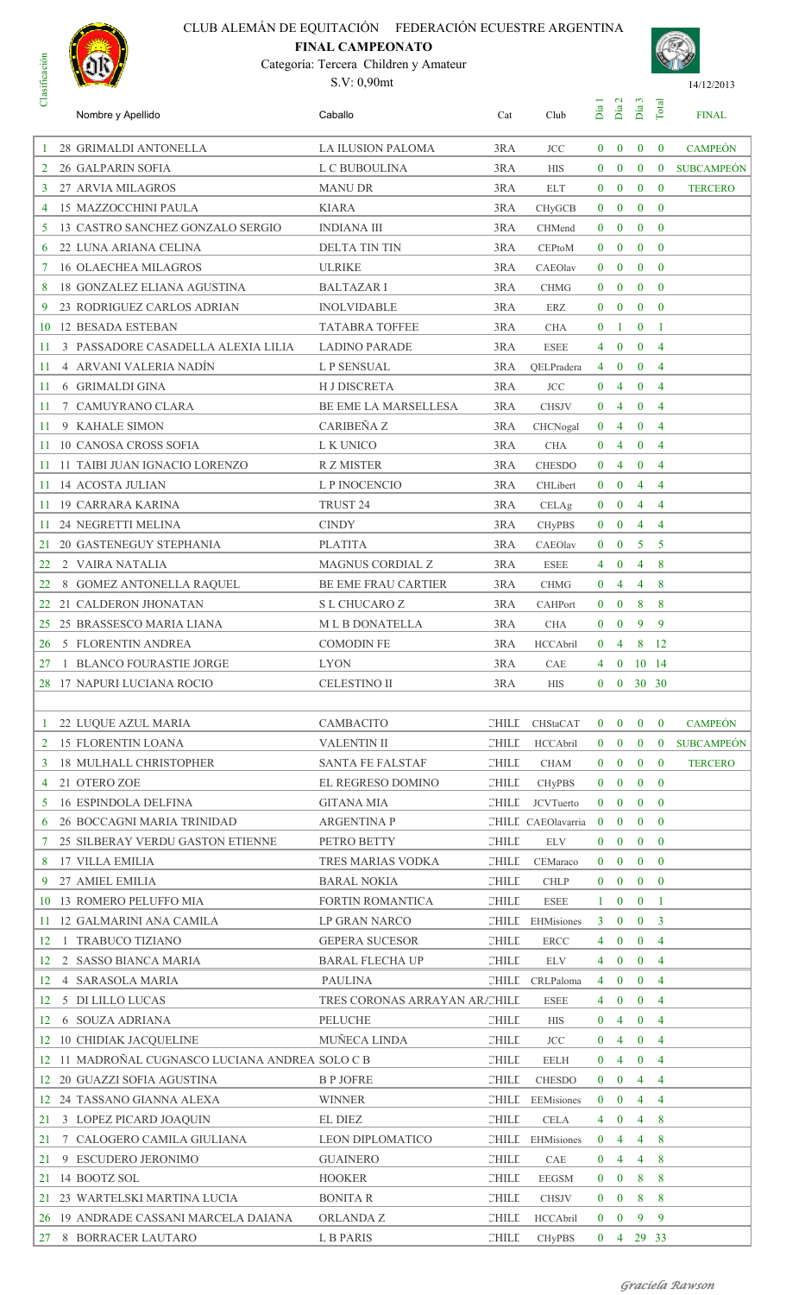# **Clasificación**

# CLUB ALEMÁN DE EQUITACIÓN FEDERACIÓN ECUESTRE ARGENTINA

# **FINAL CAMPEONATO**

Categoría: Tercera Children y Amateur S.V: 0,90mt



| ℧                  | Nombre y Apellido                               | Caballo                       | Cat                                  | Club               | Día            | Día <sub>2</sub> | Día <sub>3</sub>     | Total          | <b>FINAL</b>      |
|--------------------|-------------------------------------------------|-------------------------------|--------------------------------------|--------------------|----------------|------------------|----------------------|----------------|-------------------|
|                    | 28 GRIMALDI ANTONELLA                           | <b>LA ILUSION PALOMA</b>      | 3RA                                  | <b>JCC</b>         | $\mathbf{0}$   | $\bf{0}$         | $\bf{0}$             | $\mathbf{0}$   | <b>CAMPEÓN</b>    |
| 2                  | <b>26 GALPARIN SOFIA</b>                        | L C BUBOULINA                 | 3RA                                  | <b>HIS</b>         | $\mathbf{0}$   | $\mathbf{0}$     | $\bf{0}$             | $\bf{0}$       | <b>SUBCAMPEÓN</b> |
| 3                  | 27 ARVIA MILAGROS                               | <b>MANU DR</b>                | 3RA                                  | <b>ELT</b>         | $\bf{0}$       | $\bf{0}$         | $\mathbf{0}$         | $\bf{0}$       | <b>TERCERO</b>    |
| 4                  | <b>15 MAZZOCCHINI PAULA</b>                     | <b>KIARA</b>                  | 3RA                                  | CHyGCB             | $\bf{0}$       | $\bf{0}$         | $\mathbf{0}$         | $\theta$       |                   |
| 5                  | 13 CASTRO SANCHEZ GONZALO SERGIO                | <b>INDIANA III</b>            | 3RA                                  | CHMend             | $\mathbf{0}$   | $\bf{0}$         | $\mathbf{0}$         | $\mathbf{0}$   |                   |
| 6                  | 22 LUNA ARIANA CELINA                           | DELTA TIN TIN                 | 3RA                                  | <b>CEPtoM</b>      | $\mathbf{0}$   | $\bf{0}$         | $\mathbf{0}$         | $\bf{0}$       |                   |
| 7                  | <b>16 OLAECHEA MILAGROS</b>                     | <b>ULRIKE</b>                 | 3RA                                  | CAEOlav            | $\mathbf{0}$   | $\bf{0}$         | $\mathbf{0}$         | $\theta$       |                   |
| 8                  | <b>18 GONZALEZ ELIANA AGUSTINA</b>              | <b>BALTAZAR I</b>             | 3RA                                  | <b>CHMG</b>        | $\mathbf{0}$   | $\bf{0}$         | $\mathbf{0}$         | $\bf{0}$       |                   |
| 9                  | 23 RODRIGUEZ CARLOS ADRIAN                      | <b>INOLVIDABLE</b>            | 3RA                                  | ERZ                | $\bf{0}$       | $\bf{0}$         | $\mathbf{0}$         | $\theta$       |                   |
| 10                 | 12 BESADA ESTEBAN                               | <b>TATABRA TOFFEE</b>         | 3RA                                  | <b>CHA</b>         | $\bf{0}$       | 1                | $\mathbf{0}$         | -1             |                   |
| 11                 | 3 PASSADORE CASADELLA ALEXIA LILIA              | <b>LADINO PARADE</b>          | 3RA                                  | <b>ESEE</b>        | 4              | $\bf{0}$         | $\mathbf{0}$         | $\overline{4}$ |                   |
| 11                 | 4 ARVANI VALERIA NADÍN                          | L P SENSUAL                   | 3RA                                  | QELPradera         | 4              | $\bf{0}$         | $\mathbf{0}$         | $\overline{4}$ |                   |
| 11                 | 6 GRIMALDI GINA                                 | <b>H J DISCRETA</b>           | 3RA                                  | <b>JCC</b>         | $\bf{0}$       | 4                | $\bf{0}$             | 4              |                   |
| 11                 | 7 CAMUYRANO CLARA                               | BE EME LA MARSELLESA          | 3RA                                  | <b>CHSJV</b>       | $\bf{0}$       | 4                | $\mathbf{0}$         | 4              |                   |
| 11                 | 9 KAHALE SIMON                                  | CARIBEÑA Z                    | 3RA                                  | CHCNogal           | $\bf{0}$       | 4                | $\bf{0}$             | $\overline{4}$ |                   |
| 11                 | <b>10 CANOSA CROSS SOFIA</b>                    | L K UNICO                     | 3RA                                  | <b>CHA</b>         | $\bf{0}$       | 4                | $\mathbf{0}$         | $\overline{4}$ |                   |
| 11                 | 11 TAIBI JUAN IGNACIO LORENZO                   | R Z MISTER                    | 3RA                                  | <b>CHESDO</b>      | $\mathbf{0}$   | 4                | $\mathbf{0}$         | 4              |                   |
| 11                 | <b>14 ACOSTA JULIAN</b>                         | L P INOCENCIO                 | 3RA                                  | CHLibert           | $\bf{0}$       | $\bf{0}$         | 4                    | $\overline{4}$ |                   |
| 11                 | 19 CARRARA KARINA                               | TRUST 24                      | 3RA                                  | CELAg              | $\bf{0}$       | $\bf{0}$         | 4                    | 4              |                   |
| 11                 | 24 NEGRETTI MELINA                              | <b>CINDY</b>                  | 3RA                                  | <b>CHyPBS</b>      | $\bf{0}$       | $\bf{0}$         | 4                    | 4              |                   |
| 21                 | <b>20 GASTENEGUY STEPHANIA</b>                  | <b>PLATITA</b>                | 3RA                                  | CAEOlav            | $\bf{0}$       | $\bf{0}$         | 5                    | 5              |                   |
| 22                 | 2 VAIRA NATALIA                                 | <b>MAGNUS CORDIAL Z</b>       | 3RA                                  | <b>ESEE</b>        | 4              | $\bf{0}$         | 4                    | 8              |                   |
| 22                 | 8 GOMEZ ANTONELLA RAQUEL                        | <b>BE EME FRAU CARTIER</b>    | 3RA                                  | <b>CHMG</b>        | $\mathbf{0}$   | 4                | $\overline{4}$       | 8              |                   |
| 22                 | 21 CALDERON JHONATAN                            | S L CHUCARO Z                 | 3RA                                  | CAHPort            | $\bf{0}$       | $\bf{0}$         | 8                    | 8              |                   |
| 25                 | 25 BRASSESCO MARIA LIANA                        | <b>MLBDONATELLA</b>           | 3RA                                  | <b>CHA</b>         | $\bf{0}$       | $\bf{0}$         | 9                    | 9              |                   |
| 26                 | 5 FLORENTIN ANDREA                              | <b>COMODIN FE</b>             | 3RA                                  | <b>HCCAbril</b>    | $\bf{0}$       | 4                | 8                    | <sup>12</sup>  |                   |
| 27                 | 1 BLANCO FOURASTIE JORGE                        | <b>LYON</b>                   | 3RA                                  | CAE                | 4              | $\bf{0}$         | 10 14                |                |                   |
|                    | 28 17 NAPURI LUCIANA ROCIO                      | <b>CELESTINO II</b>           | 3RA                                  | <b>HIS</b>         |                |                  | $0 \t 0 \t 30 \t 30$ |                |                   |
|                    |                                                 |                               |                                      |                    |                |                  |                      |                |                   |
|                    | 22 LUQUE AZUL MARIA                             | CAMBACITO                     |                                      | CHILL CHStaCAT     | $\mathbf{0}$   | $\bf{0}$         | $\mathbf{0}$         | $\mathbf{0}$   | <b>CAMPEÓN</b>    |
| 2                  | <b>15 FLORENTIN LOANA</b>                       | <b>VALENTIN II</b>            | <b>CHILL</b>                         | <b>HCCAbril</b>    | $\mathbf{0}$   | $\bf{0}$         | $\bf{0}$             | $\bf{0}$       | <b>SUBCAMPEÓN</b> |
| 3                  | <b>18 MULHALL CHRISTOPHER</b>                   | <b>SANTA FE FALSTAF</b>       | <b>CHILL</b>                         | <b>CHAM</b>        | $\bf{0}$       | $\bf{0}$         | $\mathbf{0}$         | $\theta$       | <b>TERCERO</b>    |
| 4                  | 21 OTERO ZOE                                    | EL REGRESO DOMINO             | $\mathop{\hbox{\rm CHILL}}\nolimits$ | <b>CHyPBS</b>      | $\bf{0}$       | $\boldsymbol{0}$ | $\mathbf{0}$         | $\mathbf{0}$   |                   |
| 5                  | <b>16 ESPINDOLA DELFINA</b>                     | <b>GITANA MIA</b>             | <b>CHILL</b>                         | <b>JCVTuerto</b>   | $\mathbf{0}$   | $\bf{0}$         | $\mathbf{0}$         | $\mathbf{0}$   |                   |
| 6                  | 26 BOCCAGNI MARIA TRINIDAD                      | <b>ARGENTINA P</b>            |                                      | CHILL CAEOlavarria | $\bf{0}$       | $\bf{0}$         | $\mathbf{0}$         | $\mathbf{0}$   |                   |
|                    | 25 SILBERAY VERDU GASTON ETIENNE                | PETRO BETTY                   | CHILE                                | <b>ELV</b>         | $\mathbf{0}$   | $\bf{0}$         | $\mathbf{0}$         | $\bf{0}$       |                   |
| 8                  | <b>17 VILLA EMILIA</b>                          | TRES MARIAS VODKA             | CHILE                                | CEMaraco           | $\bf{0}$       | $\bf{0}$         | $\mathbf{0}$         | $\theta$       |                   |
| 9                  | 27 AMIEL EMILIA                                 | <b>BARAL NOKIA</b>            | <b>CHILL</b>                         | <b>CHLP</b>        | $\bf{0}$       | $\bf{0}$         | $\bf{0}$             | $\bf{0}$       |                   |
|                    | 10 13 ROMERO PELUFFO MIA                        | <b>FORTIN ROMANTICA</b>       | <b>CHILL</b>                         | <b>ESEE</b>        | $\mathbf{1}$   | $\mathbf{0}$     | $\mathbf{0}$         | $\mathbf{1}$   |                   |
| 11                 | 12 GALMARINI ANA CAMILA                         | <b>LP GRAN NARCO</b>          |                                      | CHILL EHMisiones   | $\mathbf{3}$   | $\bf{0}$         | $\mathbf{0}$         | $\overline{3}$ |                   |
| 12<br>$\mathbf{1}$ | <b>TRABUCO TIZIANO</b>                          | <b>GEPERA SUCESOR</b>         | <b>CHILL</b>                         | <b>ERCC</b>        | 4              | $\bf{0}$         | $\bf{0}$             | $\overline{4}$ |                   |
| 12                 | 2 SASSO BIANCA MARIA                            | <b>BARAL FLECHA UP</b>        | <b>CHILL</b>                         | <b>ELV</b>         | 4              | $\bf{0}$         | $\mathbf{0}$         | $\overline{4}$ |                   |
| 12                 | 4 SARASOLA MARIA                                | <b>PAULINA</b>                |                                      | CHILL CRLPaloma    | $\overline{4}$ | $\bf{0}$         | $\mathbf{0}$         | $\overline{4}$ |                   |
| 12                 | 5 DI LILLO LUCAS                                | TRES CORONAS ARRAYAN ARACHILE |                                      | <b>ESEE</b>        | $\overline{4}$ | $\bf{0}$         | $\mathbf{0}$         | 4              |                   |
| 12                 | <b>6 SOUZA ADRIANA</b>                          | PELUCHE                       | CHILE                                | <b>HIS</b>         | $\bf{0}$       | 4                | $\bf{0}$             | 4              |                   |
|                    | 12 10 CHIDIAK JACQUELINE                        | MUÑECA LINDA                  | <b>CHILL</b>                         | <b>JCC</b>         | $\bf{0}$       | $\overline{4}$   | $\mathbf{0}$         | $\overline{4}$ |                   |
|                    | 12 11 MADROÑAL CUGNASCO LUCIANA ANDREA SOLO C B |                               | $\mathop{\hbox{\rm CHILL}}\nolimits$ | <b>EELH</b>        | $\bf{0}$       | 4                | $\mathbf{0}$         | $\overline{4}$ |                   |
|                    | 12 20 GUAZZI SOFIA AGUSTINA                     | <b>B P JOFRE</b>              | <b>CHILL</b>                         | <b>CHESDO</b>      | $\bf{0}$       | $\bf{0}$         | $\overline{4}$       | $\overline{4}$ |                   |
|                    | 12 24 TASSANO GIANNA ALEXA                      | <b>WINNER</b>                 |                                      | CHILL EEMisiones   | $\bf{0}$       | $\bf{0}$         | 4                    | $\overline{4}$ |                   |
| 21                 | 3 LOPEZ PICARD JOAQUIN                          | <b>EL DIEZ</b>                | <b>CHILL</b>                         | <b>CELA</b>        | 4              | $\bf{0}$         | 4                    | 8              |                   |
| 21                 | 7 CALOGERO CAMILA GIULIANA                      | LEON DIPLOMATICO              |                                      | CHILL EHMisiones   | $\bf{0}$       | 4                | $\overline{4}$       | 8              |                   |
| 21                 | 9 ESCUDERO JERONIMO                             | <b>GUAINERO</b>               | <b>CHILL</b>                         | CAE                | $\bf{0}$       | 4                | 4                    | 8              |                   |
| 21                 | 14 BOOTZ SOL                                    | <b>HOOKER</b>                 | <b>CHILL</b>                         | <b>EEGSM</b>       | $\mathbf{0}$   | $\bf{0}$         | 8                    | 8              |                   |
|                    | 21 23 WARTELSKI MARTINA LUCIA                   | <b>BONITA R</b>               | CHILE                                | <b>CHSJV</b>       | $\bf{0}$       | $\bf{0}$         | 8                    | 8              |                   |
|                    | 26 19 ANDRADE CASSANI MARCELA DAIANA            | <b>ORLANDAZ</b>               | <b>CHILL</b>                         | HCCAbril           | $\mathbf{0}$   | $\bf{0}$         | 9                    | 9              |                   |
|                    | 27 8 BORRACER LAUTARO                           | L B PARIS                     | CHILE                                | <b>CHyPBS</b>      |                |                  | $0 \t 4 \t 29 \t 33$ |                |                   |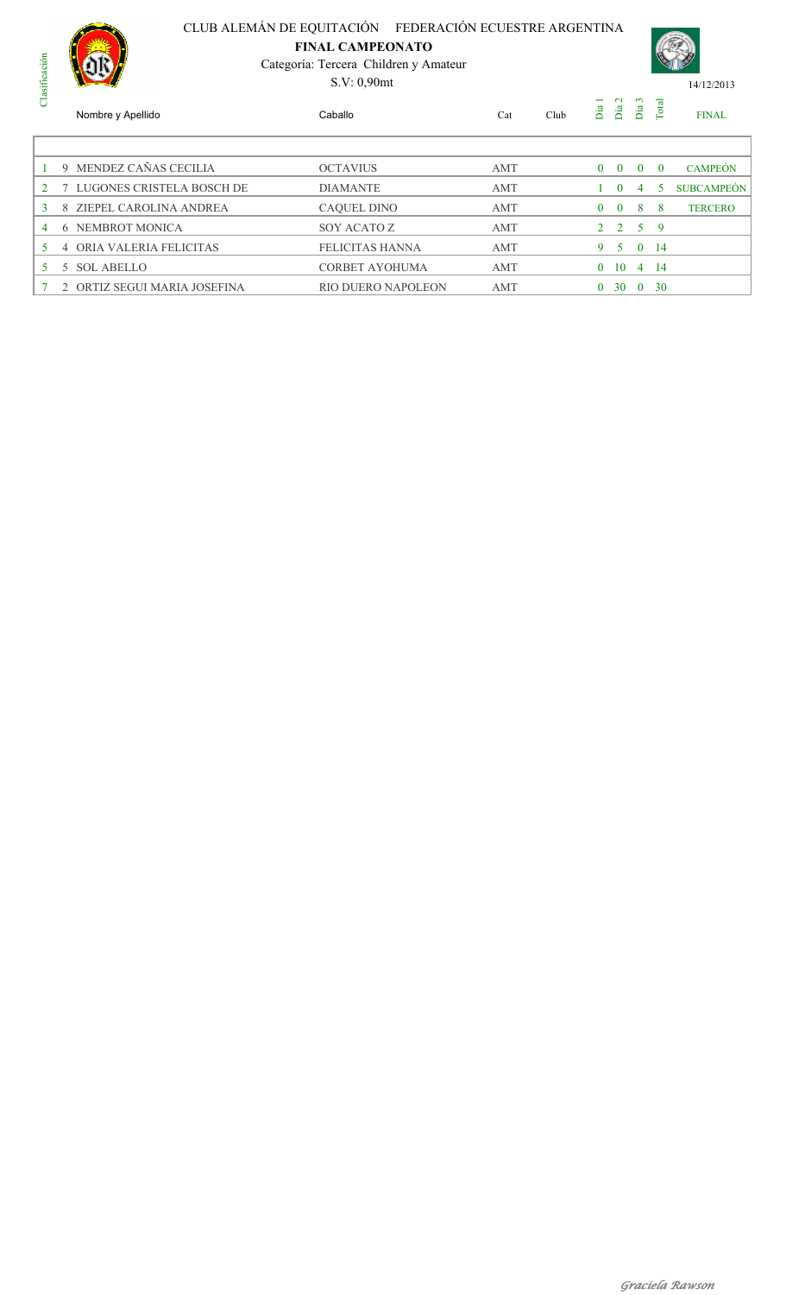

**FINAL CAMPEONATO**

Categoría: Tercera Children y Amateur S.V: 0,90mt



| da             |    | Nombre y Apellido            | Caballo                   | Cat | Club | Día      | $\mathbf{\sim}$<br>Día | $\sim$<br>Día  | Total    | <b>FINAL</b>      |
|----------------|----|------------------------------|---------------------------|-----|------|----------|------------------------|----------------|----------|-------------------|
|                |    |                              |                           |     |      |          |                        |                |          |                   |
|                |    | 9 MENDEZ CAÑAS CECILIA       | <b>OCTAVIUS</b>           | AMT |      | $\Omega$ | $\Omega$               | $\Omega$       | $\Omega$ | <b>CAMPEÓN</b>    |
| 2 7            |    | LUGONES CRISTELA BOSCH DE    | <b>DIAMANTE</b>           | AMT |      |          | $\Omega$               | 4              | 5.       | <b>SUBCAMPEÓN</b> |
| 3              |    | 8 ZIEPEL CAROLINA ANDREA     | <b>CAQUEL DINO</b>        | AMT |      | $\Omega$ | $\Omega$               | 8              | 8        | <b>TERCERO</b>    |
| $\overline{4}$ | -6 | NEMBROT MONICA               | SOY ACATO Z               | AMT |      |          | $2\quad 2$             | 5 <sup>5</sup> | - 9      |                   |
| 5.             | 4  | ORIA VALERIA FELICITAS       | FELICITAS HANNA           | AMT |      | 9.       | 5.                     | $\Omega$       | -14      |                   |
| 5.             |    | 5 SOL ABELLO                 | CORBET AYOHUMA            | AMT |      | $\Omega$ | 10                     | 4              | 14       |                   |
|                |    | 2 ORTIZ SEGUI MARIA JOSEFINA | <b>RIO DUERO NAPOLEON</b> | AMT |      | 0        | 30                     | $\theta$       | 30       |                   |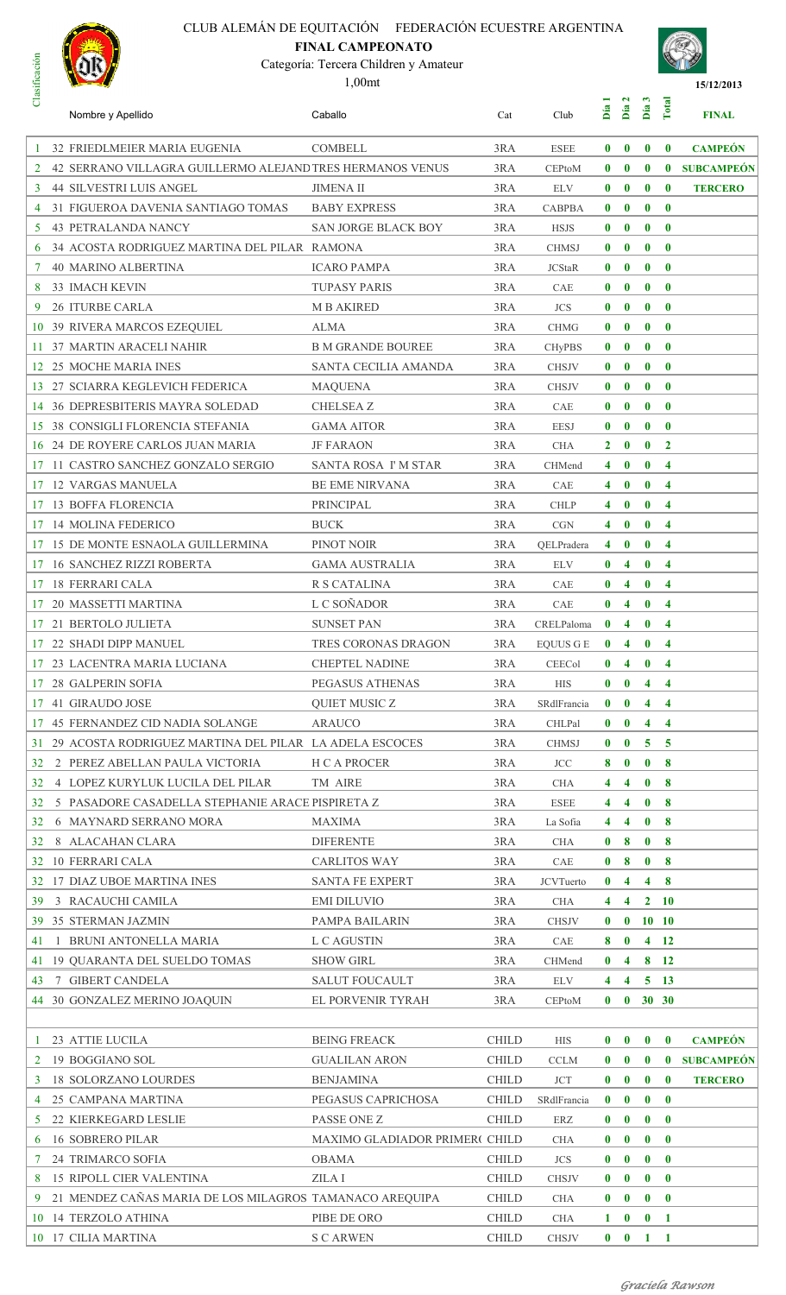

# **FINAL CAMPEONATO**

Categoría: Tercera Children y Amateur





| ರ              | Nombre y Apellido                                         | Caballo                                       | Cat          | Club                    | Día                          | Día 2                        | $\boldsymbol{\omega}$<br>Día | Total                            | <b>FINAL</b>      |
|----------------|-----------------------------------------------------------|-----------------------------------------------|--------------|-------------------------|------------------------------|------------------------------|------------------------------|----------------------------------|-------------------|
|                | 32 FRIEDLMEIER MARIA EUGENIA                              | <b>COMBELL</b>                                | 3RA          | <b>ESEE</b>             | $\mathbf{0}$                 | $\bf{0}$                     | $\bf{0}$                     | $\mathbf{0}$                     | <b>CAMPEÓN</b>    |
| $\overline{2}$ | 42 SERRANO VILLAGRA GUILLERMO ALEJAND TRES HERMANOS VENUS |                                               | 3RA          | <b>CEPtoM</b>           | $\mathbf{0}$                 | $\mathbf{0}$                 | $\mathbf{0}$                 | $\mathbf{0}$                     | <b>SUBCAMPEÓN</b> |
| 3              | <b>44 SILVESTRI LUIS ANGEL</b>                            | <b>JIMENA II</b>                              | 3RA          | <b>ELV</b>              | $\bf{0}$                     | $\bf{0}$                     | $\mathbf{0}$                 | $\mathbf{0}$                     | <b>TERCERO</b>    |
| 4              | 31 FIGUEROA DAVENIA SANTIAGO TOMAS                        | <b>BABY EXPRESS</b>                           | 3RA          | <b>CABPBA</b>           | $\mathbf{0}$                 | $\bf{0}$                     | $\bf{0}$                     | $\mathbf{0}$                     |                   |
| 5              | <b>43 PETRALANDA NANCY</b>                                | <b>SAN JORGE BLACK BOY</b>                    | 3RA          | <b>HSJS</b>             | $\bf{0}$                     | $\bf{0}$                     | $\bf{0}$                     | $\bf{0}$                         |                   |
| 6              | 34 ACOSTA RODRIGUEZ MARTINA DEL PILAR RAMONA              |                                               | 3RA          | <b>CHMSJ</b>            | $\bf{0}$                     | $\bf{0}$                     | $\bf{0}$                     | $\bf{0}$                         |                   |
| 7              | <b>40 MARINO ALBERTINA</b>                                | <b>ICARO PAMPA</b>                            | 3RA          | <b>JCStaR</b>           | $\bf{0}$                     | $\bf{0}$                     | $\mathbf{0}$                 | $\bf{0}$                         |                   |
| 8              | <b>33 IMACH KEVIN</b>                                     | <b>TUPASY PARIS</b>                           | 3RA          | CAE                     | $\bf{0}$                     | $\bf{0}$                     | $\mathbf{0}$                 | $\bf{0}$                         |                   |
| 9              | 26 ITURBE CARLA                                           | <b>M B AKIRED</b>                             | 3RA          | <b>JCS</b>              | $\bf{0}$                     | $\bf{0}$                     | $\bf{0}$                     | $\bf{0}$                         |                   |
| 10             | 39 RIVERA MARCOS EZEQUIEL                                 | <b>ALMA</b>                                   | 3RA          | <b>CHMG</b>             | $\bf{0}$                     | $\bf{0}$                     | $\mathbf{0}$                 | $\mathbf{0}$                     |                   |
|                | 11 37 MARTIN ARACELI NAHIR                                | <b>B M GRANDE BOUREE</b>                      | 3RA          | <b>CHyPBS</b>           | $\mathbf{0}$                 | $\bf{0}$                     | $\bf{0}$                     | $\mathbf{0}$                     |                   |
|                | 12 25 MOCHE MARIA INES                                    | SANTA CECILIA AMANDA                          | 3RA          | <b>CHSJV</b>            | $\bf{0}$                     | $\bf{0}$                     | $\bf{0}$                     | $\bf{0}$                         |                   |
|                | 13 27 SCIARRA KEGLEVICH FEDERICA                          | <b>MAQUENA</b>                                | 3RA          | <b>CHSJV</b>            | $\bf{0}$                     | $\bf{0}$                     | $\bf{0}$                     | $\bf{0}$                         |                   |
|                | 14 36 DEPRESBITERIS MAYRA SOLEDAD                         | <b>CHELSEA Z</b>                              | 3RA          | CAE                     | $\bf{0}$                     | $\bf{0}$                     | $\bf{0}$                     | $\bf{0}$                         |                   |
|                | <b>15 38 CONSIGLI FLORENCIA STEFANIA</b>                  | <b>GAMA AITOR</b>                             | 3RA          | <b>EESJ</b>             | $\bf{0}$                     | $\bf{0}$                     | $\mathbf{0}$                 | $\mathbf{0}$                     |                   |
| 16             | 24 DE ROYERE CARLOS JUAN MARIA                            | <b>JF FARAON</b>                              | 3RA          | <b>CHA</b>              | $\mathbf{2}$                 | $\bf{0}$                     | $\mathbf{0}$                 | $\mathbf{2}$                     |                   |
| 17             | 11 CASTRO SANCHEZ GONZALO SERGIO                          | SANTA ROSA I'M STAR                           | 3RA          | CHMend                  | 4                            | $\bf{0}$                     | $\bf{0}$                     | $\overline{4}$                   |                   |
| 17             | <b>12 VARGAS MANUELA</b>                                  | <b>BE EME NIRVANA</b>                         | 3RA          | CAE                     | 4                            | $\bf{0}$                     | $\mathbf{0}$                 | $\overline{4}$                   |                   |
| 17             | <b>13 BOFFA FLORENCIA</b>                                 | PRINCIPAL                                     | 3RA          | <b>CHLP</b>             | 4                            | $\bf{0}$                     | $\bf{0}$                     | $\overline{4}$                   |                   |
| 17             | <b>14 MOLINA FEDERICO</b>                                 | <b>BUCK</b>                                   | 3RA          | CGN                     | 4                            | $\bf{0}$                     | $\bf{0}$                     | $\overline{4}$                   |                   |
| 17             | 15 DE MONTE ESNAOLA GUILLERMINA                           | PINOT NOIR                                    | 3RA          | QELPradera              | 4                            | $\bf{0}$                     | $\bf{0}$                     | $\overline{4}$                   |                   |
| 17             | <b>16 SANCHEZ RIZZI ROBERTA</b>                           | <b>GAMA AUSTRALIA</b>                         | 3RA          | <b>ELV</b>              | $\bf{0}$                     | 4                            | $\bf{0}$                     | $\overline{4}$                   |                   |
| 17             | <b>18 FERRARI CALA</b>                                    | R S CATALINA                                  | 3RA          | CAE                     | $\bf{0}$                     | $\overline{\mathbf{4}}$      | $\mathbf{0}$                 | $\overline{4}$                   |                   |
| 17             | 20 MASSETTI MARTINA                                       | L C SOÑADOR                                   | 3RA          | CAE                     | $\bf{0}$                     | $\overline{\mathbf{4}}$      | $\mathbf{0}$                 | $\overline{4}$                   |                   |
| 17             | 21 BERTOLO JULIETA                                        | <b>SUNSET PAN</b>                             | 3RA          | CRELPaloma              | $\bf{0}$                     | $\overline{\mathbf{4}}$      | $\bf{0}$                     | $\overline{\mathbf{4}}$          |                   |
|                | 22 SHADI DIPP MANUEL                                      | TRES CORONAS DRAGON                           | 3RA          | <b>EQUUS G E</b>        | $\bf{0}$                     | $\overline{4}$               | $\bf{0}$                     | $\overline{\mathbf{4}}$          |                   |
|                | 17 23 LACENTRA MARIA LUCIANA                              | <b>CHEPTEL NADINE</b>                         | 3RA          | <b>CEECol</b>           | $\mathbf{0}$                 | $\overline{\mathbf{4}}$      | $\mathbf{0}$                 | $\overline{4}$                   |                   |
| 17             | <b>28 GALPERIN SOFIA</b>                                  | PEGASUS ATHENAS                               | 3RA          | <b>HIS</b>              | $\mathbf{0}$                 | $\mathbf{0}$                 |                              | $4 \quad 4$                      |                   |
|                | 17 41 GIRAUDO JOSE                                        | <b>QUIET MUSIC Z</b>                          | 3RA          | SRdlFrancia             | $\mathbf{0}$                 | $\mathbf{0}$                 |                              | $4 \quad 4$                      |                   |
|                | 17 45 FERNANDEZ CID NADIA SOLANGE                         | <b>ARAUCO</b>                                 | 3RA          | CHLPal                  | $\mathbf{0}$                 | $\mathbf{0}$                 |                              | $4 \quad 4$                      |                   |
|                | 31 29 ACOSTA RODRIGUEZ MARTINA DEL PILAR LA ADELA ESCOCES |                                               | 3RA          | <b>CHMSJ</b>            | $\mathbf{0}$                 | $\mathbf{0}$                 |                              | $5\quad 5$                       |                   |
| 32             | 2 PEREZ ABELLAN PAULA VICTORIA                            | <b>H C A PROCER</b>                           | 3RA          | <b>JCC</b>              | 8                            | $\mathbf{0}$                 |                              | 0 <sub>8</sub>                   |                   |
| 32             | 4 LOPEZ KURYLUK LUCILA DEL PILAR                          | TM AIRE                                       | 3RA          | <b>CHA</b>              | 4                            | $\overline{\mathbf{4}}$      | $\mathbf{0}$                 | $\overline{\mathbf{8}}$          |                   |
| 32             | 5 PASADORE CASADELLA STEPHANIE ARACE PISPIRETA Z          |                                               | 3RA          | <b>ESEE</b>             | 4                            | $\overline{4}$               |                              | 0 <sub>8</sub>                   |                   |
| 32             | 6 MAYNARD SERRANO MORA                                    | <b>MAXIMA</b>                                 | 3RA          | La Sofia                | 4                            | $\overline{4}$               | $\mathbf{0}$                 | - 8                              |                   |
| 32             | 8 ALACAHAN CLARA<br>32 10 FERRARI CALA                    | <b>DIFERENTE</b>                              | 3RA<br>3RA   | <b>CHA</b>              | $\mathbf{0}$<br>$\mathbf{0}$ | $\bf{8}$                     |                              | 0 <sub>8</sub><br>0 <sub>8</sub> |                   |
|                | 32 17 DIAZ UBOE MARTINA INES                              | <b>CARLITOS WAY</b><br><b>SANTA FE EXPERT</b> | 3RA          | CAE<br><b>JCVTuerto</b> | $\mathbf{0}$                 | 8<br>$\overline{\mathbf{4}}$ |                              | $4 \quad 8$                      |                   |
| 39             | 3 RACAUCHI CAMILA                                         | <b>EMI DILUVIO</b>                            | 3RA          | <b>CHA</b>              | 4                            | $\overline{4}$               |                              | $2 \quad 10$                     |                   |
|                | 39 35 STERMAN JAZMIN                                      | PAMPA BAILARIN                                | 3RA          | <b>CHSJV</b>            | $\mathbf{0}$                 |                              |                              | $0 \t10 \t10$                    |                   |
| 41             | 1 BRUNI ANTONELLA MARIA                                   | L C AGUSTIN                                   | 3RA          | CAE                     | 8                            | $\bf{0}$                     |                              | $4 \quad 12$                     |                   |
|                | 41 19 QUARANTA DEL SUELDO TOMAS                           | <b>SHOW GIRL</b>                              | 3RA          | CHMend                  | $\mathbf{0}$                 | $\overline{4}$               |                              | 8 <sub>12</sub>                  |                   |
| 43             | 7 GIBERT CANDELA                                          | SALUT FOUCAULT                                | 3RA          | <b>ELV</b>              | $\overline{4}$               | $\overline{4}$               |                              | $5 \quad 13$                     |                   |
|                | 44 30 GONZALEZ MERINO JOAQUIN                             | EL PORVENIR TYRAH                             | 3RA          | CEPtoM                  | $\mathbf{0}$                 | $\mathbf{0}$                 |                              | $30\ 30$                         |                   |
|                |                                                           |                                               |              |                         |                              |                              |                              |                                  |                   |
| -1             | <b>23 ATTIE LUCILA</b>                                    | <b>BEING FREACK</b>                           | <b>CHILD</b> | <b>HIS</b>              | $\mathbf{0}$                 | $\mathbf{0}$                 | $\mathbf{0}$                 | $\mathbf{0}$                     | <b>CAMPEÓN</b>    |
| 2              | 19 BOGGIANO SOL                                           | <b>GUALILAN ARON</b>                          | <b>CHILD</b> | <b>CCLM</b>             |                              | $\mathbf{0}$ 0               | $\bf{0}$                     |                                  | 0 SUBCAMPEÓN      |
| 3              | <b>18 SOLORZANO LOURDES</b>                               | <b>BENJAMINA</b>                              | <b>CHILD</b> | <b>JCT</b>              | $\mathbf{0}$                 | $\mathbf{0}$                 |                              | $\mathbf{0}$ 0                   | <b>TERCERO</b>    |
| 4              | 25 CAMPANA MARTINA                                        | PEGASUS CAPRICHOSA                            | <b>CHILD</b> | SRdlFrancia             | $\mathbf{0}$                 | $\mathbf{0}$                 | $\mathbf{0}$                 | $\mathbf{0}$                     |                   |
|                | 5 22 KIERKEGARD LESLIE                                    | PASSE ONE Z                                   | <b>CHILD</b> | ERZ                     | $\mathbf{0}$                 | $\mathbf{0}$                 |                              | $\mathbf{0}$ $\mathbf{0}$        |                   |
| 6              | <b>16 SOBRERO PILAR</b>                                   | MAXIMO GLADIADOR PRIMER( CHILD                |              | <b>CHA</b>              | $\mathbf{0}$                 | $\bf{0}$                     | $\mathbf{0}$                 | $\bf{0}$                         |                   |
| $7^{\circ}$    | 24 TRIMARCO SOFIA                                         | <b>OBAMA</b>                                  | <b>CHILD</b> | <b>JCS</b>              | $\mathbf{0}$                 | $\mathbf{0}$                 | $\mathbf{0}$                 | $\mathbf{0}$                     |                   |
| 8              | <b>15 RIPOLL CIER VALENTINA</b>                           | ZILA I                                        | <b>CHILD</b> | <b>CHSJV</b>            | $\mathbf{0}$                 | $\bf{0}$                     | $\mathbf{0}$                 | $\bf{0}$                         |                   |
| 9.             | 21 MENDEZ CAÑAS MARIA DE LOS MILAGROS TAMANACO AREQUIPA   |                                               | <b>CHILD</b> | <b>CHA</b>              | $\mathbf{0}$                 | $\bf{0}$                     |                              | $\mathbf{0}$ 0                   |                   |
|                | 10 14 TERZOLO ATHINA                                      | PIBE DE ORO                                   | <b>CHILD</b> | CHA                     | $\mathbf{1}$                 | $\bf{0}$                     |                              | 0 <sub>1</sub>                   |                   |
|                | 10 17 CILIA MARTINA                                       | <b>S C ARWEN</b>                              | <b>CHILD</b> | <b>CHSJV</b>            |                              |                              | $0 \quad 0 \quad 1 \quad 1$  |                                  |                   |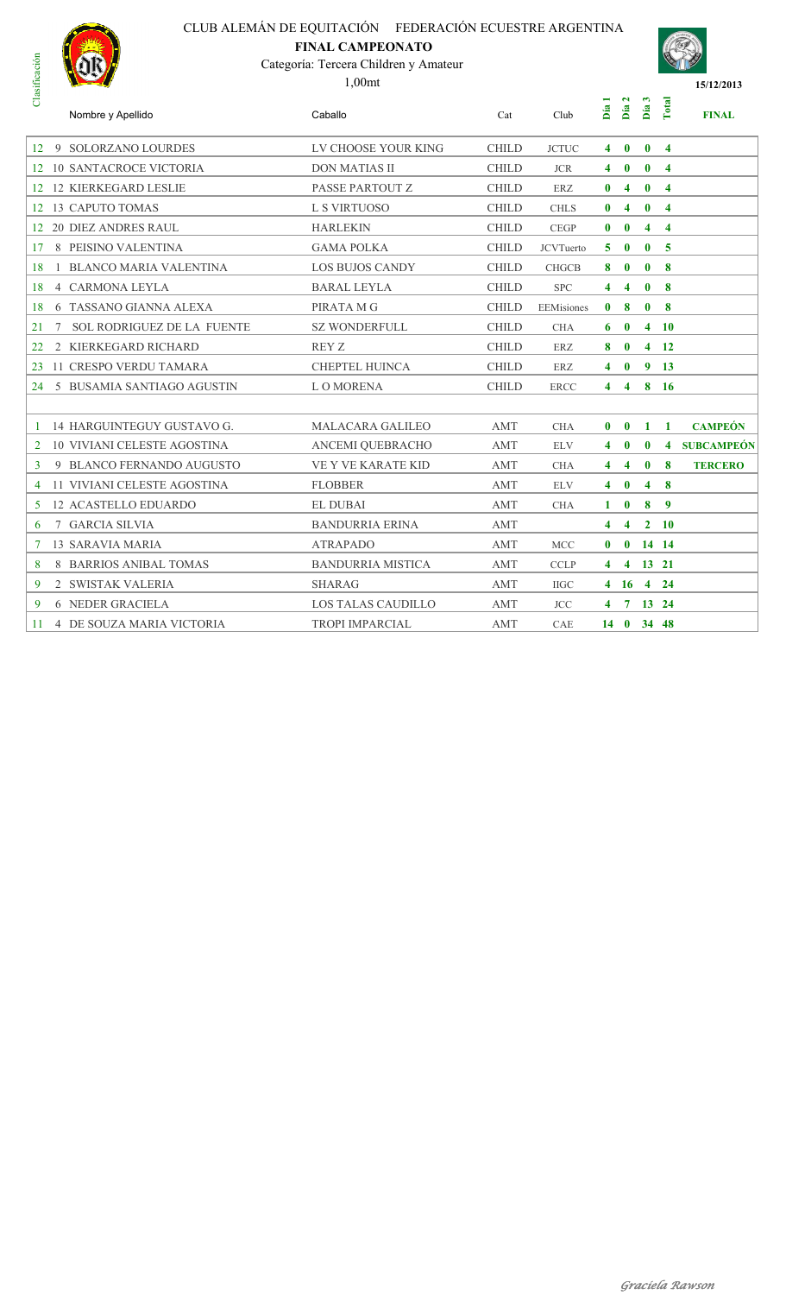### **FINAL CAMPEONATO**



| Clasificación |                                    | Categoría: Tercera Children y Amateur<br>$1,00$ mt |              |                  |              |                         |                |                         | 15/12/2013     |
|---------------|------------------------------------|----------------------------------------------------|--------------|------------------|--------------|-------------------------|----------------|-------------------------|----------------|
|               | Nombre y Apellido                  | Caballo                                            | Cat          | Club             | Día          | Día 2                   | Día 3          | Total                   | <b>FINAL</b>   |
|               | 12 9 SOLORZANO LOURDES             | LV CHOOSE YOUR KING                                | <b>CHILD</b> | <b>JCTUC</b>     | 4            | $\bf{0}$                | $\bf{0}$       | $\overline{4}$          |                |
|               | 12 10 SANTACROCE VICTORIA          | <b>DON MATIAS II</b>                               | <b>CHILD</b> | <b>JCR</b>       | 4            | $\bf{0}$                | $\bf{0}$       | $\overline{\mathbf{4}}$ |                |
|               | 12 12 KIERKEGARD LESLIE            | PASSE PARTOUT Z                                    | <b>CHILD</b> | ERZ              | $\bf{0}$     | $\overline{\mathbf{4}}$ | $\mathbf{0}$   | $\overline{\mathbf{4}}$ |                |
|               | 12 13 CAPUTO TOMAS                 | L S VIRTUOSO                                       | <b>CHILD</b> | <b>CHLS</b>      | $\bf{0}$     | 4                       | $\mathbf{0}$   | $\overline{4}$          |                |
|               | 12 20 DIEZ ANDRES RAUL             | <b>HARLEKIN</b>                                    | <b>CHILD</b> | <b>CEGP</b>      | $\bf{0}$     | $\bf{0}$                | $\overline{4}$ | $\overline{\mathbf{4}}$ |                |
|               | 17 8 PEISINO VALENTINA             | <b>GAMA POLKA</b>                                  | <b>CHILD</b> | <b>JCVTuerto</b> | 5            | $\bf{0}$                | $\mathbf{0}$   | $-5$                    |                |
| 18            | 1 BLANCO MARIA VALENTINA           | <b>LOS BUJOS CANDY</b>                             | <b>CHILD</b> | <b>CHGCB</b>     | 8            | $\bf{0}$                | $\mathbf{0}$   | -8                      |                |
| 18            | <b>4 CARMONA LEYLA</b>             | <b>BARAL LEYLA</b>                                 | <b>CHILD</b> | <b>SPC</b>       | 4            | 4                       | $\mathbf{0}$   | $\bf8$                  |                |
| 18            | 6 TASSANO GIANNA ALEXA             | PIRATA M G                                         | <b>CHILD</b> | EEMisiones       | $\bf{0}$     | 8                       | $\bf{0}$       | 8                       |                |
| 21            | 7 SOL RODRIGUEZ DE LA FUENTE       | <b>SZ WONDERFULL</b>                               | <b>CHILD</b> | <b>CHA</b>       | 6            | $\bf{0}$                |                | $4 \quad 10$            |                |
| 22            | 2 KIERKEGARD RICHARD               | REY Z                                              | <b>CHILD</b> | <b>ERZ</b>       | 8            | $\bf{0}$                |                | $4 \quad 12$            |                |
|               | 23 11 CRESPO VERDU TAMARA          | <b>CHEPTEL HUINCA</b>                              | <b>CHILD</b> | ERZ              | 4            | $\bf{0}$                |                | 9 <sub>13</sub>         |                |
|               | 24 5 BUSAMIA SANTIAGO AGUSTIN      | L O MORENA                                         | <b>CHILD</b> | <b>ERCC</b>      | 4            | $\overline{4}$          |                | 8 16                    |                |
|               |                                    |                                                    |              |                  |              |                         |                |                         |                |
|               | 14 HARGUINTEGUY GUSTAVO G.         | <b>MALACARA GALILEO</b>                            | AMT          | <b>CHA</b>       | $\mathbf{0}$ | $\mathbf{0}$            |                | $1 \quad 1$             | <b>CAMPEÓN</b> |
| 2             | <b>10 VIVIANI CELESTE AGOSTINA</b> | ANCEMI QUEBRACHO                                   | AMT          | <b>ELV</b>       | 4            | $\bf{0}$                | $\bf{0}$       |                         | 4 SUBCAMPEÓN   |
| $\mathbf{3}$  | 9 BLANCO FERNANDO AUGUSTO          | <b>VE Y VE KARATE KID</b>                          | <b>AMT</b>   | <b>CHA</b>       | 4            | 4                       | $\bf{0}$       | $\bf{8}$                | <b>TERCERO</b> |
|               | 11 VIVIANI CELESTE AGOSTINA        | <b>FLOBBER</b>                                     | <b>AMT</b>   | <b>ELV</b>       | 4            | $\bf{0}$                | $\overline{4}$ | 8                       |                |
| 5             | <b>12 ACASTELLO EDUARDO</b>        | <b>EL DUBAI</b>                                    | AMT          | <b>CHA</b>       | 1            | $\bf{0}$                | 8              | $\overline{9}$          |                |
| 6             | 7 GARCIA SILVIA                    | <b>BANDURRIA ERINA</b>                             | AMT          |                  | 4            | $\overline{\mathbf{4}}$ |                | $2 \quad 10$            |                |
| 7             | <b>13 SARAVIA MARIA</b>            | <b>ATRAPADO</b>                                    | AMT          | <b>MCC</b>       | $\mathbf{0}$ | $\bf{0}$                |                | 14 14                   |                |
| 8             | 8 BARRIOS ANIBAL TOMAS             | <b>BANDURRIA MISTICA</b>                           | AMT          | <b>CCLP</b>      | 4            |                         |                | 4 13 21                 |                |
| 9             | 2 SWISTAK VALERIA                  | <b>SHARAG</b>                                      | AMT          | <b>IIGC</b>      | 4            |                         |                | 16 4 24                 |                |
| 9             | <b>6 NEDER GRACIELA</b>            | <b>LOS TALAS CAUDILLO</b>                          | AMT          | <b>JCC</b>       | 4            |                         |                | 7 13 24                 |                |
| 11            | 4 DE SOUZA MARIA VICTORIA          | <b>TROPI IMPARCIAL</b>                             | AMT          | CAE              |              | $14 \quad 0$            |                | 34 48                   |                |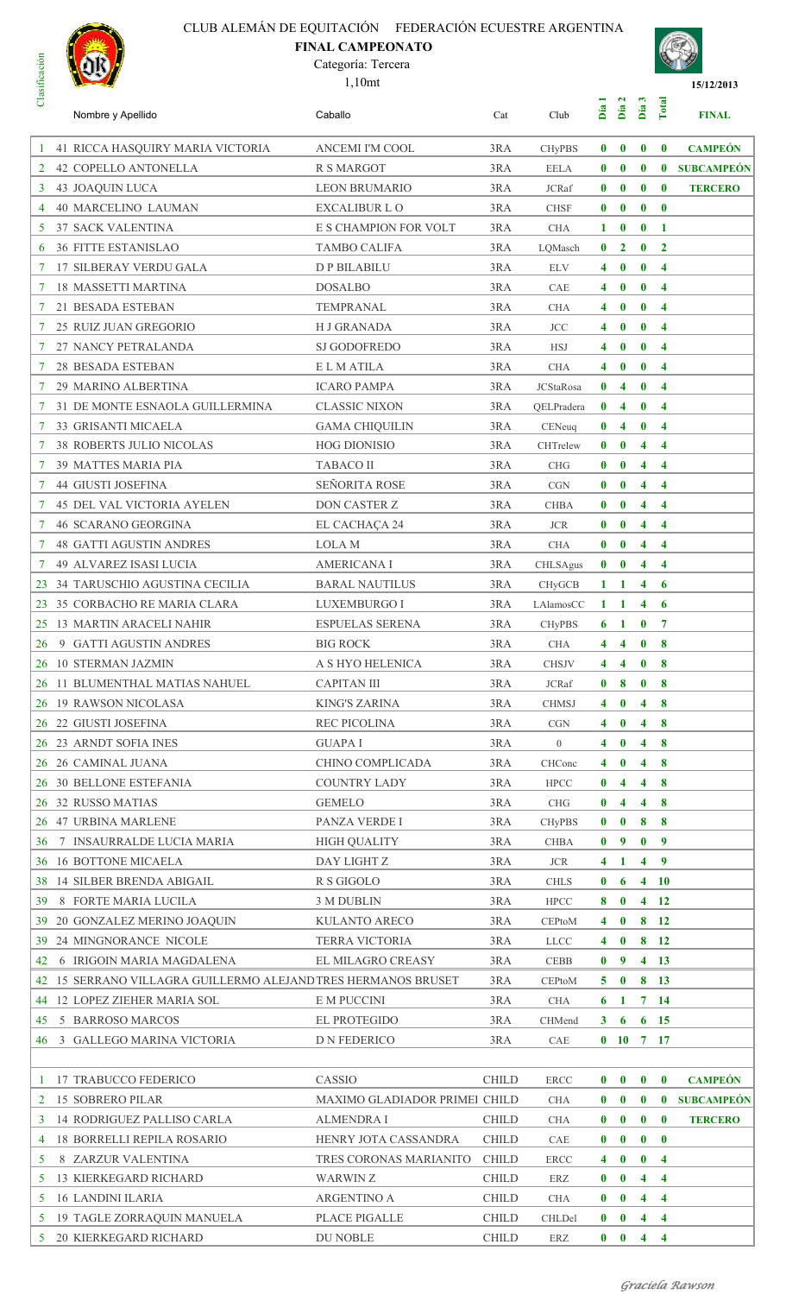# CLUB ALEMÁN DE EQUITACIÓN FEDERACIÓN ECUESTRE ARGENTINA **FINAL CAMPEONATO**



#### Categoría: Tercera





| ರ              | Nombre y Apellido                                             | Caballo                           | Cat          | Club                     | Día            | Día 2                        | $\boldsymbol{\omega}$<br>Día                       | Total                   | <b>FINAL</b>      |
|----------------|---------------------------------------------------------------|-----------------------------------|--------------|--------------------------|----------------|------------------------------|----------------------------------------------------|-------------------------|-------------------|
| 1              | 41 RICCA HASQUIRY MARIA VICTORIA                              | ANCEMI I'M COOL                   | 3RA          | <b>CHyPBS</b>            | $\bf{0}$       | $\bf{0}$                     | $\bf{0}$                                           | $\bf{0}$                | <b>CAMPEÓN</b>    |
| 2              | 42 COPELLO ANTONELLA                                          | <b>R S MARGOT</b>                 | 3RA          | <b>EELA</b>              | $\bf{0}$       | $\bf{0}$                     | $\mathbf{0}$                                       | $\mathbf{0}$            | <b>SUBCAMPEÓN</b> |
| 3              | <b>43 JOAQUIN LUCA</b>                                        | <b>LEON BRUMARIO</b>              | 3RA          | <b>JCRaf</b>             | $\bf{0}$       | $\bf{0}$                     | $\bf{0}$                                           | $\bf{0}$                | <b>TERCERO</b>    |
| $\overline{4}$ | <b>40 MARCELINO LAUMAN</b>                                    | <b>EXCALIBUR L O</b>              | 3RA          | <b>CHSF</b>              | $\bf{0}$       | $\bf{0}$                     | $\bf{0}$                                           | $\mathbf{0}$            |                   |
| 5              | <b>37 SACK VALENTINA</b>                                      | E S CHAMPION FOR VOLT             | 3RA          | <b>CHA</b>               | 1              | $\bf{0}$                     | $\bf{0}$                                           | $\mathbf{1}$            |                   |
| 6              | <b>36 FITTE ESTANISLAO</b>                                    | TAMBO CALIFA                      | 3RA          | LQMasch                  | $\bf{0}$       | $\overline{2}$               | $\bf{0}$                                           | $\overline{2}$          |                   |
| 7              | <b>17 SILBERAY VERDU GALA</b>                                 | <b>DP BILABILU</b>                | 3RA          | <b>ELV</b>               | 4              | $\bf{0}$                     | $\bf{0}$                                           | $\overline{\bf{4}}$     |                   |
| 7              | <b>18 MASSETTI MARTINA</b>                                    | <b>DOSALBO</b>                    | 3RA          | <b>CAE</b>               | 4              | $\bf{0}$                     | $\bf{0}$                                           | $\overline{\mathbf{4}}$ |                   |
| 7              | 21 BESADA ESTEBAN                                             | TEMPRANAL                         | 3RA          | <b>CHA</b>               | 4              | $\bf{0}$                     | $\bf{0}$                                           | $\overline{\bf{4}}$     |                   |
| 7              | 25 RUIZ JUAN GREGORIO                                         | <b>HJ GRANADA</b>                 | 3RA          | <b>JCC</b>               | 4              | $\bf{0}$                     | $\bf{0}$                                           | $\overline{\mathbf{4}}$ |                   |
| 7              | 27 NANCY PETRALANDA                                           | <b>SJ GODOFREDO</b>               | 3RA          | <b>HSJ</b>               | 4              | $\bf{0}$                     | $\bf{0}$                                           | $\overline{\mathbf{4}}$ |                   |
| 7              | <b>28 BESADA ESTEBAN</b>                                      | E L M ATILA                       | 3RA          | <b>CHA</b>               | 4              | $\bf{0}$                     | $\bf{0}$                                           | $\overline{\mathbf{4}}$ |                   |
|                | 29 MARINO ALBERTINA                                           | <b>ICARO PAMPA</b>                | 3RA          | <b>JCStaRosa</b>         | $\bf{0}$       | 4                            | $\bf{0}$                                           | $\overline{\mathbf{4}}$ |                   |
| 7              | 31 DE MONTE ESNAOLA GUILLERMINA                               | <b>CLASSIC NIXON</b>              | 3RA          | QELPradera               | $\bf{0}$       | 4                            | $\bf{0}$                                           | $\overline{\mathbf{4}}$ |                   |
| 7              | <b>33 GRISANTI MICAELA</b>                                    | <b>GAMA CHIQUILIN</b>             | 3RA          | CENeuq                   | $\bf{0}$       | 4                            | $\bf{0}$                                           | $\overline{\mathbf{4}}$ |                   |
| 7              | <b>38 ROBERTS JULIO NICOLAS</b>                               | <b>HOG DIONISIO</b>               | 3RA          | CHTrelew                 | $\bf{0}$       | $\bf{0}$                     | $\overline{\mathbf{4}}$                            | $\overline{\bf{4}}$     |                   |
| 7              | 39 MATTES MARIA PIA                                           | <b>TABACO II</b>                  | 3RA          | <b>CHG</b>               | $\bf{0}$       | $\bf{0}$                     | 4                                                  | $\overline{\mathbf{4}}$ |                   |
| 7              | <b>44 GIUSTI JOSEFINA</b>                                     | SEÑORITA ROSE                     | 3RA          | CGN                      | $\bf{0}$       | $\bf{0}$                     | 4                                                  | $\overline{\mathbf{4}}$ |                   |
| 7              | <b>45 DEL VAL VICTORIA AYELEN</b>                             | DON CASTER Z                      | 3RA          | <b>CHBA</b>              | $\bf{0}$       | $\bf{0}$                     | 4                                                  | $\overline{\mathbf{4}}$ |                   |
|                | <b>46 SCARANO GEORGINA</b>                                    | EL CACHAÇA 24                     | 3RA          | <b>JCR</b>               | $\bf{0}$       | $\bf{0}$                     | $\overline{\mathbf{4}}$                            | $\overline{\mathbf{4}}$ |                   |
| 7              | <b>48 GATTI AGUSTIN ANDRES</b>                                | <b>LOLA</b> M                     | 3RA          | <b>CHA</b>               | $\bf{0}$       | $\bf{0}$                     | $\overline{\mathbf{4}}$                            | $\overline{\mathbf{4}}$ |                   |
| 7              | <b>49 ALVAREZ ISASI LUCIA</b>                                 | <b>AMERICANA I</b>                | 3RA          | CHLSAgus                 | $\bf{0}$       | $\bf{0}$                     | 4                                                  | $\overline{\mathbf{4}}$ |                   |
| 23             | 34 TARUSCHIO AGUSTINA CECILIA                                 | <b>BARAL NAUTILUS</b>             | 3RA          | <b>CHyGCB</b>            | 1              | 1                            | 4                                                  | 6                       |                   |
| 23             | 35 CORBACHO RE MARIA CLARA                                    | LUXEMBURGO I                      | 3RA          | LAlamosCC                | 1              | 1                            | $\overline{\mathbf{4}}$                            | 6                       |                   |
| 25             | <b>13 MARTIN ARACELI NAHIR</b>                                | <b>ESPUELAS SERENA</b>            | 3RA          | <b>CHyPBS</b>            | 6              | -1                           | $\bf{0}$                                           | $\overline{7}$          |                   |
| 26             | 9 GATTI AGUSTIN ANDRES                                        | <b>BIG ROCK</b>                   | 3RA          | <b>CHA</b>               | 4              | $\overline{\bf{4}}$          | $\bf{0}$                                           | 8                       |                   |
| 26             | <b>10 STERMAN JAZMIN</b>                                      | A S HYO HELENICA                  | 3RA          | <b>CHSJV</b>             | $\overline{4}$ | $\overline{\mathbf{4}}$      | $\bf{0}$                                           | 8                       |                   |
|                | 26 11 BLUMENTHAL MATIAS NAHUEL                                | <b>CAPITAN III</b>                | 3RA          | <b>JCRaf</b>             | $\bf{0}$       | 8                            | $\bf{0}$                                           | 8                       |                   |
|                | 26 19 RAWSON NICOLASA                                         | <b>KING'S ZARINA</b>              | 3RA          | <b>CHMSJ</b>             |                | $4 \quad 0$                  |                                                    | $4 \quad 8$             |                   |
|                | 26 22 GIUSTI JOSEFINA                                         | REC PICOLINA                      | 3RA          | CGN                      | $\overline{4}$ | $\mathbf{0}$                 | $\overline{\mathbf{4}}$                            | 8                       |                   |
|                | 26 23 ARNDT SOFIA INES<br>26 26 CAMINAL JUANA                 | <b>GUAPAI</b><br>CHINO COMPLICADA | 3RA<br>3RA   | $\overline{0}$<br>CHConc | 4<br>4         | $\mathbf{0}$<br>$\mathbf{0}$ | $\overline{\mathbf{4}}$<br>$\overline{\mathbf{4}}$ | $\boldsymbol{8}$<br>8   |                   |
|                | 26 30 BELLONE ESTEFANIA                                       | <b>COUNTRY LADY</b>               | 3RA          | ${\rm HPCC}$             | $\bf{0}$       | 4                            | $\overline{\mathbf{4}}$                            | 8                       |                   |
|                | 26 32 RUSSO MATIAS                                            | <b>GEMELO</b>                     | 3RA          | <b>CHG</b>               | $\bf{0}$       | 4                            | $\overline{\mathbf{4}}$                            | 8                       |                   |
|                | 26 47 URBINA MARLENE                                          | PANZA VERDE I                     | 3RA          | <b>CHyPBS</b>            | $\bf{0}$       | $\mathbf{0}$                 | 8                                                  | 8                       |                   |
| 36             | 7 INSAURRALDE LUCIA MARIA                                     | <b>HIGH QUALITY</b>               | 3RA          | <b>CHBA</b>              | $\mathbf{0}$   | $\overline{\mathbf{9}}$      | $\bf{0}$                                           | $\overline{9}$          |                   |
| 36             | <b>16 BOTTONE MICAELA</b>                                     | DAY LIGHT Z                       | 3RA          | $\rm JCR$                | 4              | $\blacksquare$               | $\overline{\mathbf{4}}$                            | $\overline{9}$          |                   |
| 38             | 14 SILBER BRENDA ABIGAIL                                      | R S GIGOLO                        | 3RA          | <b>CHLS</b>              | $\bf{0}$       | 6                            |                                                    | $4\quad10$              |                   |
| 39             | 8 FORTE MARIA LUCILA                                          | 3 M DUBLIN                        | 3RA          | <b>HPCC</b>              | 8              | $\mathbf{0}$                 | $\overline{\mathbf{4}}$                            | <b>12</b>               |                   |
| 39.            | 20 GONZALEZ MERINO JOAQUIN                                    | KULANTO ARECO                     | 3RA          | CEPtoM                   | 4              | $\mathbf 0$                  | 8                                                  | <b>12</b>               |                   |
| 39             | 24 MINGNORANCE NICOLE                                         | <b>TERRA VICTORIA</b>             | 3RA          | <b>LLCC</b>              | 4              | $\mathbf{0}$                 |                                                    | 8 <sub>12</sub>         |                   |
| 42             | 6 IRIGOIN MARIA MAGDALENA                                     | EL MILAGRO CREASY                 | 3RA          | <b>CEBB</b>              | $\bf{0}$       | $\overline{9}$               | $\overline{\mathbf{4}}$                            | - 13                    |                   |
|                | 42 15 SERRANO VILLAGRA GUILLERMO ALEJAND TRES HERMANOS BRUSET |                                   | 3RA          | CEPtoM                   | 5              | $\mathbf{0}$                 |                                                    | 8 13                    |                   |
| 44             | 12 LOPEZ ZIEHER MARIA SOL                                     | E M PUCCINI                       | 3RA          | <b>CHA</b>               | 6              | $\mathbf{1}$                 |                                                    | $7\quad14$              |                   |
| 45             | 5 BARROSO MARCOS                                              | EL PROTEGIDO                      | 3RA          | CHMend                   | 3 <sup>1</sup> | - 6                          |                                                    | $6 \t15$                |                   |
| 46             | 3 GALLEGO MARINA VICTORIA                                     | D N FEDERICO                      | 3RA          | CAE                      |                | $0$ 10 7 17                  |                                                    |                         |                   |
|                |                                                               |                                   |              |                          |                |                              |                                                    |                         |                   |
| -1             | 17 TRABUCCO FEDERICO                                          | CASSIO                            | <b>CHILD</b> | <b>ERCC</b>              | $\mathbf{0}$   | $\bf{0}$                     | $\bf{0}$                                           | $\bf{0}$                | <b>CAMPEÓN</b>    |
| 2              | <b>15 SOBRERO PILAR</b>                                       | MAXIMO GLADIADOR PRIMEI CHILD     |              | <b>CHA</b>               | $\bf{0}$       | $\mathbf{0}$                 | $\bf{0}$                                           | $\bf{0}$                | <b>SUBCAMPEÓN</b> |
| 3              | <b>14 RODRIGUEZ PALLISO CARLA</b>                             | <b>ALMENDRA I</b>                 | <b>CHILD</b> | <b>CHA</b>               | $\bf{0}$       | $\mathbf{0}$                 | $\bf{0}$                                           | $\bf{0}$                | <b>TERCERO</b>    |
| 4              | <b>18 BORRELLI REPILA ROSARIO</b>                             | HENRY JOTA CASSANDRA              | <b>CHILD</b> | CAE                      | $\bf{0}$       | $\mathbf{0}$                 | $\bf{0}$                                           | $\mathbf{0}$            |                   |
| 5              | 8 ZARZUR VALENTINA                                            | TRES CORONAS MARIANITO            | <b>CHILD</b> | <b>ERCC</b>              | 4              | $\bf{0}$                     | $\bf{0}$                                           | $\overline{4}$          |                   |
| 5              | <b>13 KIERKEGARD RICHARD</b>                                  | WARWIN Z                          | <b>CHILD</b> | ERZ                      | $\bf{0}$       | $\bf{0}$                     | $\overline{\mathbf{4}}$                            | $\overline{\mathbf{4}}$ |                   |
| 5              | <b>16 LANDINI ILARIA</b>                                      | <b>ARGENTINO A</b>                | <b>CHILD</b> | <b>CHA</b>               | $\bf{0}$       | $\bf{0}$                     | $\overline{\mathbf{4}}$                            | $\overline{4}$          |                   |
| 5.             | 19 TAGLE ZORRAQUIN MANUELA                                    | PLACE PIGALLE                     | <b>CHILD</b> | CHLDel                   | $\bf{0}$       | $\bf{0}$                     | $\overline{\mathbf{4}}$                            | $\overline{4}$          |                   |
|                | 5 20 KIERKEGARD RICHARD                                       | DU NOBLE                          | <b>CHILD</b> | ERZ                      |                | $\mathbf{0}$ 0               | $\overline{4}$                                     | $\overline{4}$          |                   |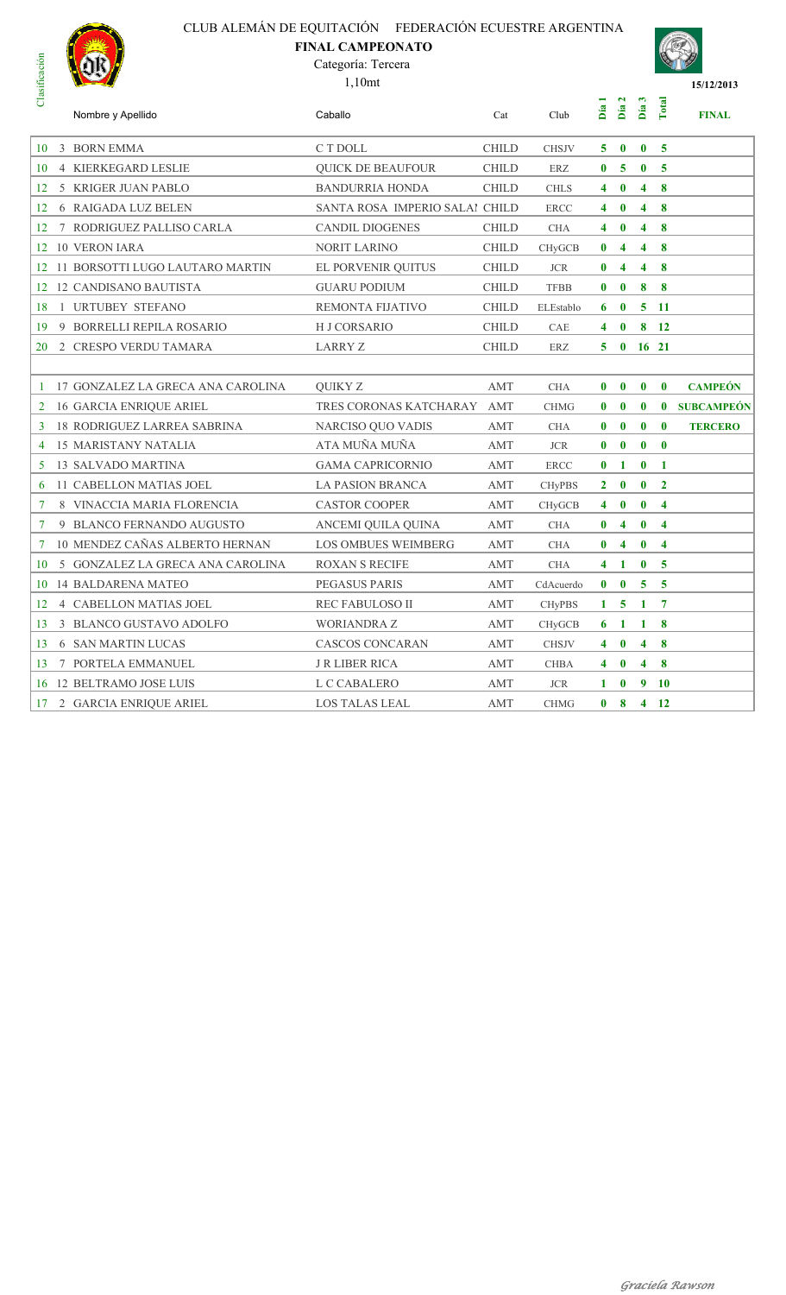# CLUB ALEMÁN DE EQUITACIÓN FEDERACIÓN ECUESTRE ARGENTINA **FINAL CAMPEONATO**



#### Categoría: Tercera

1,10mt



| ರ              | Nombre y Apellido                  | Caballo                        | Cat          | Club          | Día          | $\mathbf{z}$<br>Día     | S<br>Día                | Total                   | <b>FINAL</b>      |
|----------------|------------------------------------|--------------------------------|--------------|---------------|--------------|-------------------------|-------------------------|-------------------------|-------------------|
| 10             | 3 BORN EMMA                        | C T DOLL                       | <b>CHILD</b> | <b>CHSJV</b>  | 5.           | $\mathbf{0}$            | $\bf{0}$                | $\overline{5}$          |                   |
| 10             | 4 KIERKEGARD LESLIE                | <b>QUICK DE BEAUFOUR</b>       | <b>CHILD</b> | ERZ           | $\bf{0}$     | 5                       | $\bf{0}$                | $\overline{5}$          |                   |
| 12             | 5 KRIGER JUAN PABLO                | <b>BANDURRIA HONDA</b>         | <b>CHILD</b> | <b>CHLS</b>   | 4            | $\mathbf{0}$            | 4                       | 8                       |                   |
| 12             | <b>6 RAIGADA LUZ BELEN</b>         | SANTA ROSA IMPERIO SALAI CHILD |              | <b>ERCC</b>   | 4            | $\mathbf{0}$            | $\overline{\mathbf{4}}$ | 8                       |                   |
| 12             | 7 RODRIGUEZ PALLISO CARLA          | CANDIL DIOGENES                | <b>CHILD</b> | CHA           | 4            | $\bf{0}$                | 4                       | 8                       |                   |
| 12             | <b>10 VERON IARA</b>               | <b>NORIT LARINO</b>            | <b>CHILD</b> | <b>CHyGCB</b> | $\bf{0}$     | $\overline{\mathbf{4}}$ | 4                       | 8                       |                   |
| 12             | 11 BORSOTTI LUGO LAUTARO MARTIN    | EL PORVENIR OUITUS             | <b>CHILD</b> | <b>JCR</b>    | $\mathbf{0}$ | $\overline{4}$          | 4                       | 8                       |                   |
| 12             | <b>12 CANDISANO BAUTISTA</b>       | <b>GUARU PODIUM</b>            | <b>CHILD</b> | <b>TFBB</b>   | $\bf{0}$     | $\mathbf{0}$            | 8                       | 8                       |                   |
| 18             | 1 URTUBEY STEFANO                  | REMONTA FIJATIVO               | <b>CHILD</b> | ELEstablo     | 6            | $\bf{0}$                | 5                       | -11                     |                   |
| 19             | 9 BORRELLI REPILA ROSARIO          | H J CORSARIO                   | <b>CHILD</b> | CAE           | 4            | $\mathbf{0}$            | 8                       | 12                      |                   |
| 20             | 2 CRESPO VERDU TAMARA              | LARRY Z                        | <b>CHILD</b> | ERZ           | 5.           | $\mathbf{0}$            | 16 21                   |                         |                   |
|                |                                    |                                |              |               |              |                         |                         |                         |                   |
| -1             | 17 GONZALEZ LA GRECA ANA CAROLINA  | <b>OUIKY Z</b>                 | <b>AMT</b>   | <b>CHA</b>    | $\mathbf{0}$ | $\mathbf{0}$            | $\bf{0}$                | $\mathbf{0}$            | <b>CAMPEÓN</b>    |
| 2              | <b>16 GARCIA ENRIQUE ARIEL</b>     | TRES CORONAS KATCHARAY AMT     |              | <b>CHMG</b>   | $\bf{0}$     | $\mathbf{0}$            | $\bf{0}$                | $\bf{0}$                | <b>SUBCAMPEÓN</b> |
| 3              | <b>18 RODRIGUEZ LARREA SABRINA</b> | NARCISO QUO VADIS              | AMT          | <b>CHA</b>    | $\bf{0}$     | $\mathbf{0}$            | $\bf{0}$                | $\mathbf{0}$            | <b>TERCERO</b>    |
| 4              | <b>15 MARISTANY NATALIA</b>        | ATA MUÑA MUÑA                  | AMT          | <b>JCR</b>    | $\bf{0}$     | $\bf{0}$                | $\bf{0}$                | $\bf{0}$                |                   |
| 5              | <b>13 SALVADO MARTINA</b>          | <b>GAMA CAPRICORNIO</b>        | AMT          | <b>ERCC</b>   | $\bf{0}$     | 1                       | $\bf{0}$                | $\mathbf{1}$            |                   |
| 6              | 11 CABELLON MATIAS JOEL            | <b>LA PASION BRANCA</b>        | AMT          | <b>CHyPBS</b> | $\mathbf{2}$ | $\mathbf{0}$            | $\bf{0}$                | $\overline{2}$          |                   |
| 7              | 8 VINACCIA MARIA FLORENCIA         | <b>CASTOR COOPER</b>           | AMT          | <b>CHyGCB</b> | 4            | $\bf{0}$                | $\bf{0}$                | $\overline{\mathbf{4}}$ |                   |
| $\overline{7}$ | 9 BLANCO FERNANDO AUGUSTO          | ANCEMI OUILA OUINA             | AMT          | <b>CHA</b>    | $\bf{0}$     | $\overline{\mathbf{4}}$ | $\bf{0}$                | $\overline{\mathbf{4}}$ |                   |
| $\overline{7}$ | 10 MENDEZ CAÑAS ALBERTO HERNAN     | <b>LOS OMBUES WEIMBERG</b>     | <b>AMT</b>   | <b>CHA</b>    | $\bf{0}$     | 4                       | $\bf{0}$                | $\boldsymbol{4}$        |                   |
| 10             | 5 GONZALEZ LA GRECA ANA CAROLINA   | <b>ROXAN S RECIFE</b>          | AMT          | <b>CHA</b>    | 4            | 1                       | $\bf{0}$                | 5                       |                   |
| 10             | 14 BALDARENA MATEO                 | PEGASUS PARIS                  | AMT          | CdAcuerdo     | $\mathbf{0}$ | $\bf{0}$                | 5                       | 5                       |                   |
| 12             | 4 CABELLON MATIAS JOEL             | <b>REC FABULOSO II</b>         | <b>AMT</b>   | <b>CHyPBS</b> | 1            | 5                       | 1                       | $\overline{7}$          |                   |
| 13             | 3 BLANCO GUSTAVO ADOLFO            | <b>WORIANDRAZ</b>              | <b>AMT</b>   | <b>CHyGCB</b> | 6            | -1                      | 1                       | 8                       |                   |
| 13             | <b>6 SAN MARTIN LUCAS</b>          | <b>CASCOS CONCARAN</b>         | AMT          | <b>CHSJV</b>  | 4            | $\bf{0}$                | 4                       | 8                       |                   |
| 13             | 7 PORTELA EMMANUEL                 | <b>J R LIBER RICA</b>          | AMT          | <b>CHBA</b>   | 4            | $\mathbf{0}$            | $\overline{\mathbf{4}}$ | 8                       |                   |
| 16             | 12 BELTRAMO JOSE LUIS              | L C CABALERO                   | AMT          | <b>JCR</b>    | 1            | $\bf{0}$                | 9                       | <b>10</b>               |                   |
| 17             | 2 GARCIA ENRIQUE ARIEL             | <b>LOS TALAS LEAL</b>          | <b>AMT</b>   | <b>CHMG</b>   | $\mathbf{0}$ | 8                       | $\overline{\mathbf{4}}$ | 12                      |                   |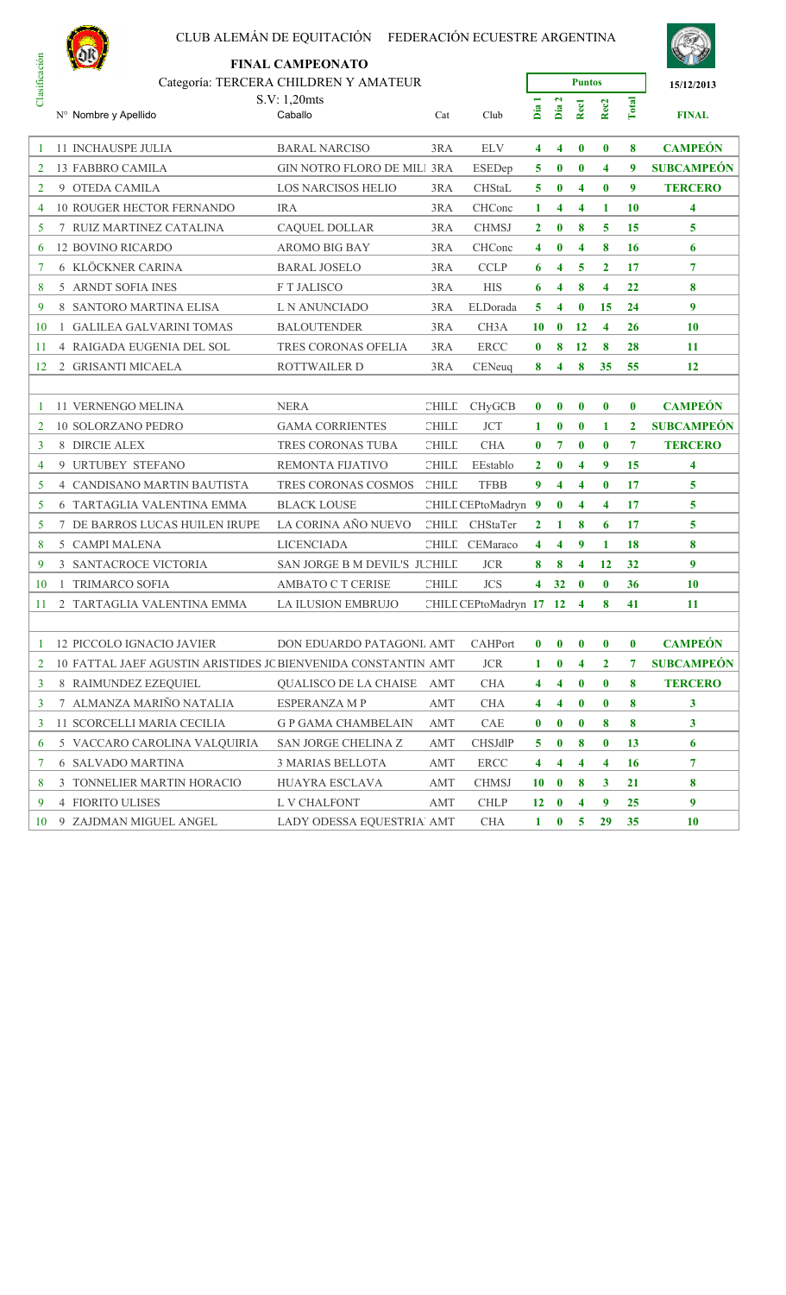

|               |   | <b>NOR</b>                                                    | <b>FINAL CAMPEONATO</b>            |                             |                       |              |                      |                     |                         |                |                   |
|---------------|---|---------------------------------------------------------------|------------------------------------|-----------------------------|-----------------------|--------------|----------------------|---------------------|-------------------------|----------------|-------------------|
| Clasificación |   | Categoría: TERCERA CHILDREN Y AMATEUR                         |                                    |                             |                       |              |                      | <b>Puntos</b>       |                         |                | 15/12/2013        |
|               |   | N° Nombre y Apellido                                          | S.V: 1,20mts<br>Caballo            | Cat                         | Club                  | Día          | $\mathbf{r}$<br>Día: | Recl                | Rec <sub>2</sub>        | Total          | <b>FINAL</b>      |
| -1            |   | <b>11 INCHAUSPE JULIA</b>                                     | <b>BARAL NARCISO</b>               | 3RA                         | <b>ELV</b>            | 4            | 4                    | $\bf{0}$            | $\bf{0}$                | 8              | <b>CAMPEÓN</b>    |
| 2             |   | 13 FABBRO CAMILA                                              | <b>GIN NOTRO FLORO DE MILI 3RA</b> |                             | ESEDep                | 5            | $\bf{0}$             | $\bf{0}$            | $\overline{\mathbf{4}}$ | 9              | <b>SUBCAMPEÓN</b> |
| 2             |   | 9 OTEDA CAMILA                                                | <b>LOS NARCISOS HELIO</b>          | 3RA                         | <b>CHStaL</b>         | 5            | $\bf{0}$             | 4                   | $\bf{0}$                | 9              | <b>TERCERO</b>    |
| 4             |   | 10 ROUGER HECTOR FERNANDO                                     | <b>IRA</b>                         | 3RA                         | CHConc                | 1            | 4                    | 4                   | 1                       | 10             | 4                 |
| 5             |   | 7 RUIZ MARTINEZ CATALINA                                      | <b>CAQUEL DOLLAR</b>               | 3RA                         | <b>CHMSJ</b>          | $\mathbf{2}$ | $\bf{0}$             | 8                   | 5                       | 15             | 5                 |
| 6             |   | <b>12 BOVINO RICARDO</b>                                      | <b>AROMO BIG BAY</b>               | 3RA                         | CHConc                | 4            | $\bf{0}$             | 4                   | 8                       | 16             | 6                 |
| 7             |   | <b>6 KLÖCKNER CARINA</b>                                      | <b>BARAL JOSELO</b>                | 3RA                         | <b>CCLP</b>           | 6            | 4                    | 5                   | $\mathbf{2}$            | 17             | $\overline{7}$    |
| 8             |   | 5 ARNDT SOFIA INES                                            | F T JALISCO                        | 3RA                         | <b>HIS</b>            | 6            | 4                    | 8                   | $\overline{\bf{4}}$     | 22             | 8                 |
| 9             |   | 8 SANTORO MARTINA ELISA                                       | L N ANUNCIADO                      | 3RA                         | ELDorada              | 5            | 4                    | $\bf{0}$<br>15      |                         | 24             | 9                 |
| 10            | 1 | <b>GALILEA GALVARINI TOMAS</b>                                | <b>BALOUTENDER</b>                 | 3RA                         | CH <sub>3</sub> A     | 10           | $\bf{0}$             | 12                  | $\overline{\mathbf{4}}$ | 26             | 10                |
| 11            |   | 4 RAIGADA EUGENIA DEL SOL                                     | TRES CORONAS OFELIA                | 3RA                         | <b>ERCC</b>           | $\bf{0}$     | 8                    | 12                  | 8                       | 28             | 11                |
| 12            |   | 2 GRISANTI MICAELA                                            | <b>ROTTWAILER D</b>                | 3RA                         | CENeuq                | 8            | 4                    | 8                   | 35                      | 55             | 12                |
|               |   |                                                               |                                    |                             |                       |              |                      |                     |                         |                |                   |
| -1            |   | 11 VERNENGO MELINA                                            | <b>NERA</b>                        | <b>CHILL</b>                | <b>CHyGCB</b>         | $\bf{0}$     | $\bf{0}$             | $\bf{0}$            | $\bf{0}$                | $\bf{0}$       | <b>CAMPEÓN</b>    |
| 2             |   | <b>10 SOLORZANO PEDRO</b>                                     | <b>GAMA CORRIENTES</b>             | <b>CHILE</b>                | <b>JCT</b>            | 1            | $\bf{0}$             | $\bf{0}$            | 1<br>$\mathbf{2}$       |                | <b>SUBCAMPEÓN</b> |
| 3             |   | 8 DIRCIE ALEX                                                 | TRES CORONAS TUBA                  | <b>CHILE</b>                | <b>CHA</b>            | $\bf{0}$     | 7                    | $\bf{0}$            | $\bf{0}$                | $\overline{7}$ | <b>TERCERO</b>    |
| 4             |   | 9 URTUBEY STEFANO                                             | REMONTA FIJATIVO                   | <b>CHILE</b>                | EEstablo              | $\mathbf{2}$ | $\bf{0}$             | 4                   | 9                       | 15             | 4                 |
| 5             |   | 4 CANDISANO MARTIN BAUTISTA                                   | TRES CORONAS COSMOS                | <b>CHILE</b>                | <b>TFBB</b>           | 9            | 4                    | 4                   | $\bf{0}$                | 17             | 5                 |
| 5             |   | 6 TARTAGLIA VALENTINA EMMA                                    | <b>BLACK LOUSE</b>                 |                             | CHILL CEPtoMadryn 9   |              | $\bf{0}$             | 4                   | $\overline{\mathbf{4}}$ | 17             | 5                 |
| 5             | 7 | DE BARROS LUCAS HUILEN IRUPE                                  | LA CORINA AÑO NUEVO                | CHILL                       | CHStaTer              | 2            | 1                    | 8                   | 6                       | 17             | 5                 |
| 8             |   | 5 CAMPI MALENA                                                | <b>LICENCIADA</b>                  |                             | CHILL CEMaraco        | 4            | 4                    | 9                   | 1                       | 18             | 8                 |
| 9             |   | <b>3 SANTACROCE VICTORIA</b>                                  | SAN JORGE B M DEVIL'S JUCHILE      |                             | <b>JCR</b>            | 8            | 8                    | 4                   | 12                      | 32             | 9                 |
| 10            |   | <b>TRIMARCO SOFIA</b>                                         | AMBATO C T CERISE                  | <b>CHILE</b>                | <b>JCS</b>            | 4            | 32                   | $\bf{0}$            | $\bf{0}$                | 36             | 10                |
| 11            |   | 2 TARTAGLIA VALENTINA EMMA                                    | <b>LA ILUSION EMBRUJO</b>          |                             | CHILL CEPtoMadryn 17  |              | <b>12</b>            | $\overline{\bf{4}}$ | 8                       | 41             | 11                |
|               |   |                                                               |                                    |                             |                       |              |                      |                     |                         |                |                   |
| 1             |   | 12 PICCOLO IGNACIO JAVIER                                     | DON EDUARDO PATAGONL AMT           |                             | CAHPort               | $\bf{0}$     | $\bf{0}$             | $\bf{0}$            | $\bf{0}$                | $\bf{0}$       | <b>CAMPEÓN</b>    |
| 2             |   | 10 FATTAL JAEF AGUSTIN ARISTIDES JC BIENVENIDA CONSTANTIN AMT |                                    |                             | <b>JCR</b>            | 1            | $\bf{0}$             | 4                   | $\mathbf{2}$            | 7              | <b>SUBCAMPEÓN</b> |
| 3             |   | 8 RAIMUNDEZ EZEQUIEL                                          | QUALISCO DE LA CHAISE              | AMT                         | <b>CHA</b>            | 4            | 4                    | $\bf{0}$            | $\bf{0}$                | 8              | <b>TERCERO</b>    |
| 3             |   | 7 ALMANZA MARIÑO NATALIA                                      | ESPERANZA M P                      | $\mathop{\rm AMT}\nolimits$ | $\rm CHA$             | 4            | 4                    | $\bf{0}$            | $\bf{0}$                | 8              | $\mathbf{3}$      |
| 3             |   | 11 SCORCELLI MARIA CECILIA                                    | <b>G P GAMA CHAMBELAIN</b>         | AMT                         | CAE                   | 0            | $\bf{0}$             | $\bf{0}$            | 8                       | 8              | 3 <sup>1</sup>    |
| 6             |   | 5 VACCARO CAROLINA VALQUIRIA                                  | SAN JORGE CHELINA Z                | <b>AMT</b>                  | CHSJdlP               | 5            | $\bf{0}$             | 8                   | $\bf{0}$                | 13             | 6                 |
| 7             |   | <b>6 SALVADO MARTINA</b>                                      | 3 MARIAS BELLOTA                   | AMT                         | $\operatorname{ERC}C$ | 4            | 4                    | 4                   | $\overline{\mathbf{4}}$ | <b>16</b>      | 7                 |
| 8             |   | 3 TONNELIER MARTIN HORACIO                                    | HUAYRA ESCLAVA                     | AMT                         | <b>CHMSJ</b>          | 10           | $\bf{0}$             | 8                   | 3                       | 21             | 8                 |
| 9             |   | 4 FIORITO ULISES                                              | L V CHALFONT                       | AMT                         | <b>CHLP</b>           | 12           | $\bf{0}$             | 4                   | 9                       | 25             | 9                 |
| 10            |   | 9 ZAJDMAN MIGUEL ANGEL                                        | LADY ODESSA EQUESTRIAl AMT         |                             | <b>CHA</b>            | $\mathbf{1}$ | $\mathbf{0}$         | 5 <sup>5</sup>      | 29                      | 35             | 10                |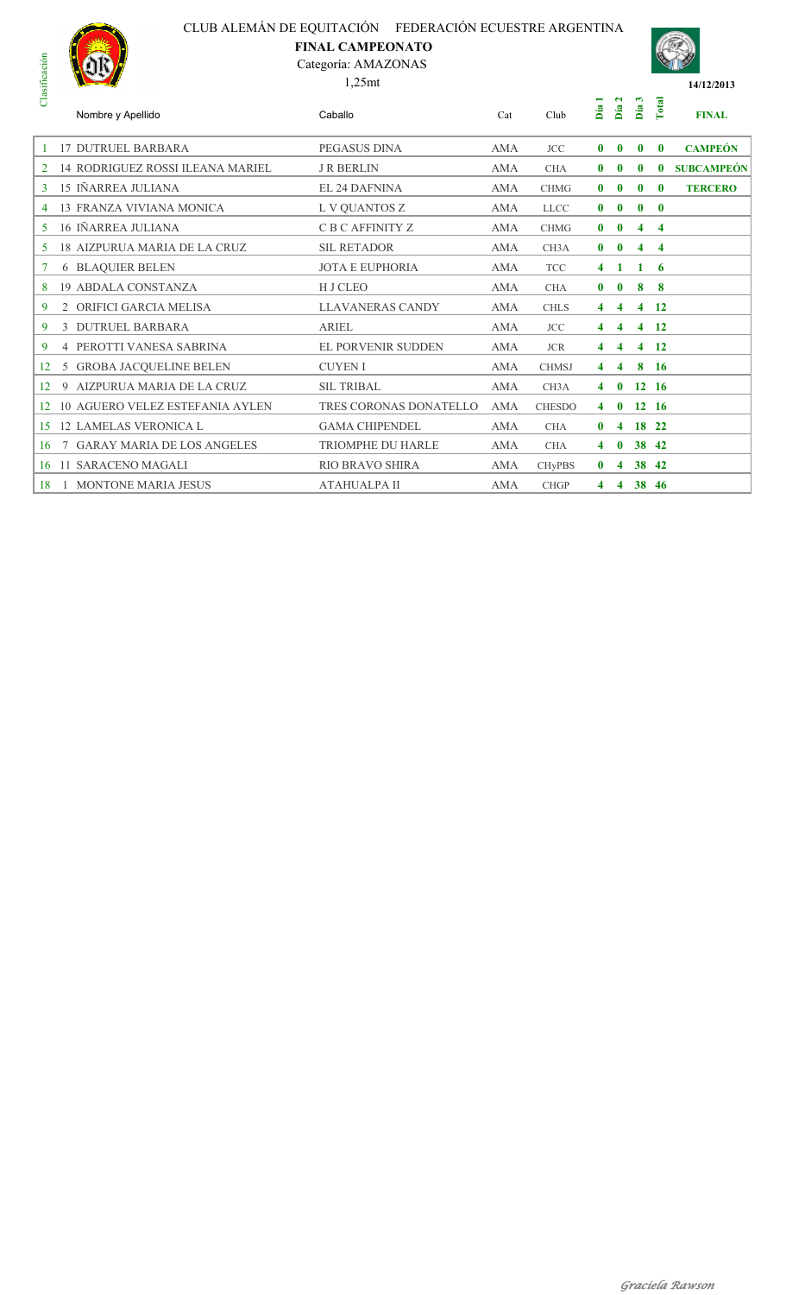# CLUB ALEMÁN DE EQUITACIÓN FEDERACIÓN ECUESTRE ARGENTINA **FINAL CAMPEONATO**



# Categoría: AMAZONAS





| Nombre y Apellido                       | Caballo                   | Cat        | Club              | $\overline{\phantom{0}}$<br>Día | $\mathbf{r}$<br>Día | S<br>Día.    | Total                   | <b>FINAL</b>                                                                       |
|-----------------------------------------|---------------------------|------------|-------------------|---------------------------------|---------------------|--------------|-------------------------|------------------------------------------------------------------------------------|
| <b>17 DUTRUEL BARBARA</b>               | PEGASUS DINA              | <b>AMA</b> | <b>JCC</b>        | $\bf{0}$                        | $\bf{0}$            | $\mathbf{0}$ | $\mathbf{0}$            | <b>CAMPEÓN</b>                                                                     |
| <b>14 RODRIGUEZ ROSSI ILEANA MARIEL</b> | <b>J R BERLIN</b>         | <b>AMA</b> | <b>CHA</b>        | $\mathbf{0}$                    | $\bf{0}$            | $\bf{0}$     | $\mathbf{0}$            | <b>SUBCAMPEÓN</b>                                                                  |
| 15 IÑARREA JULIANA                      | <b>EL 24 DAFNINA</b>      | AMA        | <b>CHMG</b>       | $\bf{0}$                        | $\bf{0}$            | $\mathbf{0}$ | $\mathbf{0}$            | <b>TERCERO</b>                                                                     |
| <b>13 FRANZA VIVIANA MONICA</b>         | L V QUANTOS Z             | <b>AMA</b> | <b>LLCC</b>       | $\bf{0}$                        | $\bf{0}$            | $\mathbf{0}$ | $\mathbf{0}$            |                                                                                    |
| 16 IÑARREA JULIANA                      | C B C AFFINITY Z          | <b>AMA</b> | <b>CHMG</b>       | $\mathbf{0}$                    | $\bf{0}$            | 4            | $\overline{\mathbf{4}}$ |                                                                                    |
| <b>18 AIZPURUA MARIA DE LA CRUZ</b>     | <b>SIL RETADOR</b>        | <b>AMA</b> | CH <sub>3</sub> A | $\bf{0}$                        | $\bf{0}$            | 4            | $\overline{\mathbf{4}}$ |                                                                                    |
| <b>6 BLAQUIER BELEN</b>                 | <b>JOTA E EUPHORIA</b>    | <b>AMA</b> | <b>TCC</b>        | $\overline{4}$                  | $\mathbf{1}$        | 1            | -6                      |                                                                                    |
| <b>19 ABDALA CONSTANZA</b>              | H J CLEO                  | <b>AMA</b> | <b>CHA</b>        | $\mathbf{0}$                    | $\bf{0}$            | 8            | 8                       |                                                                                    |
| 2 ORIFICI GARCIA MELISA                 | <b>LLAVANERAS CANDY</b>   | <b>AMA</b> | <b>CHLS</b>       | 4                               | 4                   | 4            |                         |                                                                                    |
| 3 DUTRUEL BARBARA                       | <b>ARIEL</b>              | <b>AMA</b> | <b>JCC</b>        | 4                               | 4                   |              |                         |                                                                                    |
| <b>4 PEROTTI VANESA SABRINA</b>         | <b>EL PORVENIR SUDDEN</b> | <b>AMA</b> | <b>JCR</b>        | 4                               | 4                   | 4            | $\overline{12}$         |                                                                                    |
| 5 GROBA JACQUELINE BELEN                | <b>CUYEN I</b>            | <b>AMA</b> | <b>CHMSJ</b>      | 4                               | 4                   | 8            | $-16$                   |                                                                                    |
| 9 AIZPURUA MARIA DE LA CRUZ             | <b>SIL TRIBAL</b>         | <b>AMA</b> | CH <sub>3</sub> A | 4                               | $\bf{0}$            |              |                         |                                                                                    |
| <b>10 AGUERO VELEZ ESTEFANIA AYLEN</b>  | TRES CORONAS DONATELLO    | <b>AMA</b> | <b>CHESDO</b>     | 4                               | $\bf{0}$            |              |                         |                                                                                    |
| <b>12 LAMELAS VERONICA L</b>            | <b>GAMA CHIPENDEL</b>     | AMA        | <b>CHA</b>        | $\mathbf{0}$                    | 4                   |              |                         |                                                                                    |
| 7 GARAY MARIA DE LOS ANGELES            | <b>TRIOMPHE DU HARLE</b>  | AMA        | <b>CHA</b>        | 4                               | $\bf{0}$            |              |                         |                                                                                    |
| 16 11 SARACENO MAGALI                   | <b>RIO BRAVO SHIRA</b>    | AMA        | <b>CHyPBS</b>     | $\mathbf{0}$                    | 4                   |              |                         |                                                                                    |
| <b>MONTONE MARIA JESUS</b>              | <b>ATAHUALPA II</b>       | AMA        | <b>CHGP</b>       | 4                               | 4                   |              |                         |                                                                                    |
|                                         |                           |            |                   |                                 |                     |              |                         | - 12<br>$4 \quad 12$<br>$12 \quad 16$<br>12 16<br>18 22<br>38 42<br>38 42<br>38 46 |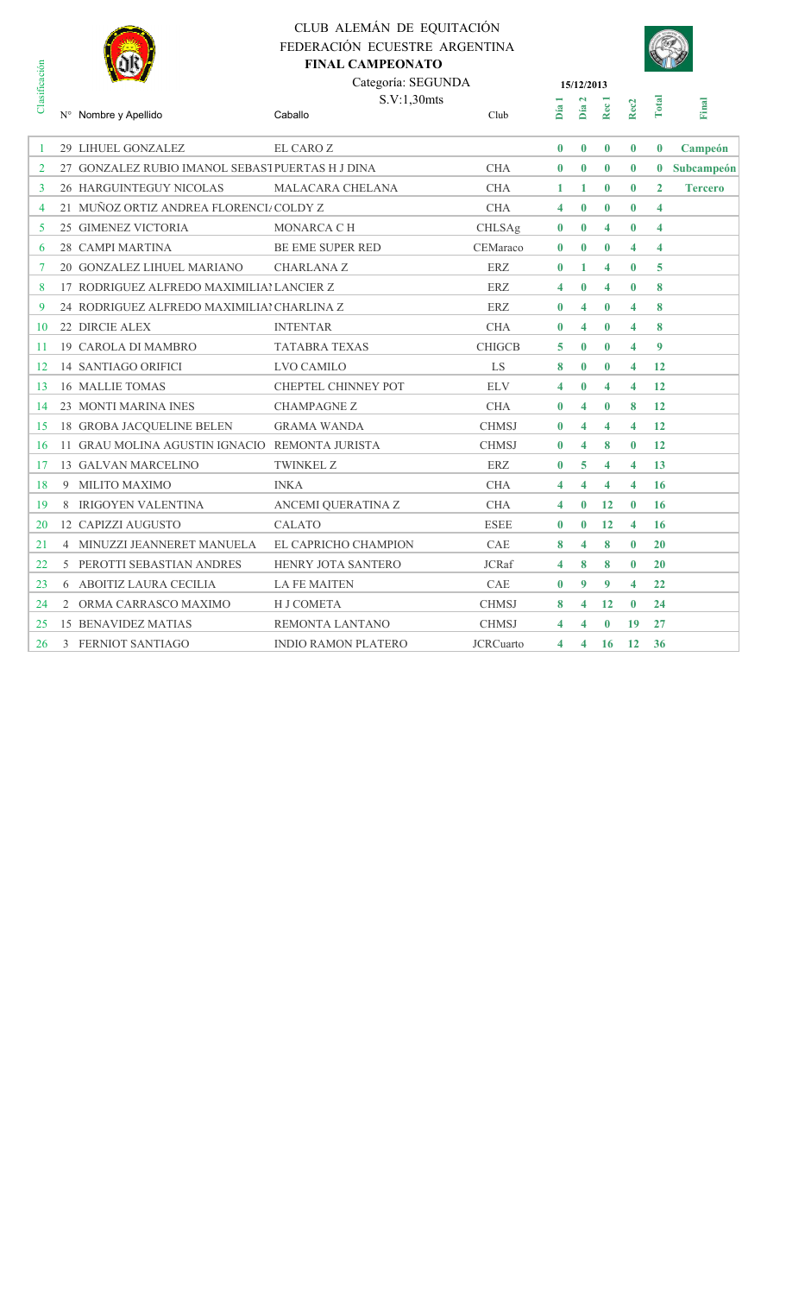

# CLUB ALEMÁN DE EQUITACIÓN FEDERACIÓN ECUESTRE ARGENTINA **FINAL CAMPEONATO**



|                |                | mr                                               | <b>FINAL CAMPEONATO</b>    |                  |                         |                             |                         |                         |                         |                |
|----------------|----------------|--------------------------------------------------|----------------------------|------------------|-------------------------|-----------------------------|-------------------------|-------------------------|-------------------------|----------------|
| Clasificación  |                |                                                  | Categoría: SEGUNDA         |                  |                         | 15/12/2013                  |                         |                         |                         |                |
|                |                | N° Nombre y Apellido                             | S.V:1,30mts<br>Caballo     | Club             | Día                     | $\mathbf{\tilde{z}}$<br>Día | Rec 1                   | Rec <sub>2</sub>        | Total                   | Final          |
| -1             |                | 29 LIHUEL GONZALEZ                               | EL CARO Z                  |                  | $\mathbf{0}$            | $\bf{0}$                    | $\bf{0}$                | $\bf{0}$                | $\bf{0}$                | Campeón        |
| $\overline{2}$ |                | 27 GONZALEZ RUBIO IMANOL SEBASI PUERTAS H J DINA |                            | <b>CHA</b>       | $\bf{0}$                | $\bf{0}$                    | $\bf{0}$                | $\bf{0}$                | $\bf{0}$                | Subcampeón     |
| 3              |                | 26 HARGUINTEGUY NICOLAS                          | MALACARA CHELANA           | <b>CHA</b>       | 1                       | 1                           | $\bf{0}$                | $\bf{0}$                | $\overline{2}$          | <b>Tercero</b> |
| 4              |                | 21 MUÑOZ ORTIZ ANDREA FLORENCI/ COLDY Z          |                            | <b>CHA</b>       | 4                       | $\bf{0}$                    | $\bf{0}$                | $\bf{0}$                | $\overline{\mathbf{4}}$ |                |
| 5              |                | 25 GIMENEZ VICTORIA                              | <b>MONARCA C H</b>         | <b>CHLSAg</b>    | $\bf{0}$                | $\mathbf{0}$                | 4                       | $\bf{0}$                | $\overline{\mathbf{4}}$ |                |
| 6              |                | 28 CAMPI MARTINA                                 | <b>BE EME SUPER RED</b>    | CEMaraco         | $\bf{0}$                | $\bf{0}$                    | $\bf{0}$                | 4                       | $\overline{\mathbf{4}}$ |                |
| 7              |                | 20 GONZALEZ LIHUEL MARIANO                       | <b>CHARLANA Z</b>          | ERZ.             | $\bf{0}$                | 1                           | 4                       | $\bf{0}$                | 5                       |                |
| 8              |                | 17 RODRIGUEZ ALFREDO MAXIMILIALLANCIER Z         |                            | <b>ERZ</b>       | $\overline{\mathbf{4}}$ | $\mathbf{0}$                | 4                       | $\bf{0}$                | 8                       |                |
| 9              |                | 24 RODRIGUEZ ALFREDO MAXIMILIAI CHARLINA Z       |                            | ERZ              | $\bf{0}$                | 4                           | $\bf{0}$                | $\overline{\mathbf{4}}$ | 8                       |                |
| 10             |                | 22 DIRCIE ALEX                                   | <b>INTENTAR</b>            | <b>CHA</b>       | $\bf{0}$                | 4                           | $\bf{0}$                | 4                       | 8                       |                |
| 11             |                | <b>19 CAROLA DI MAMBRO</b>                       | <b>TATABRA TEXAS</b>       | <b>CHIGCB</b>    | 5                       | $\mathbf{0}$                | $\mathbf{0}$            | $\overline{\mathbf{4}}$ | 9                       |                |
| 12             |                | 14 SANTIAGO ORIFICI                              | <b>LVO CAMILO</b>          | LS               | 8                       | $\bf{0}$                    | $\bf{0}$                | $\overline{4}$          | 12                      |                |
| 13             |                | 16 MALLIE TOMAS                                  | CHEPTEL CHINNEY POT        | <b>ELV</b>       | 4                       | $\bf{0}$                    | 4                       | 4                       | 12                      |                |
| 14             |                | 23 MONTI MARINA INES                             | <b>CHAMPAGNE Z</b>         | <b>CHA</b>       | $\bf{0}$                | 4                           | $\bf{0}$                | 8                       | 12                      |                |
| 15             |                | <b>18 GROBA JACQUELINE BELEN</b>                 | <b>GRAMA WANDA</b>         | <b>CHMSJ</b>     | $\bf{0}$                | $\overline{\mathbf{4}}$     | $\overline{\mathbf{4}}$ | 4                       | 12                      |                |
| 16             |                | 11 GRAU MOLINA AGUSTIN IGNACIO REMONTA JURISTA   |                            | <b>CHMSJ</b>     | $\bf{0}$                | $\overline{\mathbf{4}}$     | 8                       | $\bf{0}$                | 12                      |                |
| 17             |                | 13 GALVAN MARCELINO                              | <b>TWINKEL Z</b>           | <b>ERZ</b>       | $\bf{0}$                | 5                           | 4                       | $\overline{\mathbf{4}}$ | 13                      |                |
| 18             | 9              | MILITO MAXIMO                                    | <b>INKA</b>                | <b>CHA</b>       | 4                       | 4                           | 4                       | 4                       | 16                      |                |
| 19             | 8              | <b>IRIGOYEN VALENTINA</b>                        | ANCEMI QUERATINA Z         | <b>CHA</b>       | 4                       | $\bf{0}$                    | 12                      | $\bf{0}$                | 16                      |                |
| 20             |                | 12 CAPIZZI AUGUSTO                               | <b>CALATO</b>              | <b>ESEE</b>      | $\bf{0}$                | $\mathbf{0}$                | 12                      | $\overline{\mathbf{4}}$ | 16                      |                |
| 21             | $\overline{4}$ | MINUZZI JEANNERET MANUELA                        | EL CAPRICHO CHAMPION       | CAE              | 8                       | 4                           | 8                       | $\bf{0}$                | 20                      |                |
| 22             | 5              | PEROTTI SEBASTIAN ANDRES                         | HENRY JOTA SANTERO         | <b>JCRaf</b>     | 4                       | 8                           | 8                       | $\bf{0}$                | 20                      |                |
| 23             |                | <b>6 ABOITIZ LAURA CECILIA</b>                   | <b>LA FE MAITEN</b>        | <b>CAE</b>       | $\bf{0}$                | 9                           | 9                       | $\overline{\mathbf{4}}$ | 22                      |                |
| 24             | $\mathbf{2}$   | ORMA CARRASCO MAXIMO                             | H J COMETA                 | <b>CHMSJ</b>     | 8                       | 4                           | 12                      | $\bf{0}$                | 24                      |                |
| 25             |                | <b>15 BENAVIDEZ MATIAS</b>                       | REMONTA LANTANO            | <b>CHMSJ</b>     | 4                       | 4                           | $\bf{0}$                | 19                      | 27                      |                |
| 26             | 3              | FERNIOT SANTIAGO                                 | <b>INDIO RAMON PLATERO</b> | <b>JCRCuarto</b> | 4                       | 4                           | 16                      | 12                      | 36                      |                |